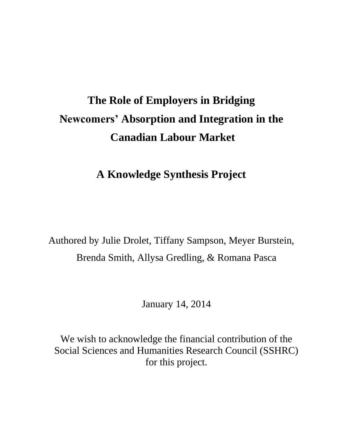# **The Role of Employers in Bridging Newcomers' Absorption and Integration in the Canadian Labour Market**

# **A Knowledge Synthesis Project**

Authored by Julie Drolet, Tiffany Sampson, Meyer Burstein, Brenda Smith, Allysa Gredling, & Romana Pasca

January 14, 2014

We wish to acknowledge the financial contribution of the Social Sciences and Humanities Research Council (SSHRC) for this project.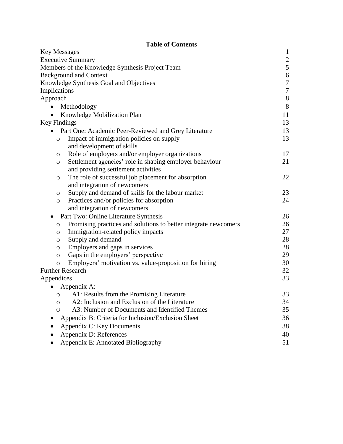| <b>Table of Contents</b>                                             |                  |
|----------------------------------------------------------------------|------------------|
| <b>Key Messages</b>                                                  | $\mathbf{1}$     |
| <b>Executive Summary</b>                                             | $\frac{2}{5}$    |
| Members of the Knowledge Synthesis Project Team                      |                  |
| <b>Background and Context</b>                                        | $\boldsymbol{6}$ |
| Knowledge Synthesis Goal and Objectives                              | $\tau$           |
| Implications                                                         | $\boldsymbol{7}$ |
| Approach                                                             | $8\,$            |
| Methodology                                                          | 8                |
| Knowledge Mobilization Plan<br>$\bullet$                             | 11               |
| Key Findings                                                         | 13               |
| Part One: Academic Peer-Reviewed and Grey Literature                 | 13               |
| Impact of immigration policies on supply<br>$\circ$                  | 13               |
| and development of skills                                            |                  |
| Role of employers and/or employer organizations<br>$\circ$           | 17               |
| Settlement agencies' role in shaping employer behaviour<br>$\circ$   | 21               |
| and providing settlement activities                                  |                  |
| The role of successful job placement for absorption<br>O             | 22               |
| and integration of newcomers                                         |                  |
| Supply and demand of skills for the labour market<br>O               | 23               |
| Practices and/or policies for absorption<br>$\circ$                  | 24               |
| and integration of newcomers                                         |                  |
| Part Two: Online Literature Synthesis<br>$\bullet$                   | 26               |
| Promising practices and solutions to better integrate newcomers<br>O | 26               |
| Immigration-related policy impacts<br>$\circ$                        | 27               |
| Supply and demand<br>$\circ$                                         | 28               |
| Employers and gaps in services<br>O                                  | 28               |
| Gaps in the employers' perspective<br>$\circ$                        | 29               |
| Employers' motivation vs. value-proposition for hiring<br>$\circ$    | 30               |
| <b>Further Research</b>                                              | 32               |
| Appendices                                                           | 33               |
| Appendix A:<br>$\bullet$                                             |                  |
| A1: Results from the Promising Literature<br>O                       | 33               |
| A2: Inclusion and Exclusion of the Literature<br>O                   | 34               |
| A3: Number of Documents and Identified Themes<br>Ο                   | 35               |
| Appendix B: Criteria for Inclusion/Exclusion Sheet                   | 36               |
| Appendix C: Key Documents                                            | 38               |
| Appendix D: References                                               | 40               |
| Appendix E: Annotated Bibliography                                   | 51               |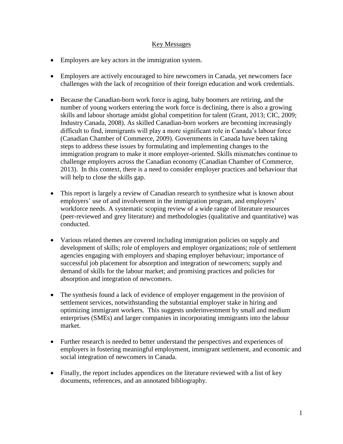# Key Messages

- Employers are key actors in the immigration system.
- Employers are actively encouraged to hire newcomers in Canada, yet newcomers face challenges with the lack of recognition of their foreign education and work credentials.
- Because the Canadian-born work force is aging, baby boomers are retiring, and the number of young workers entering the work force is declining, there is also a growing skills and labour shortage amidst global competition for talent (Grant, 2013; CIC, 2009; Industry Canada, 2008). As skilled Canadian-born workers are becoming increasingly difficult to find, immigrants will play a more significant role in Canada's labour force (Canadian Chamber of Commerce, 2009). Governments in Canada have been taking steps to address these issues by formulating and implementing changes to the immigration program to make it more employer-oriented. Skills mismatches continue to challenge employers across the Canadian economy (Canadian Chamber of Commerce, 2013). In this context, there is a need to consider employer practices and behaviour that will help to close the skills gap.
- This report is largely a review of Canadian research to synthesize what is known about employers' use of and involvement in the immigration program, and employers' workforce needs. A systematic scoping review of a wide range of literature resources (peer-reviewed and grey literature) and methodologies (qualitative and quantitative) was conducted.
- Various related themes are covered including immigration policies on supply and development of skills; role of employers and employer organizations; role of settlement agencies engaging with employers and shaping employer behaviour; importance of successful job placement for absorption and integration of newcomers; supply and demand of skills for the labour market; and promising practices and policies for absorption and integration of newcomers.
- The synthesis found a lack of evidence of employer engagement in the provision of settlement services, notwithstanding the substantial employer stake in hiring and optimizing immigrant workers. This suggests underinvestment by small and medium enterprises (SMEs) and larger companies in incorporating immigrants into the labour market.
- Further research is needed to better understand the perspectives and experiences of employers in fostering meaningful employment, immigrant settlement, and economic and social integration of newcomers in Canada.
- Finally, the report includes appendices on the literature reviewed with a list of key documents, references, and an annotated bibliography.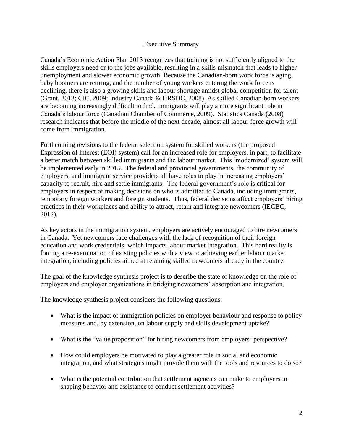# Executive Summary

Canada's Economic Action Plan 2013 recognizes that training is not sufficiently aligned to the skills employers need or to the jobs available, resulting in a skills mismatch that leads to higher unemployment and slower economic growth. Because the Canadian-born work force is aging, baby boomers are retiring, and the number of young workers entering the work force is declining, there is also a growing skills and labour shortage amidst global competition for talent (Grant, 2013; CIC, 2009; Industry Canada & HRSDC, 2008). As skilled Canadian-born workers are becoming increasingly difficult to find, immigrants will play a more significant role in Canada's labour force (Canadian Chamber of Commerce, 2009). Statistics Canada (2008) research indicates that before the middle of the next decade, almost all labour force growth will come from immigration.

Forthcoming revisions to the federal selection system for skilled workers (the proposed Expression of Interest (EOI) system) call for an increased role for employers, in part, to facilitate a better match between skilled immigrants and the labour market. This 'modernized' system will be implemented early in 2015. The federal and provincial governments, the community of employers, and immigrant service providers all have roles to play in increasing employers' capacity to recruit, hire and settle immigrants. The federal government's role is critical for employers in respect of making decisions on who is admitted to Canada, including immigrants, temporary foreign workers and foreign students. Thus, federal decisions affect employers' hiring practices in their workplaces and ability to attract, retain and integrate newcomers (IECBC, 2012).

As key actors in the immigration system, employers are actively encouraged to hire newcomers in Canada. Yet newcomers face challenges with the lack of recognition of their foreign education and work credentials, which impacts labour market integration. This hard reality is forcing a re-examination of existing policies with a view to achieving earlier labour market integration, including policies aimed at retaining skilled newcomers already in the country.

The goal of the knowledge synthesis project is to describe the state of knowledge on the role of employers and employer organizations in bridging newcomers' absorption and integration.

The knowledge synthesis project considers the following questions:

- What is the impact of immigration policies on employer behaviour and response to policy measures and, by extension, on labour supply and skills development uptake?
- What is the "value proposition" for hiring newcomers from employers' perspective?
- How could employers be motivated to play a greater role in social and economic integration, and what strategies might provide them with the tools and resources to do so?
- What is the potential contribution that settlement agencies can make to employers in shaping behavior and assistance to conduct settlement activities?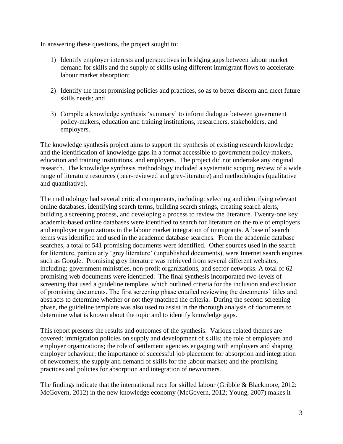In answering these questions, the project sought to:

- 1) Identify employer interests and perspectives in bridging gaps between labour market demand for skills and the supply of skills using different immigrant flows to accelerate labour market absorption;
- 2) Identify the most promising policies and practices, so as to better discern and meet future skills needs; and
- 3) Compile a knowledge synthesis 'summary' to inform dialogue between government policy-makers, education and training institutions, researchers, stakeholders, and employers.

The knowledge synthesis project aims to support the synthesis of existing research knowledge and the identification of knowledge gaps in a format accessible to government policy-makers, education and training institutions, and employers. The project did not undertake any original research. The knowledge synthesis methodology included a systematic scoping review of a wide range of literature resources (peer-reviewed and grey-literature) and methodologies (qualitative and quantitative).

The methodology had several critical components, including: selecting and identifying relevant online databases, identifying search terms, building search strings, creating search alerts, building a screening process, and developing a process to review the literature. Twenty-one key academic-based online databases were identified to search for literature on the role of employers and employer organizations in the labour market integration of immigrants. A base of search terms was identified and used in the academic database searches. From the academic database searches, a total of 541 promising documents were identified. Other sources used in the search for literature, particularly 'grey literature' (unpublished documents), were Internet search engines such as Google. Promising grey literature was retrieved from several different websites, including: government ministries, non-profit organizations, and sector networks. A total of 62 promising web documents were identified. The final synthesis incorporated two-levels of screening that used a guideline template, which outlined criteria for the inclusion and exclusion of promising documents. The first screening phase entailed reviewing the documents' titles and abstracts to determine whether or not they matched the criteria. During the second screening phase, the guideline template was also used to assist in the thorough analysis of documents to determine what is known about the topic and to identify knowledge gaps.

This report presents the results and outcomes of the synthesis. Various related themes are covered: immigration policies on supply and development of skills; the role of employers and employer organizations; the role of settlement agencies engaging with employers and shaping employer behaviour; the importance of successful job placement for absorption and integration of newcomers; the supply and demand of skills for the labour market; and the promising practices and policies for absorption and integration of newcomers.

The findings indicate that the international race for skilled labour (Gribble & Blackmore, 2012: McGovern, 2012) in the new knowledge economy (McGovern, 2012; Young, 2007) makes it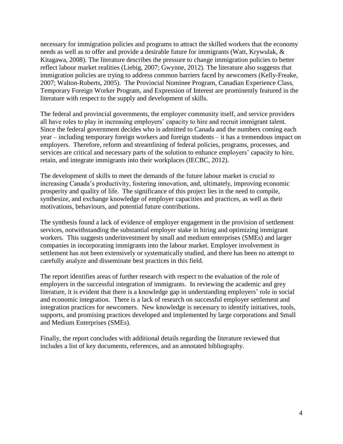necessary for immigration policies and programs to attract the skilled workers that the economy needs as well as to offer and provide a desirable future for immigrants (Watt, Krywulak, & Kitagawa, 2008). The literature describes the pressure to change immigration policies to better reflect labour market realities (Liebig, 2007; Gwynne, 2012). The literature also suggests that immigration policies are trying to address common barriers faced by newcomers (Kelly-Freake, 2007; Walton-Roberts, 2005). The Provincial Nominee Program, Canadian Experience Class, Temporary Foreign Worker Program, and Expression of Interest are prominently featured in the literature with respect to the supply and development of skills.

The federal and provincial governments, the employer community itself, and service providers all have roles to play in increasing employers' capacity to hire and recruit immigrant talent. Since the federal government decides who is admitted to Canada and the numbers coming each year – including temporary foreign workers and foreign students – it has a tremendous impact on employers. Therefore, reform and streamlining of federal policies, programs, processes, and services are critical and necessary parts of the solution to enhance employers' capacity to hire, retain, and integrate immigrants into their workplaces (IECBC, 2012).

The development of skills to meet the demands of the future labour market is crucial to increasing Canada's productivity, fostering innovation, and, ultimately, improving economic prosperity and quality of life. The significance of this project lies in the need to compile, synthesize, and exchange knowledge of employer capacities and practices, as well as their motivations, behaviours, and potential future contributions.

The synthesis found a lack of evidence of employer engagement in the provision of settlement services, notwithstanding the substantial employer stake in hiring and optimizing immigrant workers. This suggests underinvestment by small and medium enterprises (SMEs) and larger companies in incorporating immigrants into the labour market. Employer involvement in settlement has not been extensively or systematically studied, and there has been no attempt to carefully analyze and disseminate best practices in this field.

The report identifies areas of further research with respect to the evaluation of the role of employers in the successful integration of immigrants. In reviewing the academic and grey literature, it is evident that there is a knowledge gap in understanding employers' role in social and economic integration. There is a lack of research on successful employer settlement and integration practices for newcomers. New knowledge is necessary to identify initiatives, tools, supports, and promising practices developed and implemented by large corporations and Small and Medium Enterprises (SMEs).

Finally, the report concludes with additional details regarding the literature reviewed that includes a list of key documents, references, and an annotated bibliography.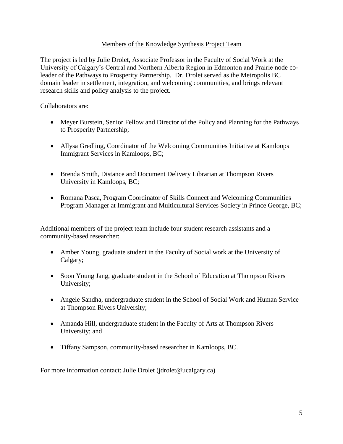# Members of the Knowledge Synthesis Project Team

The project is led by Julie Drolet, Associate Professor in the Faculty of Social Work at the University of Calgary's Central and Northern Alberta Region in Edmonton and Prairie node coleader of the Pathways to Prosperity Partnership. Dr. Drolet served as the Metropolis BC domain leader in settlement, integration, and welcoming communities, and brings relevant research skills and policy analysis to the project.

Collaborators are:

- Meyer Burstein, Senior Fellow and Director of the Policy and Planning for the Pathways to Prosperity Partnership;
- Allysa Gredling, Coordinator of the Welcoming Communities Initiative at Kamloops Immigrant Services in Kamloops, BC;
- Brenda Smith, Distance and Document Delivery Librarian at Thompson Rivers University in Kamloops, BC;
- Romana Pasca, Program Coordinator of Skills Connect and Welcoming Communities Program Manager at Immigrant and Multicultural Services Society in Prince George, BC;

Additional members of the project team include four student research assistants and a community-based researcher:

- Amber Young, graduate student in the Faculty of Social work at the University of Calgary;
- Soon Young Jang, graduate student in the School of Education at Thompson Rivers University;
- Angele Sandha, undergraduate student in the School of Social Work and Human Service at Thompson Rivers University;
- Amanda Hill, undergraduate student in the Faculty of Arts at Thompson Rivers University; and
- Tiffany Sampson, community-based researcher in Kamloops, BC.

For more information contact: Julie Drolet (jdrolet@ucalgary.ca)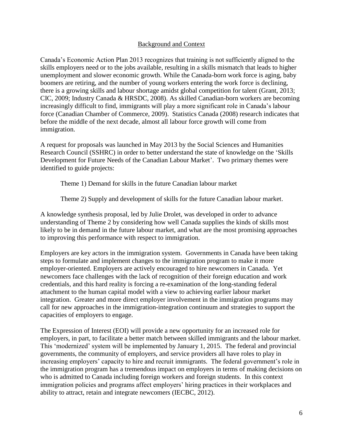#### Background and Context

Canada's Economic Action Plan 2013 recognizes that training is not sufficiently aligned to the skills employers need or to the jobs available, resulting in a skills mismatch that leads to higher unemployment and slower economic growth. While the Canada-born work force is aging, baby boomers are retiring, and the number of young workers entering the work force is declining, there is a growing skills and labour shortage amidst global competition for talent (Grant, 2013; CIC, 2009; Industry Canada & HRSDC, 2008). As skilled Canadian-born workers are becoming increasingly difficult to find, immigrants will play a more significant role in Canada's labour force (Canadian Chamber of Commerce, 2009). Statistics Canada (2008) research indicates that before the middle of the next decade, almost all labour force growth will come from immigration.

A request for proposals was launched in May 2013 by the Social Sciences and Humanities Research Council (SSHRC) in order to better understand the state of knowledge on the 'Skills Development for Future Needs of the Canadian Labour Market'. Two primary themes were identified to guide projects:

Theme 1) Demand for skills in the future Canadian labour market

Theme 2) Supply and development of skills for the future Canadian labour market.

A knowledge synthesis proposal, led by Julie Drolet, was developed in order to advance understanding of Theme 2 by considering how well Canada supplies the kinds of skills most likely to be in demand in the future labour market, and what are the most promising approaches to improving this performance with respect to immigration.

Employers are key actors in the immigration system. Governments in Canada have been taking steps to formulate and implement changes to the immigration program to make it more employer-oriented. Employers are actively encouraged to hire newcomers in Canada. Yet newcomers face challenges with the lack of recognition of their foreign education and work credentials, and this hard reality is forcing a re-examination of the long-standing federal attachment to the human capital model with a view to achieving earlier labour market integration. Greater and more direct employer involvement in the immigration programs may call for new approaches in the immigration-integration continuum and strategies to support the capacities of employers to engage.

The Expression of Interest (EOI) will provide a new opportunity for an increased role for employers, in part, to facilitate a better match between skilled immigrants and the labour market. This 'modernized' system will be implemented by January 1, 2015. The federal and provincial governments, the community of employers, and service providers all have roles to play in increasing employers' capacity to hire and recruit immigrants. The federal government's role in the immigration program has a tremendous impact on employers in terms of making decisions on who is admitted to Canada including foreign workers and foreign students. In this context immigration policies and programs affect employers' hiring practices in their workplaces and ability to attract, retain and integrate newcomers (IECBC, 2012).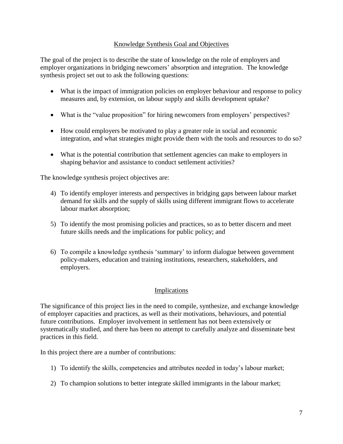# Knowledge Synthesis Goal and Objectives

The goal of the project is to describe the state of knowledge on the role of employers and employer organizations in bridging newcomers' absorption and integration. The knowledge synthesis project set out to ask the following questions:

- What is the impact of immigration policies on employer behaviour and response to policy measures and, by extension, on labour supply and skills development uptake?
- What is the "value proposition" for hiring newcomers from employers' perspectives?
- How could employers be motivated to play a greater role in social and economic integration, and what strategies might provide them with the tools and resources to do so?
- What is the potential contribution that settlement agencies can make to employers in shaping behavior and assistance to conduct settlement activities?

The knowledge synthesis project objectives are:

- 4) To identify employer interests and perspectives in bridging gaps between labour market demand for skills and the supply of skills using different immigrant flows to accelerate labour market absorption;
- 5) To identify the most promising policies and practices, so as to better discern and meet future skills needs and the implications for public policy; and
- 6) To compile a knowledge synthesis 'summary' to inform dialogue between government policy-makers, education and training institutions, researchers, stakeholders, and employers.

# Implications

The significance of this project lies in the need to compile, synthesize, and exchange knowledge of employer capacities and practices, as well as their motivations, behaviours, and potential future contributions. Employer involvement in settlement has not been extensively or systematically studied, and there has been no attempt to carefully analyze and disseminate best practices in this field.

In this project there are a number of contributions:

- 1) To identify the skills, competencies and attributes needed in today's labour market;
- 2) To champion solutions to better integrate skilled immigrants in the labour market;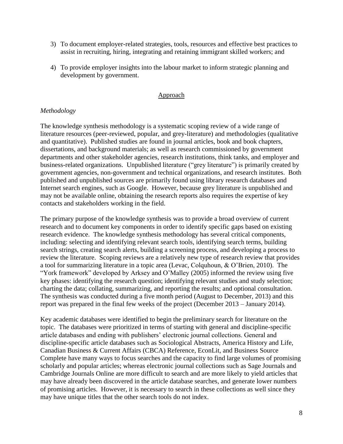- 3) To document employer-related strategies, tools, resources and effective best practices to assist in recruiting, hiring, integrating and retaining immigrant skilled workers; and
- 4) To provide employer insights into the labour market to inform strategic planning and development by government.

# **Approach**

# *Methodology*

The knowledge synthesis methodology is a systematic scoping review of a wide range of literature resources (peer-reviewed, popular, and grey-literature) and methodologies (qualitative and quantitative). Published studies are found in journal articles, book and book chapters, dissertations, and background materials; as well as research commissioned by government departments and other stakeholder agencies, research institutions, think tanks, and employer and business-related organizations. Unpublished literature ("grey literature") is primarily created by government agencies, non-government and technical organizations, and research institutes. Both published and unpublished sources are primarily found using library research databases and Internet search engines, such as Google. However, because grey literature is unpublished and may not be available online, obtaining the research reports also requires the expertise of key contacts and stakeholders working in the field.

The primary purpose of the knowledge synthesis was to provide a broad overview of current research and to document key components in order to identify specific gaps based on existing research evidence. The knowledge synthesis methodology has several critical components, including: selecting and identifying relevant search tools, identifying search terms, building search strings, creating search alerts, building a screening process, and developing a process to review the literature. Scoping reviews are a relatively new type of research review that provides a tool for summarizing literature in a topic area (Levac, Colquhoun, & O'Brien, 2010). The "York framework" developed by Arksey and O'Malley (2005) informed the review using five key phases: identifying the research question; identifying relevant studies and study selection; charting the data; collating, summarizing, and reporting the results; and optional consultation. The synthesis was conducted during a five month period (August to December, 2013) and this report was prepared in the final few weeks of the project (December 2013 – January 2014).

Key academic databases were identified to begin the preliminary search for literature on the topic. The databases were prioritized in terms of starting with general and discipline-specific article databases and ending with publishers' electronic journal collections. General and discipline-specific article databases such as Sociological Abstracts, America History and Life, Canadian Business & Current Affairs (CBCA) Reference, EconLit, and Business Source Complete have many ways to focus searches and the capacity to find large volumes of promising scholarly and popular articles; whereas electronic journal collections such as Sage Journals and Cambridge Journals Online are more difficult to search and are more likely to yield articles that may have already been discovered in the article database searches, and generate lower numbers of promising articles. However, it is necessary to search in these collections as well since they may have unique titles that the other search tools do not index.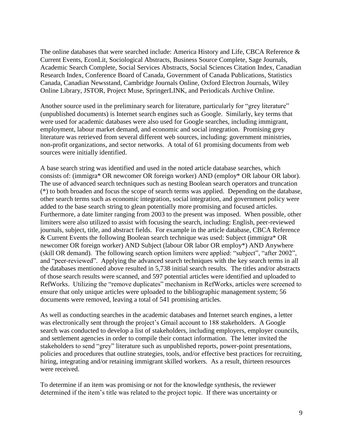The online databases that were searched include: America History and Life, CBCA Reference & Current Events, EconLit, Sociological Abstracts, Business Source Complete, Sage Journals, Academic Search Complete, Social Services Abstracts, Social Sciences Citation Index, Canadian Research Index, Conference Board of Canada, Government of Canada Publications, Statistics Canada, Canadian Newsstand, Cambridge Journals Online, Oxford Electron Journals, Wiley Online Library, JSTOR, Project Muse, SpringerLINK, and Periodicals Archive Online.

Another source used in the preliminary search for literature, particularly for "grey literature" (unpublished documents) is Internet search engines such as Google. Similarly, key terms that were used for academic databases were also used for Google searches, including immigrant, employment, labour market demand, and economic and social integration. Promising grey literature was retrieved from several different web sources, including: government ministries, non-profit organizations, and sector networks. A total of 61 promising documents from web sources were initially identified.

A base search string was identified and used in the noted article database searches, which consists of: (immigra\* OR newcomer OR foreign worker) AND (employ\* OR labour OR labor). The use of advanced search techniques such as nesting Boolean search operators and truncation (\*) to both broaden and focus the scope of search terms was applied. Depending on the database, other search terms such as economic integration, social integration, and government policy were added to the base search string to glean potentially more promising and focused articles. Furthermore, a date limiter ranging from 2003 to the present was imposed. When possible, other limiters were also utilized to assist with focusing the search, including: English, peer-reviewed journals, subject, title, and abstract fields. For example in the article database, CBCA Reference & Current Events the following Boolean search technique was used: Subject (immigra\* OR newcomer OR foreign worker) AND Subject (labour OR labor OR employ\*) AND Anywhere (skill OR demand). The following search option limiters were applied: "subject", "after 2002", and "peer-reviewed". Applying the advanced search techniques with the key search terms in all the databases mentioned above resulted in 5,738 initial search results. The titles and/or abstracts of those search results were scanned, and 597 potential articles were identified and uploaded to RefWorks. Utilizing the "remove duplicates" mechanism in RefWorks, articles were screened to ensure that only unique articles were uploaded to the bibliographic management system; 56 documents were removed, leaving a total of 541 promising articles.

As well as conducting searches in the academic databases and Internet search engines, a letter was electronically sent through the project's Gmail account to 188 stakeholders. A Google search was conducted to develop a list of stakeholders, including employers, employer councils, and settlement agencies in order to compile their contact information. The letter invited the stakeholders to send "grey" literature such as unpublished reports, power-point presentations, policies and procedures that outline strategies, tools, and/or effective best practices for recruiting, hiring, integrating and/or retaining immigrant skilled workers. As a result, thirteen resources were received.

To determine if an item was promising or not for the knowledge synthesis, the reviewer determined if the item's title was related to the project topic. If there was uncertainty or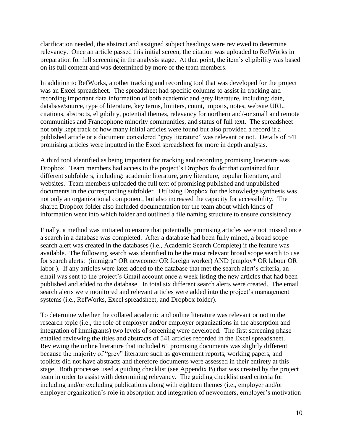clarification needed, the abstract and assigned subject headings were reviewed to determine relevancy. Once an article passed this initial screen, the citation was uploaded to RefWorks in preparation for full screening in the analysis stage. At that point, the item's eligibility was based on its full content and was determined by more of the team members.

In addition to RefWorks, another tracking and recording tool that was developed for the project was an Excel spreadsheet. The spreadsheet had specific columns to assist in tracking and recording important data information of both academic and grey literature, including: date, database/source, type of literature, key terms, limiters, count, imports, notes, website URL, citations, abstracts, eligibility, potential themes, relevancy for northern and/-or small and remote communities and Francophone minority communities, and status of full text. The spreadsheet not only kept track of how many initial articles were found but also provided a record if a published article or a document considered "grey literature" was relevant or not. Details of 541 promising articles were inputted in the Excel spreadsheet for more in depth analysis.

A third tool identified as being important for tracking and recording promising literature was Dropbox. Team members had access to the project's Dropbox folder that contained four different subfolders, including: academic literature, grey literature, popular literature, and websites. Team members uploaded the full text of promising published and unpublished documents in the corresponding subfolder. Utilizing Dropbox for the knowledge synthesis was not only an organizational component, but also increased the capacity for accessibility. The shared Dropbox folder also included documentation for the team about which kinds of information went into which folder and outlined a file naming structure to ensure consistency.

Finally, a method was initiated to ensure that potentially promising articles were not missed once a search in a database was completed. After a database had been fully mined, a broad scope search alert was created in the databases (i.e., Academic Search Complete) if the feature was available. The following search was identified to be the most relevant broad scope search to use for search alerts: (immigra\* OR newcomer OR foreign worker) AND (employ\* OR labour OR labor ). If any articles were later added to the database that met the search alert's criteria, an email was sent to the project's Gmail account once a week listing the new articles that had been published and added to the database. In total six different search alerts were created. The email search alerts were monitored and relevant articles were added into the project's management systems (i.e., RefWorks, Excel spreadsheet, and Dropbox folder).

To determine whether the collated academic and online literature was relevant or not to the research topic (i.e., the role of employer and/or employer organizations in the absorption and integration of immigrants) two levels of screening were developed. The first screening phase entailed reviewing the titles and abstracts of 541 articles recorded in the Excel spreadsheet. Reviewing the online literature that included 61 promising documents was slightly different because the majority of "grey" literature such as government reports, working papers, and toolkits did not have abstracts and therefore documents were assessed in their entirety at this stage. Both processes used a guiding checklist (see Appendix B) that was created by the project team in order to assist with determining relevancy. The guiding checklist used criteria for including and/or excluding publications along with eighteen themes (i.e., employer and/or employer organization's role in absorption and integration of newcomers, employer's motivation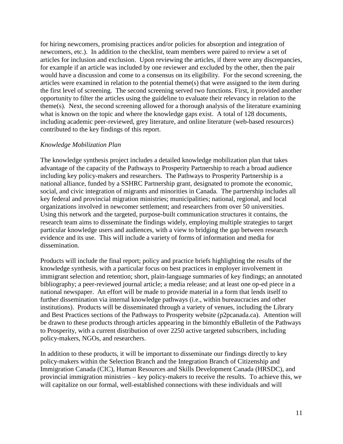for hiring newcomers, promising practices and/or policies for absorption and integration of newcomers, etc.). In addition to the checklist, team members were paired to review a set of articles for inclusion and exclusion. Upon reviewing the articles, if there were any discrepancies, for example if an article was included by one reviewer and excluded by the other, then the pair would have a discussion and come to a consensus on its eligibility. For the second screening, the articles were examined in relation to the potential theme(s) that were assigned to the item during the first level of screening. The second screening served two functions. First, it provided another opportunity to filter the articles using the guideline to evaluate their relevancy in relation to the theme(s). Next, the second screening allowed for a thorough analysis of the literature examining what is known on the topic and where the knowledge gaps exist. A total of 128 documents, including academic peer-reviewed, grey literature, and online literature (web-based resources) contributed to the key findings of this report.

# *Knowledge Mobilization Plan*

The knowledge synthesis project includes a detailed knowledge mobilization plan that takes advantage of the capacity of the Pathways to Prosperity Partnership to reach a broad audience including key policy-makers and researchers. The Pathways to Prosperity Partnership is a national alliance, funded by a SSHRC Partnership grant, designated to promote the economic, social, and civic integration of migrants and minorities in Canada. The partnership includes all key federal and provincial migration ministries; municipalities; national, regional, and local organizations involved in newcomer settlement; and researchers from over 50 universities. Using this network and the targeted, purpose-built communication structures it contains, the research team aims to disseminate the findings widely, employing multiple strategies to target particular knowledge users and audiences, with a view to bridging the gap between research evidence and its use. This will include a variety of forms of information and media for dissemination.

Products will include the final report; policy and practice briefs highlighting the results of the knowledge synthesis, with a particular focus on best practices in employer involvement in immigrant selection and retention; short, plain-language summaries of key findings; an annotated bibliography; a peer-reviewed journal article; a media release; and at least one op-ed piece in a national newspaper. An effort will be made to provide material in a form that lends itself to further dissemination via internal knowledge pathways (i.e., within bureaucracies and other institutions). Products will be disseminated through a variety of venues, including the Library and Best Practices sections of the Pathways to Prosperity website (p2pcanada.ca). Attention will be drawn to these products through articles appearing in the bimonthly eBulletin of the Pathways to Prosperity, with a current distribution of over 2250 active targeted subscribers, including policy-makers, NGOs, and researchers.

In addition to these products, it will be important to disseminate our findings directly to key policy-makers within the Selection Branch and the Integration Branch of Citizenship and Immigration Canada (CIC), Human Resources and Skills Development Canada (HRSDC), and provincial immigration ministries – key policy-makers to receive the results. To achieve this, we will capitalize on our formal, well-established connections with these individuals and will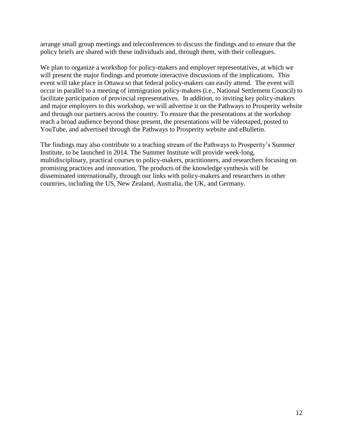arrange small group meetings and teleconferences to discuss the findings and to ensure that the policy briefs are shared with these individuals and, through them, with their colleagues.

We plan to organize a workshop for policy-makers and employer representatives, at which we will present the major findings and promote interactive discussions of the implications. This event will take place in Ottawa so that federal policy-makers can easily attend. The event will occur in parallel to a meeting of immigration policy-makers (i.e., National Settlement Council) to facilitate participation of provincial representatives. In addition, to inviting key policy-makers and major employers to this workshop, we will advertise it on the Pathways to Prosperity website and through our partners across the country. To ensure that the presentations at the workshop reach a broad audience beyond those present, the presentations will be videotaped, posted to YouTube, and advertised through the Pathways to Prosperity website and eBulletin.

The findings may also contribute to a teaching stream of the Pathways to Prosperity's Summer Institute, to be launched in 2014. The Summer Institute will provide week-long, multidisciplinary, practical courses to policy-makers, practitioners, and researchers focusing on promising practices and innovation. The products of the knowledge synthesis will be disseminated internationally, through our links with policy-makers and researchers in other countries, including the US, New Zealand, Australia, the UK, and Germany.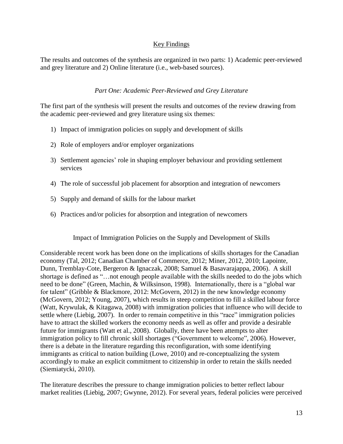# Key Findings

The results and outcomes of the synthesis are organized in two parts: 1) Academic peer-reviewed and grey literature and 2) Online literature (i.e., web-based sources).

# *Part One: Academic Peer-Reviewed and Grey Literature*

The first part of the synthesis will present the results and outcomes of the review drawing from the academic peer-reviewed and grey literature using six themes:

- 1) Impact of immigration policies on supply and development of skills
- 2) Role of employers and/or employer organizations
- 3) Settlement agencies' role in shaping employer behaviour and providing settlement services
- 4) The role of successful job placement for absorption and integration of newcomers
- 5) Supply and demand of skills for the labour market
- 6) Practices and/or policies for absorption and integration of newcomers

Impact of Immigration Policies on the Supply and Development of Skills

Considerable recent work has been done on the implications of skills shortages for the Canadian economy (Tal, 2012; Canadian Chamber of Commerce, 2012; Miner, 2012, 2010; Lapointe, Dunn, Tremblay-Cote, Bergeron & Ignaczak, 2008; Samuel & Basavarajappa, 2006). A skill shortage is defined as "…not enough people available with the skills needed to do the jobs which need to be done" (Green, Machin, & Wilksinson, 1998). Internationally, there is a "global war for talent" (Gribble & Blackmore, 2012: McGovern, 2012) in the new knowledge economy (McGovern, 2012; Young, 2007), which results in steep competition to fill a skilled labour force (Watt, Krywulak, & Kitagawa, 2008) with immigration policies that influence who will decide to settle where (Liebig, 2007). In order to remain competitive in this "race" immigration policies have to attract the skilled workers the economy needs as well as offer and provide a desirable future for immigrants (Watt et al., 2008). Globally, there have been attempts to alter immigration policy to fill chronic skill shortages ("Government to welcome", 2006). However, there is a debate in the literature regarding this reconfiguration, with some identifying immigrants as critical to nation building (Lowe, 2010) and re-conceptualizing the system accordingly to make an explicit commitment to citizenship in order to retain the skills needed (Siemiatycki, 2010).

The literature describes the pressure to change immigration policies to better reflect labour market realities (Liebig, 2007; Gwynne, 2012). For several years, federal policies were perceived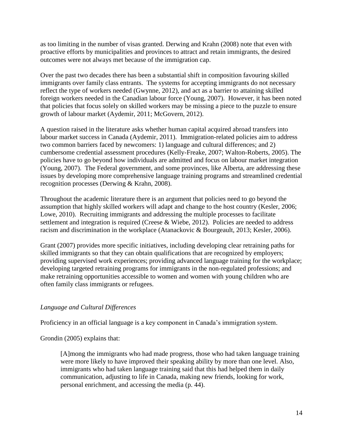as too limiting in the number of visas granted. Derwing and Krahn (2008) note that even with proactive efforts by municipalities and provinces to attract and retain immigrants, the desired outcomes were not always met because of the immigration cap.

Over the past two decades there has been a substantial shift in composition favouring skilled immigrants over family class entrants. The systems for accepting immigrants do not necessary reflect the type of workers needed (Gwynne, 2012), and act as a barrier to attaining skilled foreign workers needed in the Canadian labour force (Young, 2007). However, it has been noted that policies that focus solely on skilled workers may be missing a piece to the puzzle to ensure growth of labour market (Aydemir, 2011; McGovern, 2012).

A question raised in the literature asks whether human capital acquired abroad transfers into labour market success in Canada (Aydemir, 2011). Immigration-related policies aim to address two common barriers faced by newcomers: 1) language and cultural differences; and 2) cumbersome credential assessment procedures (Kelly-Freake, 2007; Walton-Roberts, 2005). The policies have to go beyond how individuals are admitted and focus on labour market integration (Young, 2007). The Federal government, and some provinces, like Alberta, are addressing these issues by developing more comprehensive language training programs and streamlined credential recognition processes (Derwing & Krahn, 2008).

Throughout the academic literature there is an argument that policies need to go beyond the assumption that highly skilled workers will adapt and change to the host country (Kesler, 2006; Lowe, 2010). Recruiting immigrants and addressing the multiple processes to facilitate settlement and integration is required (Creese & Wiebe, 2012). Policies are needed to address racism and discrimination in the workplace (Atanackovic & Bourgeault, 2013; Kesler, 2006).

Grant (2007) provides more specific initiatives, including developing clear retraining paths for skilled immigrants so that they can obtain qualifications that are recognized by employers; providing supervised work experiences; providing advanced language training for the workplace; developing targeted retraining programs for immigrants in the non-regulated professions; and make retraining opportunities accessible to women and women with young children who are often family class immigrants or refugees.

# *Language and Cultural Differences*

Proficiency in an official language is a key component in Canada's immigration system.

Grondin (2005) explains that:

[A]mong the immigrants who had made progress, those who had taken language training were more likely to have improved their speaking ability by more than one level. Also, immigrants who had taken language training said that this had helped them in daily communication, adjusting to life in Canada, making new friends, looking for work, personal enrichment, and accessing the media (p. 44).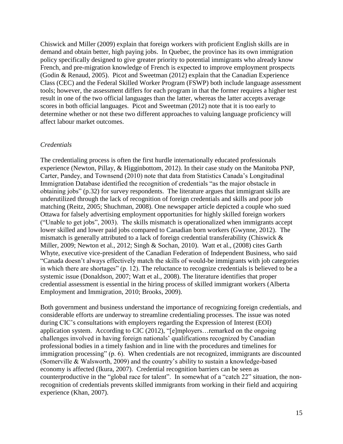Chiswick and Miller (2009) explain that foreign workers with proficient English skills are in demand and obtain better, high paying jobs. In Quebec, the province has its own immigration policy specifically designed to give greater priority to potential immigrants who already know French, and pre-migration knowledge of French is expected to improve employment prospects (Godin & Renaud, 2005). Picot and Sweetman (2012) explain that the Canadian Experience Class (CEC) and the Federal Skilled Worker Program (FSWP) both include language assessment tools; however, the assessment differs for each program in that the former requires a higher test result in one of the two official languages than the latter, whereas the latter accepts average scores in both official languages. Picot and Sweetman (2012) note that it is too early to determine whether or not these two different approaches to valuing language proficiency will affect labour market outcomes.

#### *Credentials*

The credentialing process is often the first hurdle internationally educated professionals experience (Newton, Pillay, & Higginbottom, 2012). In their case study on the Manitoba PNP, Carter, Pandey, and Townsend (2010) note that data from Statistics Canada's Longitudinal Immigration Database identified the recognition of credentials "as the major obstacle in obtaining jobs" (p.32) for survey respondents. The literature argues that immigrant skills are underutilized through the lack of recognition of foreign credentials and skills and poor job matching (Reitz, 2005; Shuchman, 2008). One newspaper article depicted a couple who sued Ottawa for falsely advertising employment opportunities for highly skilled foreign workers ("Unable to get jobs", 2003). The skills mismatch is operationalized when immigrants accept lower skilled and lower paid jobs compared to Canadian born workers (Gwynne, 2012). The mismatch is generally attributed to a lack of foreign credential transferability (Chiswick & Miller, 2009; Newton et al., 2012; Singh & Sochan, 2010). Watt et al., (2008) cites Garth Whyte, executive vice-president of the Canadian Federation of Independent Business, who said "Canada doesn't always effectively match the skills of would-be immigrants with job categories in which there are shortages" (p. 12). The reluctance to recognize credentials is believed to be a systemic issue (Donaldson, 2007; Watt et al., 2008). The literature identifies that proper credential assessment is essential in the hiring process of skilled immigrant workers (Alberta Employment and Immigration, 2010; Brooks, 2009).

Both government and business understand the importance of recognizing foreign credentials, and considerable efforts are underway to streamline credentialing processes. The issue was noted during CIC's consultations with employers regarding the Expression of Interest (EOI) application system. According to CIC (2012), "[e]mployers…remarked on the ongoing challenges involved in having foreign nationals' qualifications recognized by Canadian professional bodies in a timely fashion and in line with the procedures and timelines for immigration processing" (p. 6). When credentials are not recognized, immigrants are discounted (Somerville & Walsworth, 2009) and the country's ability to sustain a knowledge-based economy is affected (Ikura, 2007). Credential recognition barriers can be seen as counterproductive in the "global race for talent". In somewhat of a "catch 22" situation, the nonrecognition of credentials prevents skilled immigrants from working in their field and acquiring experience (Khan, 2007).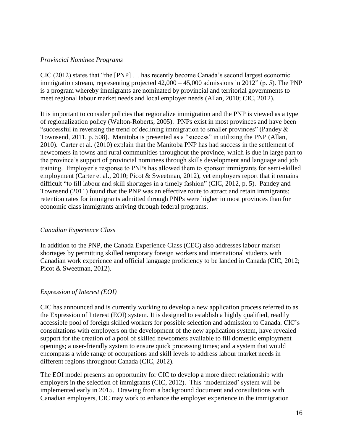# *Provincial Nominee Programs*

CIC (2012) states that "the [PNP] … has recently become Canada's second largest economic immigration stream, representing projected 42,000 – 45,000 admissions in 2012" (p. 5). The PNP is a program whereby immigrants are nominated by provincial and territorial governments to meet regional labour market needs and local employer needs (Allan, 2010; CIC, 2012).

It is important to consider policies that regionalize immigration and the PNP is viewed as a type of regionalization policy (Walton-Roberts, 2005). PNPs exist in most provinces and have been "successful in reversing the trend of declining immigration to smaller provinces" (Pandey & Townsend, 2011, p. 508). Manitoba is presented as a "success" in utilizing the PNP (Allan, 2010). Carter et al. (2010) explain that the Manitoba PNP has had success in the settlement of newcomers in towns and rural communities throughout the province, which is due in large part to the province's support of provincial nominees through skills development and language and job training. Employer's response to PNPs has allowed them to sponsor immigrants for semi-skilled employment (Carter et al., 2010; Picot & Sweetman, 2012), yet employers report that it remains difficult "to fill labour and skill shortages in a timely fashion" (CIC, 2012, p. 5). Pandey and Townsend (2011) found that the PNP was an effective route to attract and retain immigrants; retention rates for immigrants admitted through PNPs were higher in most provinces than for economic class immigrants arriving through federal programs.

# *Canadian Experience Class*

In addition to the PNP, the Canada Experience Class (CEC) also addresses labour market shortages by permitting skilled temporary foreign workers and international students with Canadian work experience and official language proficiency to be landed in Canada (CIC, 2012; Picot & Sweetman, 2012).

# *Expression of Interest (EOI)*

CIC has announced and is currently working to develop a new application process referred to as the Expression of Interest (EOI) system. It is designed to establish a highly qualified, readily accessible pool of foreign skilled workers for possible selection and admission to Canada. CIC's consultations with employers on the development of the new application system, have revealed support for the creation of a pool of skilled newcomers available to fill domestic employment openings; a user-friendly system to ensure quick processing times; and a system that would encompass a wide range of occupations and skill levels to address labour market needs in different regions throughout Canada (CIC, 2012).

The EOI model presents an opportunity for CIC to develop a more direct relationship with employers in the selection of immigrants (CIC, 2012). This 'modernized' system will be implemented early in 2015. Drawing from a background document and consultations with Canadian employers, CIC may work to enhance the employer experience in the immigration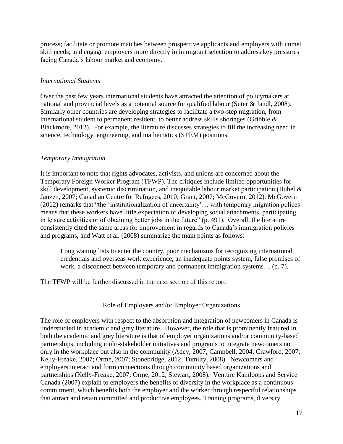process; facilitate or promote matches between prospective applicants and employers with unmet skill needs; and engage employers more directly in immigrant selection to address key pressures facing Canada's labour market and economy.

# *International Students*

Over the past few years international students have attracted the attention of policymakers at national and provincial levels as a potential source for qualified labour (Suter & Jandl, 2008). Similarly other countries are developing strategies to facilitate a two-step migration, from international student to permanent resident, to better address skills shortages (Gribble & Blackmore, 2012). For example, the literature discusses strategies to fill the increasing need in science, technology, engineering, and mathematics (STEM) positions.

# *Temporary Immigration*

It is important to note that rights advocates, activists, and unions are concerned about the Temporary Foreign Worker Program (TFWP). The critiques include limited opportunities for skill development, systemic discrimination, and inequitable labour market participation (Buhel & Janzen, 2007; Canadian Centre for Refugees, 2010; Grant, 2007; McGovern, 2012). McGovern (2012) remarks that "the 'institutionalization of uncertainty'… with temporary migration polices means that these workers have little expectation of developing social attachments, participating in leisure activities or of obtaining better jobs in the future" (p. 491). Overall, the literature consistently cited the same areas for improvement in regards to Canada's immigration policies and programs, and Watt et al. (2008) summarize the main points as follows:

Long waiting lists to enter the country, poor mechanisms for recognizing international credentials and overseas work experience, an inadequate points system, false promises of work, a disconnect between temporary and permanent immigration systems… (p. 7).

The TFWP will be further discussed in the next section of this report.

# Role of Employers and/or Employer Organizations

The role of employers with respect to the absorption and integration of newcomers in Canada is understudied in academic and grey literature. However, the role that is prominently featured in both the academic and grey literature is that of employer organizations and/or community-based partnerships, including multi-stakeholder initiatives and programs to integrate newcomers not only in the workplace but also in the community (Adey, 2007; Campbell, 2004; Crawford, 2007; Kelly-Freake, 2007; Orme, 2007; Stonebridge, 2012; Tumilty, 2008). Newcomers and employers interact and form connections through community based organizations and partnerships (Kelly-Freake, 2007; Orme, 2012; Stewart, 2008). Venture Kamloops and Service Canada (2007) explain to employers the benefits of diversity in the workplace as a continuous commitment, which benefits both the employer and the worker through respectful relationships that attract and retain committed and productive employees. Training programs, diversity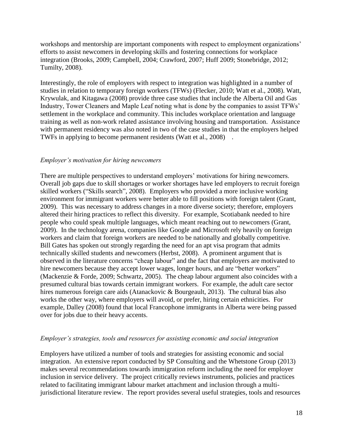workshops and mentorship are important components with respect to employment organizations' efforts to assist newcomers in developing skills and fostering connections for workplace integration (Brooks, 2009; Campbell, 2004; Crawford, 2007; Huff 2009; Stonebridge, 2012; Tumilty, 2008).

Interestingly, the role of employers with respect to integration was highlighted in a number of studies in relation to temporary foreign workers (TFWs) (Flecker, 2010; Watt et al., 2008). Watt, Krywulak, and Kitagawa (2008) provide three case studies that include the Alberta Oil and Gas Industry, Tower Cleaners and Maple Leaf noting what is done by the companies to assist TFWs' settlement in the workplace and community. This includes workplace orientation and language training as well as non-work related assistance involving housing and transportation. Assistance with permanent residency was also noted in two of the case studies in that the employers helped TWFs in applying to become permanent residents (Watt et al., 2008) .

#### *Employer's motivation for hiring newcomers*

There are multiple perspectives to understand employers' motivations for hiring newcomers. Overall job gaps due to skill shortages or worker shortages have led employers to recruit foreign skilled workers ("Skills search", 2008). Employers who provided a more inclusive working environment for immigrant workers were better able to fill positions with foreign talent (Grant, 2009). This was necessary to address changes in a more diverse society; therefore, employers altered their hiring practices to reflect this diversity. For example, Scotiabank needed to hire people who could speak multiple languages, which meant reaching out to newcomers (Grant, 2009). In the technology arena, companies like Google and Microsoft rely heavily on foreign workers and claim that foreign workers are needed to be nationally and globally competitive. Bill Gates has spoken out strongly regarding the need for an apt visa program that admits technically skilled students and newcomers (Herbst, 2008). A prominent argument that is observed in the literature concerns "cheap labour" and the fact that employers are motivated to hire new comers because they accept lower wages, longer hours, and are "better workers" (Mackenzie & Forde, 2009; Schwartz, 2005). The cheap labour argument also coincides with a presumed cultural bias towards certain immigrant workers. For example, the adult care sector hires numerous foreign care aids (Atanackovic & Bourgeault, 2013). The cultural bias also works the other way, where employers will avoid, or prefer, hiring certain ethnicities. For example, Dalley (2008) found that local Francophone immigrants in Alberta were being passed over for jobs due to their heavy accents.

#### *Employer's strategies, tools and resources for assisting economic and social integration*

Employers have utilized a number of tools and strategies for assisting economic and social integration. An extensive report conducted by SP Consulting and the Whetstone Group (2013) makes several recommendations towards immigration reform including the need for employer inclusion in service delivery. The project critically reviews instruments, policies and practices related to facilitating immigrant labour market attachment and inclusion through a multijurisdictional literature review. The report provides several useful strategies, tools and resources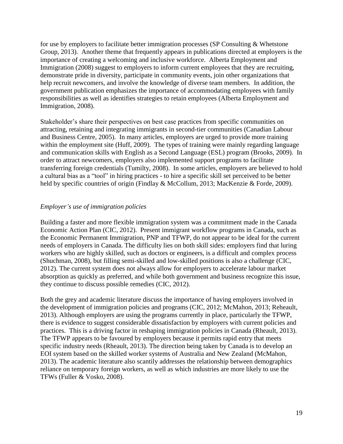for use by employers to facilitate better immigration processes (SP Consulting & Whetstone Group, 2013). Another theme that frequently appears in publications directed at employers is the importance of creating a welcoming and inclusive workforce. Alberta Employment and Immigration (2008) suggest to employers to inform current employees that they are recruiting, demonstrate pride in diversity, participate in community events, join other organizations that help recruit newcomers, and involve the knowledge of diverse team members. In addition, the government publication emphasizes the importance of accommodating employees with family responsibilities as well as identifies strategies to retain employees (Alberta Employment and Immigration, 2008).

Stakeholder's share their perspectives on best case practices from specific communities on attracting, retaining and integrating immigrants in second-tier communities (Canadian Labour and Business Centre, 2005). In many articles, employers are urged to provide more training within the employment site (Huff, 2009). The types of training were mainly regarding language and communication skills with English as a Second Language (ESL) program (Brooks, 2009). In order to attract newcomers, employers also implemented support programs to facilitate transferring foreign credentials (Tumilty, 2008). In some articles, employers are believed to hold a cultural bias as a "tool" in hiring practices - to hire a specific skill set perceived to be better held by specific countries of origin (Findlay & McCollum, 2013; MacKenzie & Forde, 2009).

# *Employer's use of immigration policies*

Building a faster and more flexible immigration system was a commitment made in the Canada Economic Action Plan (CIC, 2012). Present immigrant workflow programs in Canada, such as the Economic Permanent Immigration, PNP and TFWP, do not appear to be ideal for the current needs of employers in Canada. The difficulty lies on both skill sides: employers find that luring workers who are highly skilled, such as doctors or engineers, is a difficult and complex process (Shuchman, 2008), but filling semi-skilled and low-skilled positions is also a challenge (CIC, 2012). The current system does not always allow for employers to accelerate labour market absorption as quickly as preferred, and while both government and business recognize this issue, they continue to discuss possible remedies (CIC, 2012).

Both the grey and academic literature discuss the importance of having employers involved in the development of immigration policies and programs (CIC, 2012; McMahon, 2013; Reheault, 2013). Although employers are using the programs currently in place, particularly the TFWP, there is evidence to suggest considerable dissatisfaction by employers with current policies and practices. This is a driving factor in reshaping immigration policies in Canada (Rheault, 2013). The TFWP appears to be favoured by employers because it permits rapid entry that meets specific industry needs (Rheault, 2013). The direction being taken by Canada is to develop an EOI system based on the skilled worker systems of Australia and New Zealand (McMahon, 2013). The academic literature also scantily addresses the relationship between demographics reliance on temporary foreign workers, as well as which industries are more likely to use the TFWs (Fuller & Vosko, 2008).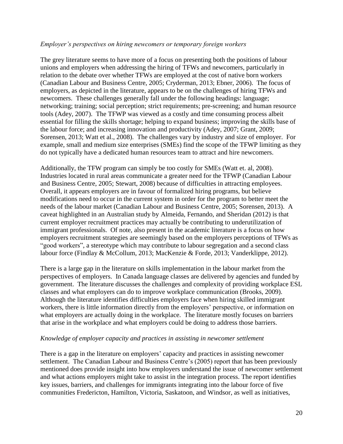#### *Employer's perspectives on hiring newcomers or temporary foreign workers*

The grey literature seems to have more of a focus on presenting both the positions of labour unions and employers when addressing the hiring of TFWs and newcomers, particularly in relation to the debate over whether TFWs are employed at the cost of native born workers (Canadian Labour and Business Centre, 2005; Cryderman, 2013; Ebner, 2006). The focus of employers, as depicted in the literature, appears to be on the challenges of hiring TFWs and newcomers. These challenges generally fall under the following headings: language; networking; training; social perception; strict requirements; pre-screening; and human resource tools (Adey, 2007). The TFWP was viewed as a costly and time consuming process albeit essential for filling the skills shortage; helping to expand business; improving the skills base of the labour force; and increasing innovation and productivity (Adey, 2007; Grant, 2009; Sorensen, 2013; Watt et al., 2008). The challenges vary by industry and size of employer. For example, small and medium size enterprises (SMEs) find the scope of the TFWP limiting as they do not typically have a dedicated human resources team to attract and hire newcomers.

Additionally, the TFW program can simply be too costly for SMEs (Watt et. al, 2008). Industries located in rural areas communicate a greater need for the TFWP (Canadian Labour and Business Centre, 2005; Stewart, 2008) because of difficulties in attracting employees. Overall, it appears employers are in favour of formalized hiring programs, but believe modifications need to occur in the current system in order for the program to better meet the needs of the labour market (Canadian Labour and Business Centre, 2005; Sorensen, 2013). A caveat highlighted in an Australian study by Almeida, Fernando, and Sheridan (2012) is that current employer recruitment practices may actually be contributing to underutilization of immigrant professionals. Of note, also present in the academic literature is a focus on how employers recruitment strategies are seemingly based on the employers perceptions of TFWs as "good workers", a stereotype which may contribute to labour segregation and a second class labour force (Findlay & McCollum, 2013; MacKenzie & Forde, 2013; Vanderklippe, 2012).

There is a large gap in the literature on skills implementation in the labour market from the perspectives of employers. In Canada language classes are delivered by agencies and funded by government. The literature discusses the challenges and complexity of providing workplace ESL classes and what employers can do to improve workplace communication (Brooks, 2009). Although the literature identifies difficulties employers face when hiring skilled immigrant workers, there is little information directly from the employers' perspective, or information on what employers are actually doing in the workplace. The literature mostly focuses on barriers that arise in the workplace and what employers could be doing to address those barriers.

#### *Knowledge of employer capacity and practices in assisting in newcomer settlement*

There is a gap in the literature on employers' capacity and practices in assisting newcomer settlement. The Canadian Labour and Business Centre's (2005) report that has been previously mentioned does provide insight into how employers understand the issue of newcomer settlement and what actions employers might take to assist in the integration process. The report identifies key issues, barriers, and challenges for immigrants integrating into the labour force of five communities Fredericton, Hamilton, Victoria, Saskatoon, and Windsor, as well as initiatives,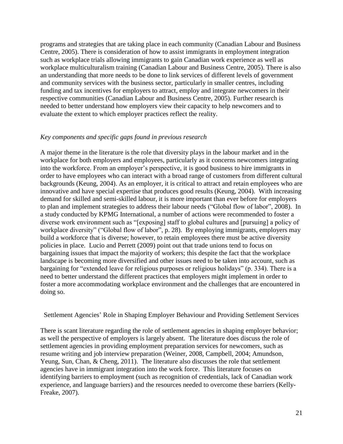programs and strategies that are taking place in each community (Canadian Labour and Business Centre, 2005). There is consideration of how to assist immigrants in employment integration such as workplace trials allowing immigrants to gain Canadian work experience as well as workplace multiculturalism training (Canadian Labour and Business Centre, 2005). There is also an understanding that more needs to be done to link services of different levels of government and community services with the business sector, particularly in smaller centres, including funding and tax incentives for employers to attract, employ and integrate newcomers in their respective communities (Canadian Labour and Business Centre, 2005). Further research is needed to better understand how employers view their capacity to help newcomers and to evaluate the extent to which employer practices reflect the reality.

#### *Key components and specific gaps found in previous research*

A major theme in the literature is the role that diversity plays in the labour market and in the workplace for both employers and employees, particularly as it concerns newcomers integrating into the workforce. From an employer's perspective, it is good business to hire immigrants in order to have employees who can interact with a broad range of customers from different cultural backgrounds (Keung, 2004). As an employer, it is critical to attract and retain employees who are innovative and have special expertise that produces good results (Keung, 2004). With increasing demand for skilled and semi-skilled labour, it is more important than ever before for employers to plan and implement strategies to address their labour needs ("Global flow of labor", 2008). In a study conducted by KPMG International, a number of actions were recommended to foster a diverse work environment such as "[exposing] staff to global cultures and [pursuing] a policy of workplace diversity" ("Global flow of labor", p. 28). By employing immigrants, employers may build a workforce that is diverse; however, to retain employees there must be active diversity policies in place. Lucio and Perrett (2009) point out that trade unions tend to focus on bargaining issues that impact the majority of workers; this despite the fact that the workplace landscape is becoming more diversified and other issues need to be taken into account, such as bargaining for "extended leave for religious purposes or religious holidays" (p. 334). There is a need to better understand the different practices that employers might implement in order to foster a more accommodating workplace environment and the challenges that are encountered in doing so.

Settlement Agencies' Role in Shaping Employer Behaviour and Providing Settlement Services

There is scant literature regarding the role of settlement agencies in shaping employer behavior; as well the perspective of employers is largely absent. The literature does discuss the role of settlement agencies in providing employment preparation services for newcomers, such as resume writing and job interview preparation (Weiner, 2008, Campbell, 2004; Amundson, Yeung, Sun, Chan, & Cheng, 2011). The literature also discusses the role that settlement agencies have in immigrant integration into the work force. This literature focuses on identifying barriers to employment (such as recognition of credentials, lack of Canadian work experience, and language barriers) and the resources needed to overcome these barriers (Kelly-Freake, 2007).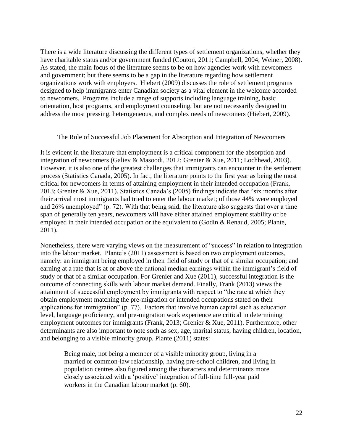There is a wide literature discussing the different types of settlement organizations, whether they have charitable status and/or government funded (Couton, 2011; Campbell, 2004; Weiner, 2008). As stated, the main focus of the literature seems to be on how agencies work with newcomers and government; but there seems to be a gap in the literature regarding how settlement organizations work with employers. Hiebert (2009) discusses the role of settlement programs designed to help immigrants enter Canadian society as a vital element in the welcome accorded to newcomers. Programs include a range of supports including language training, basic orientation, host programs, and employment counseling, but are not necessarily designed to address the most pressing, heterogeneous, and complex needs of newcomers (Hiebert, 2009).

#### The Role of Successful Job Placement for Absorption and Integration of Newcomers

It is evident in the literature that employment is a critical component for the absorption and integration of newcomers (Galiev & Masoodi, 2012; Grenier & Xue, 2011; Lochhead, 2003). However, it is also one of the greatest challenges that immigrants can encounter in the settlement process (Statistics Canada, 2005). In fact, the literature points to the first year as being the most critical for newcomers in terms of attaining employment in their intended occupation (Frank, 2013; Grenier & Xue, 2011). Statistics Canada's (2005) findings indicate that "six months after their arrival most immigrants had tried to enter the labour market; of those 44% were employed and 26% unemployed" (p. 72). With that being said, the literature also suggests that over a time span of generally ten years, newcomers will have either attained employment stability or be employed in their intended occupation or the equivalent to (Godin & Renaud, 2005; Plante, 2011).

Nonetheless, there were varying views on the measurement of "success" in relation to integration into the labour market. Plante's (2011) assessment is based on two employment outcomes, namely: an immigrant being employed in their field of study or that of a similar occupation; and earning at a rate that is at or above the national median earnings within the immigrant's field of study or that of a similar occupation. For Grenier and Xue (2011), successful integration is the outcome of connecting skills with labour market demand. Finally, Frank (2013) views the attainment of successful employment by immigrants with respect to "the rate at which they obtain employment matching the pre-migration or intended occupations stated on their applications for immigration" (p. 77). Factors that involve human capital such as education level, language proficiency, and pre-migration work experience are critical in determining employment outcomes for immigrants (Frank, 2013; Grenier & Xue, 2011). Furthermore, other determinants are also important to note such as sex, age, marital status, having children, location, and belonging to a visible minority group. Plante (2011) states:

Being male, not being a member of a visible minority group, living in a married or common-law relationship, having pre-school children, and living in population centres also figured among the characters and determinants more closely associated with a 'positive' integration of full-time full-year paid workers in the Canadian labour market (p. 60).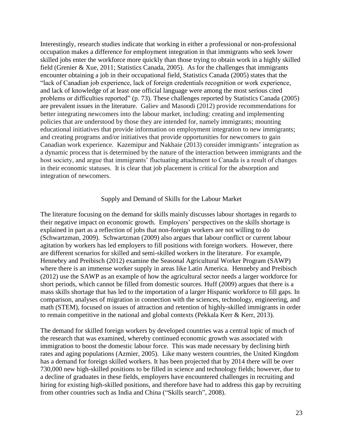Interestingly, research studies indicate that working in either a professional or non-professional occupation makes a difference for employment integration in that immigrants who seek lower skilled jobs enter the workforce more quickly than those trying to obtain work in a highly skilled field (Grenier & Xue, 2011; Statistics Canada, 2005). As for the challenges that immigrants encounter obtaining a job in their occupational field, Statistics Canada (2005) states that the "lack of Canadian job experience, lack of foreign credentials recognition or work experience, and lack of knowledge of at least one official language were among the most serious cited problems or difficulties reported" (p. 73). These challenges reported by Statistics Canada (2005) are prevalent issues in the literature. Galiev and Masoodi (2012) provide recommendations for better integrating newcomers into the labour market, including: creating and implementing policies that are understood by those they are intended for, namely immigrants; mounting educational initiatives that provide information on employment integration to new immigrants; and creating programs and/or initiatives that provide opportunities for newcomers to gain Canadian work experience. Kazemipur and Nakhaie (2013) consider immigrants' integration as a dynamic process that is determined by the nature of the interaction between immigrants and the host society, and argue that immigrants' fluctuating attachment to Canada is a result of changes in their economic statuses. It is clear that job placement is critical for the absorption and integration of newcomers.

#### Supply and Demand of Skills for the Labour Market

The literature focusing on the demand for skills mainly discusses labour shortages in regards to their negative impact on economic growth. Employers' perspectives on the skills shortage is explained in part as a reflection of jobs that non-foreign workers are not willing to do (Schwartzman, 2009). Schwartzman (2009) also argues that labour conflict or current labour agitation by workers has led employers to fill positions with foreign workers. However, there are different scenarios for skilled and semi-skilled workers in the literature. For example, Hennebry and Preibisch (2012) examine the Seasonal Agricultural Worker Program (SAWP) where there is an immense worker supply in areas like Latin America. Hennebry and Preibisch (2012) use the SAWP as an example of how the agricultural sector needs a larger workforce for short periods, which cannot be filled from domestic sources. Huff (2009) argues that there is a mass skills shortage that has led to the importation of a larger Hispanic workforce to fill gaps. In comparison, analyses of migration in connection with the sciences, technology, engineering, and math (STEM), focused on issues of attraction and retention of highly-skilled immigrants in order to remain competitive in the national and global contexts (Pekkala Kerr & Kerr, 2013).

The demand for skilled foreign workers by developed countries was a central topic of much of the research that was examined, whereby continued economic growth was associated with immigration to boost the domestic labour force. This was made necessary by declining birth rates and aging populations (Azmier, 2005). Like many western countries, the United Kingdom has a demand for foreign skilled workers. It has been projected that by 2014 there will be over 730,000 new high-skilled positions to be filled in science and technology fields; however, due to a decline of graduates in these fields, employers have encountered challenges in recruiting and hiring for existing high-skilled positions, and therefore have had to address this gap by recruiting from other countries such as India and China ("Skills search", 2008).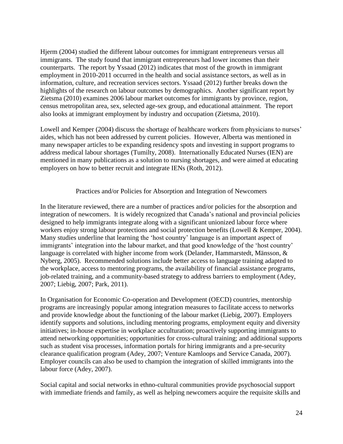Hjerm (2004) studied the different labour outcomes for immigrant entrepreneurs versus all immigrants. The study found that immigrant entrepreneurs had lower incomes than their counterparts. The report by Yssaad (2012) indicates that most of the growth in immigrant employment in 2010-2011 occurred in the health and social assistance sectors, as well as in information, culture, and recreation services sectors. Yssaad (2012) further breaks down the highlights of the research on labour outcomes by demographics. Another significant report by Zietsma (2010) examines 2006 labour market outcomes for immigrants by province, region, census metropolitan area, sex, selected age-sex group, and educational attainment. The report also looks at immigrant employment by industry and occupation (Zietsma, 2010).

Lowell and Kemper (2004) discuss the shortage of healthcare workers from physicians to nurses' aides, which has not been addressed by current policies. However, Alberta was mentioned in many newspaper articles to be expanding residency spots and investing in support programs to address medical labour shortages (Tumilty, 2008). Internationally Educated Nurses (IEN) are mentioned in many publications as a solution to nursing shortages, and were aimed at educating employers on how to better recruit and integrate IENs (Roth, 2012).

# Practices and/or Policies for Absorption and Integration of Newcomers

In the literature reviewed, there are a number of practices and/or policies for the absorption and integration of newcomers. It is widely recognized that Canada's national and provincial policies designed to help immigrants integrate along with a significant unionized labour force where workers enjoy strong labour protections and social protection benefits (Lowell & Kemper, 2004). Many studies underline that learning the 'host country' language is an important aspect of immigrants' integration into the labour market, and that good knowledge of the 'host country' language is correlated with higher income from work (Delander, Hammarstedt, Mänsson, & Nyberg, 2005). Recommended solutions include better access to language training adapted to the workplace, access to mentoring programs, the availability of financial assistance programs, job-related training, and a community-based strategy to address barriers to employment (Adey, 2007; Liebig, 2007; Park, 2011).

In Organisation for Economic Co-operation and Development (OECD) countries, mentorship programs are increasingly popular among integration measures to facilitate access to networks and provide knowledge about the functioning of the labour market (Liebig, 2007). Employers identify supports and solutions, including mentoring programs, employment equity and diversity initiatives; in-house expertise in workplace acculturation; proactively supporting immigrants to attend networking opportunities; opportunities for cross-cultural training; and additional supports such as student visa processes, information portals for hiring immigrants and a pre-security clearance qualification program (Adey, 2007; Venture Kamloops and Service Canada, 2007). Employer councils can also be used to champion the integration of skilled immigrants into the labour force (Adey, 2007).

Social capital and social networks in ethno-cultural communities provide psychosocial support with immediate friends and family, as well as helping newcomers acquire the requisite skills and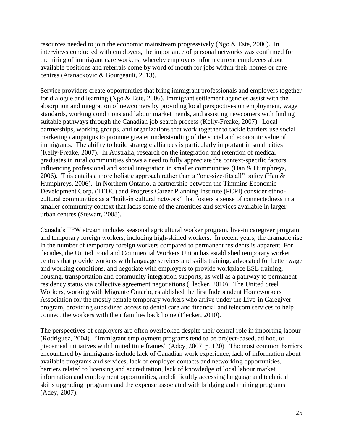resources needed to join the economic mainstream progressively (Ngo & Este, 2006). In interviews conducted with employers, the importance of personal networks was confirmed for the hiring of immigrant care workers, whereby employers inform current employees about available positions and referrals come by word of mouth for jobs within their homes or care centres (Atanackovic & Bourgeault, 2013).

Service providers create opportunities that bring immigrant professionals and employers together for dialogue and learning (Ngo & Este, 2006). Immigrant settlement agencies assist with the absorption and integration of newcomers by providing local perspectives on employment, wage standards, working conditions and labour market trends, and assisting newcomers with finding suitable pathways through the Canadian job search process (Kelly-Freake, 2007). Local partnerships, working groups, and organizations that work together to tackle barriers use social marketing campaigns to promote greater understanding of the social and economic value of immigrants. The ability to build strategic alliances is particularly important in small cities (Kelly-Freake, 2007). In Australia, research on the integration and retention of medical graduates in rural communities shows a need to fully appreciate the context-specific factors influencing professional and social integration in smaller communities (Han & Humphreys, 2006). This entails a more holistic approach rather than a "one-size-fits all" policy (Han & Humphreys, 2006). In Northern Ontario, a partnership between the Timmins Economic Development Corp. (TEDC) and Progress Career Planning Institute (PCPI) consider ethnocultural communities as a "built-in cultural network" that fosters a sense of connectedness in a smaller community context that lacks some of the amenities and services available in larger urban centres (Stewart, 2008).

Canada's TFW stream includes seasonal agricultural worker program, live-in caregiver program, and temporary foreign workers, including high-skilled workers. In recent years, the dramatic rise in the number of temporary foreign workers compared to permanent residents is apparent. For decades, the United Food and Commercial Workers Union has established temporary worker centres that provide workers with language services and skills training, advocated for better wage and working conditions, and negotiate with employers to provide workplace ESL training, housing, transportation and community integration supports, as well as a pathway to permanent residency status via collective agreement negotiations (Flecker, 2010). The United Steel Workers, working with Migrante Ontario, established the first Independent Homeworkers Association for the mostly female temporary workers who arrive under the Live-in Caregiver program, providing subsidized access to dental care and financial and telecom services to help connect the workers with their families back home (Flecker, 2010).

The perspectives of employers are often overlooked despite their central role in importing labour (Rodriguez, 2004). "Immigrant employment programs tend to be project-based, ad hoc, or piecemeal initiatives with limited time frames" (Adey, 2007, p. 120). The most common barriers encountered by immigrants include lack of Canadian work experience, lack of information about available programs and services, lack of employer contacts and networking opportunities, barriers related to licensing and accreditation, lack of knowledge of local labour market information and employment opportunities, and difficultly accessing language and technical skills upgrading programs and the expense associated with bridging and training programs (Adey, 2007).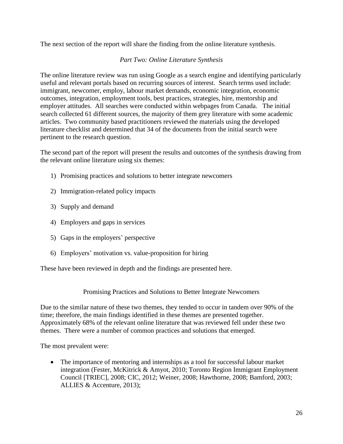The next section of the report will share the finding from the online literature synthesis.

# *Part Two: Online Literature Synthesis*

The online literature review was run using Google as a search engine and identifying particularly useful and relevant portals based on recurring sources of interest. Search terms used include: immigrant, newcomer, employ, labour market demands, economic integration, economic outcomes, integration, employment tools, best practices, strategies, hire, mentorship and employer attitudes. All searches were conducted within webpages from Canada. The initial search collected 61 different sources, the majority of them grey literature with some academic articles. Two community based practitioners reviewed the materials using the developed literature checklist and determined that 34 of the documents from the initial search were pertinent to the research question.

The second part of the report will present the results and outcomes of the synthesis drawing from the relevant online literature using six themes:

- 1) Promising practices and solutions to better integrate newcomers
- 2) Immigration-related policy impacts
- 3) Supply and demand
- 4) Employers and gaps in services
- 5) Gaps in the employers' perspective
- 6) Employers' motivation vs. value-proposition for hiring

These have been reviewed in depth and the findings are presented here.

Promising Practices and Solutions to Better Integrate Newcomers

Due to the similar nature of these two themes, they tended to occur in tandem over 90% of the time; therefore, the main findings identified in these themes are presented together. Approximately 68% of the relevant online literature that was reviewed fell under these two themes. There were a number of common practices and solutions that emerged.

The most prevalent were:

 The importance of mentoring and internships as a tool for successful labour market integration (Fester, McKitrick & Amyot, 2010; Toronto Region Immigrant Employment Council [TRIEC], 2008; CIC, 2012; Weiner, 2008; Hawthorne, 2008; Bamford, 2003; ALLIES & Accenture, 2013);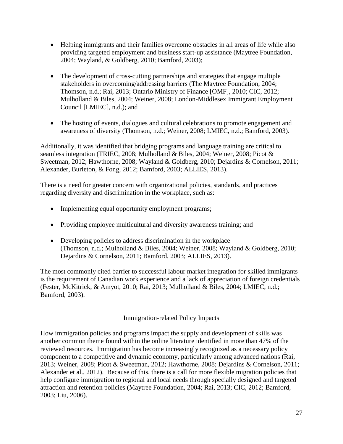- Helping immigrants and their families overcome obstacles in all areas of life while also providing targeted employment and business start-up assistance (Maytree Foundation, 2004; Wayland, & Goldberg, 2010; Bamford, 2003);
- The development of cross-cutting partnerships and strategies that engage multiple stakeholders in overcoming/addressing barriers (The Maytree Foundation, 2004; Thomson, n.d.; Rai, 2013; Ontario Ministry of Finance [OMF], 2010; CIC, 2012; Mulholland & Biles, 2004; Weiner, 2008; London-Middlesex Immigrant Employment Council [LMIEC], n.d.); and
- The hosting of events, dialogues and cultural celebrations to promote engagement and awareness of diversity (Thomson, n.d.; Weiner, 2008; LMIEC, n.d.; Bamford, 2003).

Additionally, it was identified that bridging programs and language training are critical to seamless integration (TRIEC, 2008; Mulholland & Biles, 2004; Weiner, 2008; Picot & Sweetman, 2012; Hawthorne, 2008; Wayland & Goldberg, 2010; Dejardins & Cornelson, 2011; Alexander, Burleton, & Fong, 2012; Bamford, 2003; ALLIES, 2013).

There is a need for greater concern with organizational policies, standards, and practices regarding diversity and discrimination in the workplace, such as:

- Implementing equal opportunity employment programs;
- Providing employee multicultural and diversity awareness training; and
- Developing policies to address discrimination in the workplace (Thomson, n.d.; Mulholland & Biles, 2004; Weiner, 2008; Wayland & Goldberg, 2010; Dejardins & Cornelson, 2011; Bamford, 2003; ALLIES, 2013).

The most commonly cited barrier to successful labour market integration for skilled immigrants is the requirement of Canadian work experience and a lack of appreciation of foreign credentials (Fester, McKitrick, & Amyot, 2010; Rai, 2013; Mulholland & Biles, 2004; LMIEC, n.d.; Bamford, 2003).

# Immigration-related Policy Impacts

How immigration policies and programs impact the supply and development of skills was another common theme found within the online literature identified in more than 47% of the reviewed resources. Immigration has become increasingly recognized as a necessary policy component to a competitive and dynamic economy, particularly among advanced nations (Rai, 2013; Weiner, 2008; Picot & Sweetman, 2012; Hawthorne, 2008; Dejardins & Cornelson, 2011; Alexander et al., 2012). Because of this, there is a call for more flexible migration policies that help configure immigration to regional and local needs through specially designed and targeted attraction and retention policies (Maytree Foundation, 2004; Rai, 2013; CIC, 2012; Bamford, 2003; Liu, 2006).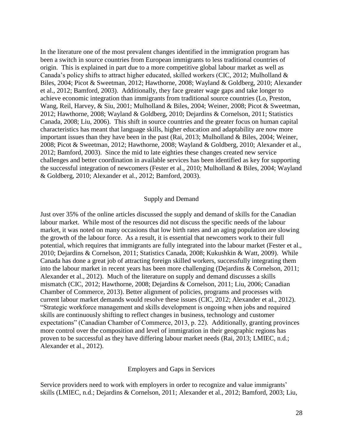In the literature one of the most prevalent changes identified in the immigration program has been a switch in source countries from European immigrants to less traditional countries of origin. This is explained in part due to a more competitive global labour market as well as Canada's policy shifts to attract higher educated, skilled workers (CIC, 2012; Mulholland & Biles, 2004; Picot & Sweetman, 2012; Hawthorne, 2008; Wayland & Goldberg, 2010; Alexander et al., 2012; Bamford, 2003). Additionally, they face greater wage gaps and take longer to achieve economic integration than immigrants from traditional source countries (Lo, Preston, Wang, Reil, Harvey, & Siu, 2001; Mulholland & Biles, 2004; Weiner, 2008; Picot & Sweetman, 2012; Hawthorne, 2008; Wayland & Goldberg, 2010; Dejardins & Cornelson, 2011; Statistics Canada, 2008; Liu, 2006). This shift in source countries and the greater focus on human capital characteristics has meant that language skills, higher education and adaptability are now more important issues than they have been in the past (Rai, 2013; Mulholland & Biles, 2004; Weiner, 2008; Picot & Sweetman, 2012; Hawthorne, 2008; Wayland & Goldberg, 2010; Alexander et al., 2012; Bamford, 2003). Since the mid to late eighties these changes created new service challenges and better coordination in available services has been identified as key for supporting the successful integration of newcomers (Fester et al., 2010; Mulholland & Biles, 2004; Wayland & Goldberg, 2010; Alexander et al., 2012; Bamford, 2003).

#### Supply and Demand

Just over 35% of the online articles discussed the supply and demand of skills for the Canadian labour market. While most of the resources did not discuss the specific needs of the labour market, it was noted on many occasions that low birth rates and an aging population are slowing the growth of the labour force. As a result, it is essential that newcomers work to their full potential, which requires that immigrants are fully integrated into the labour market (Fester et al., 2010; Dejardins & Cornelson, 2011; Statistics Canada, 2008; Kukushkin & Watt, 2009). While Canada has done a great job of attracting foreign skilled workers, successfully integrating them into the labour market in recent years has been more challenging (Dejardins & Cornelson, 2011; Alexander et al., 2012). Much of the literature on supply and demand discusses a skills mismatch (CIC, 2012; Hawthorne, 2008; Dejardins & Cornelson, 2011; Liu, 2006; Canadian Chamber of Commerce, 2013). Better alignment of policies, programs and processes with current labour market demands would resolve these issues (CIC, 2012; Alexander et al., 2012). "Strategic workforce management and skills development is ongoing when jobs and required skills are continuously shifting to reflect changes in business, technology and customer expectations" (Canadian Chamber of Commerce, 2013, p. 22). Additionally, granting provinces more control over the composition and level of immigration in their geographic regions has proven to be successful as they have differing labour market needs (Rai, 2013; LMIEC, n.d.; Alexander et al., 2012).

#### Employers and Gaps in Services

Service providers need to work with employers in order to recognize and value immigrants' skills (LMIEC, n.d.; Dejardins & Cornelson, 2011; Alexander et al., 2012; Bamford, 2003; Liu,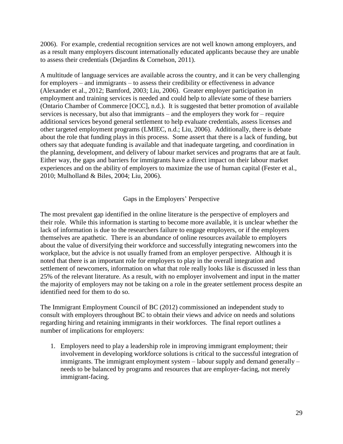2006). For example, credential recognition services are not well known among employers, and as a result many employers discount internationally educated applicants because they are unable to assess their credentials (Dejardins & Cornelson, 2011).

A multitude of language services are available across the country, and it can be very challenging for employers – and immigrants – to assess their credibility or effectiveness in advance (Alexander et al., 2012; Bamford, 2003; Liu, 2006). Greater employer participation in employment and training services is needed and could help to alleviate some of these barriers (Ontario Chamber of Commerce [OCC], n.d.). It is suggested that better promotion of available services is necessary, but also that immigrants – and the employers they work for – require additional services beyond general settlement to help evaluate credentials, assess licenses and other targeted employment programs (LMIEC, n.d.; Liu, 2006). Additionally, there is debate about the role that funding plays in this process. Some assert that there is a lack of funding, but others say that adequate funding is available and that inadequate targeting, and coordination in the planning, development, and delivery of labour market services and programs that are at fault. Either way, the gaps and barriers for immigrants have a direct impact on their labour market experiences and on the ability of employers to maximize the use of human capital (Fester et al., 2010; Mulholland & Biles, 2004; Liu, 2006).

# Gaps in the Employers' Perspective

The most prevalent gap identified in the online literature is the perspective of employers and their role. While this information is starting to become more available, it is unclear whether the lack of information is due to the researchers failure to engage employers, or if the employers themselves are apathetic. There is an abundance of online resources available to employers about the value of diversifying their workforce and successfully integrating newcomers into the workplace, but the advice is not usually framed from an employer perspective. Although it is noted that there is an important role for employers to play in the overall integration and settlement of newcomers, information on what that role really looks like is discussed in less than 25% of the relevant literature. As a result, with no employer involvement and input in the matter the majority of employers may not be taking on a role in the greater settlement process despite an identified need for them to do so.

The Immigrant Employment Council of BC (2012) commissioned an independent study to consult with employers throughout BC to obtain their views and advice on needs and solutions regarding hiring and retaining immigrants in their workforces. The final report outlines a number of implications for employers:

1. Employers need to play a leadership role in improving immigrant employment; their involvement in developing workforce solutions is critical to the successful integration of immigrants. The immigrant employment system – labour supply and demand generally – needs to be balanced by programs and resources that are employer-facing, not merely immigrant-facing.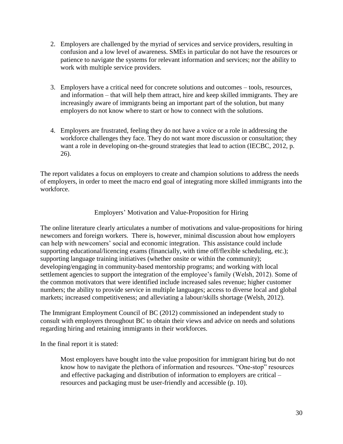- 2. Employers are challenged by the myriad of services and service providers, resulting in confusion and a low level of awareness. SMEs in particular do not have the resources or patience to navigate the systems for relevant information and services; nor the ability to work with multiple service providers.
- 3. Employers have a critical need for concrete solutions and outcomes tools, resources, and information – that will help them attract, hire and keep skilled immigrants. They are increasingly aware of immigrants being an important part of the solution, but many employers do not know where to start or how to connect with the solutions.
- 4. Employers are frustrated, feeling they do not have a voice or a role in addressing the workforce challenges they face. They do not want more discussion or consultation; they want a role in developing on-the-ground strategies that lead to action (IECBC, 2012, p. 26).

The report validates a focus on employers to create and champion solutions to address the needs of employers, in order to meet the macro end goal of integrating more skilled immigrants into the workforce.

# Employers' Motivation and Value-Proposition for Hiring

The online literature clearly articulates a number of motivations and value-propositions for hiring newcomers and foreign workers. There is, however, minimal discussion about how employers can help with newcomers' social and economic integration. This assistance could include supporting educational/licencing exams (financially, with time off/flexible scheduling, etc.); supporting language training initiatives (whether onsite or within the community); developing/engaging in community-based mentorship programs; and working with local settlement agencies to support the integration of the employee's family (Welsh, 2012). Some of the common motivators that were identified include increased sales revenue; higher customer numbers; the ability to provide service in multiple languages; access to diverse local and global markets; increased competitiveness; and alleviating a labour/skills shortage (Welsh, 2012).

The Immigrant Employment Council of BC (2012) commissioned an independent study to consult with employers throughout BC to obtain their views and advice on needs and solutions regarding hiring and retaining immigrants in their workforces.

In the final report it is stated:

Most employers have bought into the value proposition for immigrant hiring but do not know how to navigate the plethora of information and resources. "One-stop" resources and effective packaging and distribution of information to employers are critical – resources and packaging must be user-friendly and accessible (p. 10).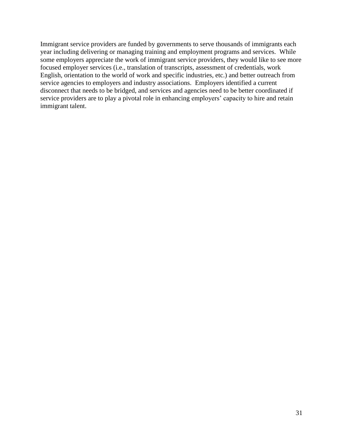Immigrant service providers are funded by governments to serve thousands of immigrants each year including delivering or managing training and employment programs and services. While some employers appreciate the work of immigrant service providers, they would like to see more focused employer services (i.e., translation of transcripts, assessment of credentials, work English, orientation to the world of work and specific industries, etc.) and better outreach from service agencies to employers and industry associations. Employers identified a current disconnect that needs to be bridged, and services and agencies need to be better coordinated if service providers are to play a pivotal role in enhancing employers' capacity to hire and retain immigrant talent.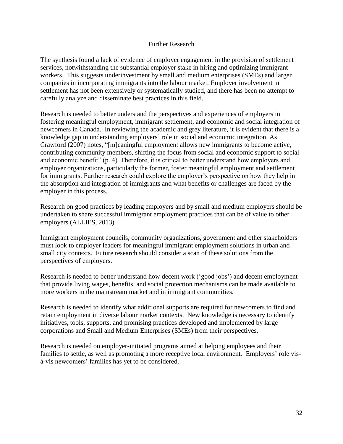# Further Research

The synthesis found a lack of evidence of employer engagement in the provision of settlement services, notwithstanding the substantial employer stake in hiring and optimizing immigrant workers. This suggests underinvestment by small and medium enterprises (SMEs) and larger companies in incorporating immigrants into the labour market. Employer involvement in settlement has not been extensively or systematically studied, and there has been no attempt to carefully analyze and disseminate best practices in this field.

Research is needed to better understand the perspectives and experiences of employers in fostering meaningful employment, immigrant settlement, and economic and social integration of newcomers in Canada. In reviewing the academic and grey literature, it is evident that there is a knowledge gap in understanding employers' role in social and economic integration. As Crawford (2007) notes, "[m]eaningful employment allows new immigrants to become active, contributing community members, shifting the focus from social and economic support to social and economic benefit" (p. 4). Therefore, it is critical to better understand how employers and employer organizations, particularly the former, foster meaningful employment and settlement for immigrants. Further research could explore the employer's perspective on how they help in the absorption and integration of immigrants and what benefits or challenges are faced by the employer in this process.

Research on good practices by leading employers and by small and medium employers should be undertaken to share successful immigrant employment practices that can be of value to other employers (ALLIES, 2013).

Immigrant employment councils, community organizations, government and other stakeholders must look to employer leaders for meaningful immigrant employment solutions in urban and small city contexts. Future research should consider a scan of these solutions from the perspectives of employers.

Research is needed to better understand how decent work ('good jobs') and decent employment that provide living wages, benefits, and social protection mechanisms can be made available to more workers in the mainstream market and in immigrant communities.

Research is needed to identify what additional supports are required for newcomers to find and retain employment in diverse labour market contexts. New knowledge is necessary to identify initiatives, tools, supports, and promising practices developed and implemented by large corporations and Small and Medium Enterprises (SMEs) from their perspectives.

Research is needed on employer-initiated programs aimed at helping employees and their families to settle, as well as promoting a more receptive local environment. Employers' role visà-vis newcomers' families has yet to be considered.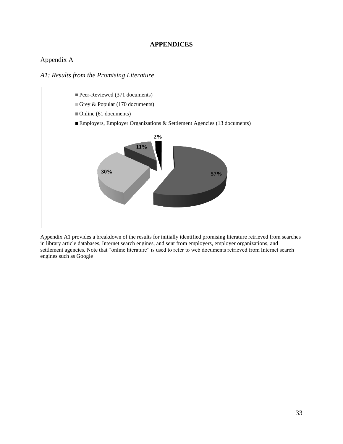#### **APPENDICES**

# Appendix A

*A1: Results from the Promising Literature* 



Appendix A1 provides a breakdown of the results for initially identified promising literature retrieved from searches in library article databases, Internet search engines, and sent from employers, employer organizations, and settlement agencies. Note that "online literature" is used to refer to web documents retrieved from Internet search engines such as Google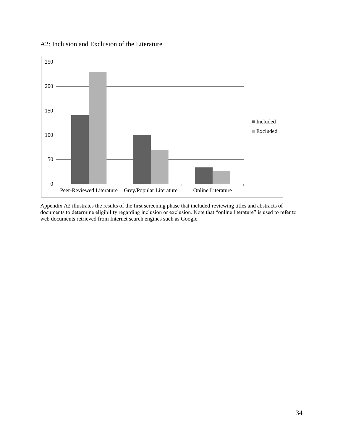# A2: Inclusion and Exclusion of the Literature



Appendix A2 illustrates the results of the first screening phase that included reviewing titles and abstracts of documents to determine eligibility regarding inclusion or exclusion. Note that "online literature" is used to refer to web documents retrieved from Internet search engines such as Google.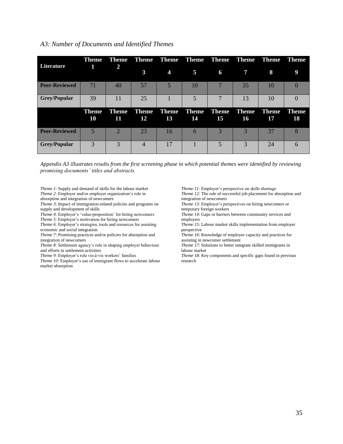### *A3: Number of Documents and Identified Themes*

| Literature           | <b>Theme</b>       | <b>Theme</b>       |                    |                     |                    | Theme Theme Theme Theme Theme |                    | <b>Theme</b>       | <b>Theme</b>       |
|----------------------|--------------------|--------------------|--------------------|---------------------|--------------------|-------------------------------|--------------------|--------------------|--------------------|
|                      | 1                  | 2                  | $\mathbf{3}$       | $\overline{\bf{4}}$ | 5                  | 6                             | 7                  | 8                  | 9                  |
| <b>Peer-Reviewed</b> | 71                 | 40                 | 57                 | 5                   | 10                 |                               | 35                 | 10                 |                    |
| <b>Grey/Popular</b>  | 39                 | 11                 | 25                 |                     |                    |                               | 13                 | 10                 |                    |
|                      | <b>Theme</b><br>10 | <b>Theme</b><br>11 | <b>Theme</b><br>12 | <b>Theme</b><br>13  | <b>Theme</b><br>14 | <b>Theme</b><br>15            | <b>Theme</b><br>16 | <b>Theme</b><br>17 | <b>Theme</b><br>18 |
| <b>Peer-Reviewed</b> | 5                  | $\overline{2}$     | 23                 | 16                  | 6                  | 3                             | 3                  | 37                 | 8                  |
| <b>Grey/Popular</b>  | 3                  | $\mathcal{E}$      | 4                  | 17                  |                    | 5                             | 3                  | 24                 | 6                  |

*Appendix A3 illustrates results from the first screening phase in which potential themes were identified by reviewing promising documents' titles and abstracts.* 

*Theme 1*: Supply and demand of skills for the labour market *Theme 2*: Employer and/or employer organization's role in

absorption and integration of newcomers

*Theme 3*: Impact of immigration-related policies and programs on supply and development of skills

*Theme 4*: Employer's 'value-proposition' for hiring newcomers

*Theme 5*: Employer's motivation for hiring newcomers

*Theme 6*: Employer's strategies, tools and resources for assisting economic and social integration

*Theme 7*: Promising practices and/or policies for absorption and integration of newcomers

*Theme 8*: Settlement agency's role in shaping employer behaviour and efforts in settlement activities

*Theme 9*: Employer's role vis-à-vis workers' families

*Theme 10*: Employer's use of immigrant flows to accelerate labour market absorption

*Theme 11*: Employer's perspective on skills shortage *Theme 12*: The role of successful job placement for absorption and integration of newcomers

*Theme 13*: Employer's perspectives on hiring newcomers or temporary foreign workers

*Theme 14*: Gaps or barriers between community services and employers

*Theme 15*: Labour market skills implementation from employer perspective

*Theme 16*: Knowledge of employer capacity and practices for assisting in newcomer settlement

*Theme 17*: Solutions to better integrate skilled immigrants in labour market

*Theme 18*: Key components and specific gaps found in previous research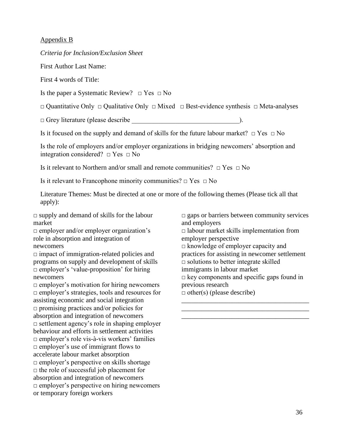## Appendix B

#### *Criteria for Inclusion/Exclusion Sheet*

First Author Last Name:

First 4 words of Title:

Is the paper a Systematic Review?□ Yes □ No

□ Quantitative Only □ Qualitative Only □ Mixed □ Best-evidence synthesis □ Meta-analyses

□ Grey literature (please describe \_\_\_\_\_\_\_\_\_\_\_\_\_\_\_\_\_\_\_\_\_\_\_\_\_\_\_\_\_\_\_\_).

Is it focused on the supply and demand of skills for the future labour market?  $\Box$  Yes  $\Box$  No

Is the role of employers and/or employer organizations in bridging newcomers' absorption and integration considered?  $\Box$  Yes  $\Box$  No

Is it relevant to Northern and/or small and remote communities?  $\Box$  Yes  $\Box$  No

Is it relevant to Francophone minority communities?  $\Box$  Yes  $\Box$  No

Literature Themes: Must be directed at one or more of the following themes (Please tick all that apply):

 $\Box$  supply and demand of skills for the labour market

 $\Box$  employer and/or employer organization's role in absorption and integration of newcomers

 $\Box$  impact of immigration-related policies and programs on supply and development of skills  $\Box$  employer's 'value-proposition' for hiring newcomers

 $\Box$  employer's motivation for hiring newcomers □ employer's strategies, tools and resources for assisting economic and social integration  $\Box$  promising practices and/or policies for absorption and integration of newcomers □ settlement agency's role in shaping employer behaviour and efforts in settlement activities □ employer's role vis-à-vis workers' families  $\Box$  employer's use of immigrant flows to accelerate labour market absorption  $\Box$  employer's perspective on skills shortage  $\Box$  the role of successful job placement for absorption and integration of newcomers  $\Box$  employer's perspective on hiring newcomers or temporary foreign workers

 $\square$  gaps or barriers between community services and employers  $\Box$  labour market skills implementation from employer perspective □ knowledge of employer capacity and practices for assisting in newcomer settlement

 $\Box$  solutions to better integrate skilled

immigrants in labour market

 $\square$  key components and specific gaps found in previous research

\_\_\_\_\_\_\_\_\_\_\_\_\_\_\_\_\_\_\_\_\_\_\_\_\_\_\_\_\_\_\_\_\_\_\_\_\_\_ \_\_\_\_\_\_\_\_\_\_\_\_\_\_\_\_\_\_\_\_\_\_\_\_\_\_\_\_\_\_\_\_\_\_\_\_\_\_ \_\_\_\_\_\_\_\_\_\_\_\_\_\_\_\_\_\_\_\_\_\_\_\_\_\_\_\_\_\_\_\_\_\_\_\_\_\_

 $\Box$  other(s) (please describe)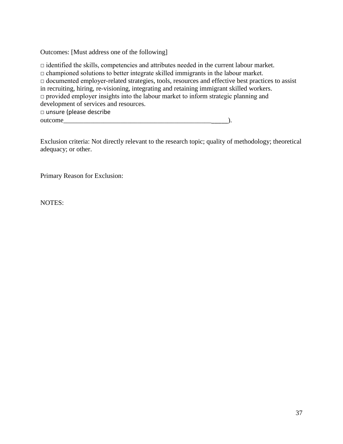Outcomes: [Must address one of the following]

 $\Box$  identified the skills, competencies and attributes needed in the current labour market.  $\Box$  championed solutions to better integrate skilled immigrants in the labour market. □ documented employer-related strategies, tools, resources and effective best practices to assist in recruiting, hiring, re-visioning, integrating and retaining immigrant skilled workers.  $\Box$  provided employer insights into the labour market to inform strategic planning and development of services and resources. □ unsure (please describe outcome\_\_\_\_\_\_\_\_\_\_\_\_\_\_\_\_\_\_\_\_\_\_\_\_\_\_\_\_\_\_\_\_\_\_\_\_\_\_\_\_\_\_\_\_\_\_\_\_\_).

Exclusion criteria: Not directly relevant to the research topic; quality of methodology; theoretical adequacy; or other.

Primary Reason for Exclusion:

NOTES: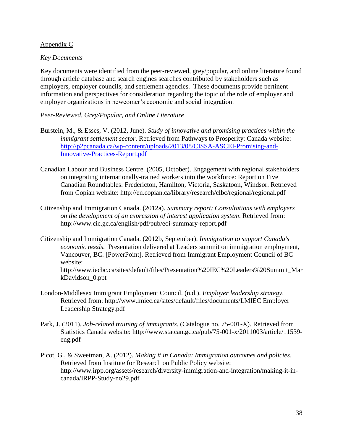## Appendix C

### *Key Documents*

Key documents were identified from the peer-reviewed, grey/popular, and online literature found through article database and search engines searches contributed by stakeholders such as employers, employer councils, and settlement agencies. These documents provide pertinent information and perspectives for consideration regarding the topic of the role of employer and employer organizations in newcomer's economic and social integration.

*Peer-Reviewed, Grey/Popular, and Online Literature*

- Burstein, M., & Esses, V. (2012, June). *Study of innovative and promising practices within the immigrant settlement sector*. Retrieved from Pathways to Prosperity: Canada website: [http://p2pcanada.ca/wp-content/uploads/2013/08/CISSA-ASCEI-Promising-and-](http://p2pcanada.ca/wp-content/uploads/2013/08/CISSA-ASCEI-Promising-and-Innovative-Practices-Report.pdf)[Innovative-Practices-Report.pdf](http://p2pcanada.ca/wp-content/uploads/2013/08/CISSA-ASCEI-Promising-and-Innovative-Practices-Report.pdf)
- Canadian Labour and Business Centre. (2005, October). Engagement with regional stakeholders on integrating internationally-trained workers into the workforce: Report on Five Canadian Roundtables: Fredericton, Hamilton, Victoria, Saskatoon, Windsor. Retrieved from Copian website:<http://en.copian.ca/library/research/clbc/regional/regional.pdf>
- Citizenship and Immigration Canada. (2012a). *Summary report: Consultations with employers on the development of an expression of interest application system*. Retrieved from: http://www.cic.gc.ca/english/pdf/pub/eoi-summary-report.pdf
- Citizenship and Immigration Canada. (2012b, September). *Immigration to support Canada's economic needs*. Presentation delivered at Leaders summit on immigration employment, Vancouver, BC. [PowerPoint]. Retrieved from Immigrant Employment Council of BC website: [http://www.iecbc.ca/sites/default/files/Presentation%20IEC%20Leaders%20Summit\\_Mar](http://www.google.ca/url?q=http://www.iecbc.ca/sites/default/files/Presentation%2520IEC%2520Leaders%2520Summit_MarkDavidson_0.ppt&ei=WbeqUtOyMdjboAS9voKQBw&sa=X&oi=unauthorizedredirect&ct=targetlink&ust=1386921569811227&usg=AFQjCNHcbrhKfHBn_C-oCYBGsdbgHY1Bhg) [kDavidson\\_0.ppt](http://www.google.ca/url?q=http://www.iecbc.ca/sites/default/files/Presentation%2520IEC%2520Leaders%2520Summit_MarkDavidson_0.ppt&ei=WbeqUtOyMdjboAS9voKQBw&sa=X&oi=unauthorizedredirect&ct=targetlink&ust=1386921569811227&usg=AFQjCNHcbrhKfHBn_C-oCYBGsdbgHY1Bhg)
- London-Middlesex Immigrant Employment Council. (n.d.). *Employer leadership strategy*. Retrieved from: http://www.lmiec.ca/sites/default/files/documents/LMIEC Employer Leadership Strategy.pdf
- Park, J. (2011). *Job-related training of immigrants*. (Catalogue no. 75-001-X). Retrieved from Statistics Canada website: http://www.statcan.gc.ca/pub/75-001-x/2011003/article/11539 eng.pdf
- Picot, G., & Sweetman, A. (2012). *Making it in Canada: Immigration outcomes and policies*. Retrieved from Institute for Research on Public Policy website: http://www.irpp.org/assets/research/diversity-immigration-and-integration/making-it-incanada/IRPP-Study-no29.pdf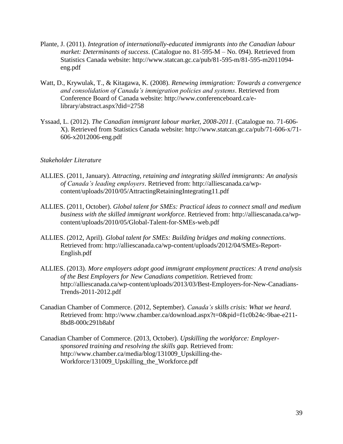- Plante, J. (2011). *Integration of internationally-educated immigrants into the Canadian labour market: Determinants of success*. (Catalogue no. 81-595-M – No. 094). Retrieved from Statistics Canada website: http://www.statcan.gc.ca/pub/81-595-m/81-595-m2011094 eng.pdf
- Watt, D., Krywulak, T., & Kitagawa, K. (2008). *Renewing immigration: Towards a convergence and consolidation of Canada's immigration policies and systems*. Retrieved from Conference Board of Canada website: http://www.conferenceboard.ca/elibrary/abstract.aspx?did=2758
- Yssaad, L. (2012). *The Canadian immigrant labour market, 2008-2011*. (Catalogue no. 71-606- X). Retrieved from Statistics Canada website: http://www.statcan.gc.ca/pub/71-606-x/71- 606-x2012006-eng.pdf

## *Stakeholder Literature*

- ALLIES. (2011, January). *Attracting, retaining and integrating skilled immigrants: An analysis of Canada's leading employers*. Retrieved from: http://alliescanada.ca/wpcontent/uploads/2010/05/AttractingRetainingIntegrating11.pdf
- ALLIES. (2011, October). *Global talent for SMEs: Practical ideas to connect small and medium business with the skilled immigrant workforce*. Retrieved from: http://alliescanada.ca/wpcontent/uploads/2010/05/Global-Talent-for-SMEs-web.pdf
- ALLIES. (2012, April). *Global talent for SMEs: Building bridges and making connections*. Retrieved from: http://alliescanada.ca/wp-content/uploads/2012/04/SMEs-Report-English.pdf
- ALLIES. (2013). *More employers adopt good immigrant employment practices: A trend analysis of the Best Employers for New Canadians competition*. Retrieved from: http://alliescanada.ca/wp-content/uploads/2013/03/Best-Employers-for-New-Canadians-Trends-2011-2012.pdf
- Canadian Chamber of Commerce. (2012, September). *Canada's skills crisis: What we heard*. Retrieved from: http://www.chamber.ca/download.aspx?t=0&pid=f1c0b24c-9bae-e211- 8bd8-000c291b8abf
- Canadian Chamber of Commerce. (2013, October). *Upskilling the workforce: Employersponsored training and resolving the skills gap.* Retrieved from: http://www.chamber.ca/media/blog/131009\_Upskilling-the-Workforce/131009\_Upskilling\_the\_Workforce.pdf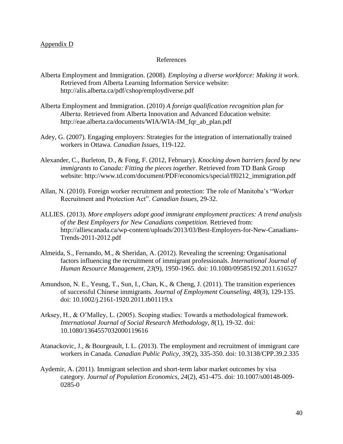#### Appendix D

#### References

- Alberta Employment and Immigration. (2008). *Employing a diverse workforce: Making it work*. Retrieved from Alberta Learning Information Service website: http://alis.alberta.ca/pdf/cshop/employdiverse.pdf
- Alberta Employment and Immigration. (2010) *A foreign qualification recognition plan for Alberta.* Retrieved from Alberta Innovation and Advanced Education website: http://eae.alberta.ca/documents/WIA/WIA-IM\_fqr\_ab\_plan.pdf
- Adey, G. (2007). Engaging employers: Strategies for the integration of internationally trained workers in Ottawa. *Canadian Issues*, 119-122.
- Alexander, C., Burleton, D., & Fong, F. (2012, February). *Knocking down barriers faced by new immigrants to Canada: Fitting the pieces together*. Retrieved from TD Bank Group website: http://www.td.com/document/PDF/economics/special/ff0212\_immigration.pdf
- Allan, N. (2010). Foreign worker recruitment and protection: The role of Manitoba's "Worker Recruitment and Protection Act". *Canadian Issues*, 29-32.
- ALLIES. (2013). *More employers adopt good immigrant employment practices: A trend analysis of the Best Employers for New Canadians competition*. Retrieved from: http://alliescanada.ca/wp-content/uploads/2013/03/Best-Employers-for-New-Canadians-Trends-2011-2012.pdf
- Almeida, S., Fernando, M., & Sheridan, A. (2012). Revealing the screening: Organisational factors influencing the recruitment of immigrant professionals. *International Journal of Human Resource Management, 23*(9), 1950-1965. doi: 10.1080/09585192.2011.616527
- Amundson, N. E., Yeung, T., Sun, I., Chan, K., & Cheng, J. (2011). The transition experiences of successful Chinese immigrants. *Journal of Employment Counseling, 48*(3), 129-135. doi: 10.1002/j.2161-1920.2011.tb01119.x
- Arksey, H., & O'Malley, L. (2005). Scoping studies: Towards a methodological framework. *International Journal of Social Research Methodology*, *8*(1), 19-32. doi: 10.1080/1364557032000119616
- Atanackovic, J., & [Bourgeault,](http://muse.jhu.edu/results?section1=author&search1=Ivy%20Lynn%20Bourgeault) I. L. (2013). The employment and recruitment of immigrant care workers in Canada. *Canadian Public Policy, 39*(2), 335-350. doi: 10.3138/CPP.39.2.335
- Aydemir, A. (2011). Immigrant selection and short-term labor market outcomes by visa category. *Journal of Population Economics, 24*(2), 451-475. doi: 10.1007/s00148-009- 0285-0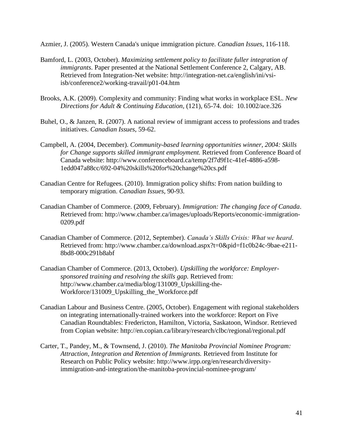Azmier, J. (2005). Western Canada's unique immigration picture. *Canadian Issues*, 116-118.

- Bamford, L. (2003, October). *Maximizing settlement policy to facilitate fuller integration of immigrants*. Paper presented at the National Settlement Conference 2, Calgary, AB. Retrieved from Integration-Net website: http://integration-net.ca/english/ini/vsiisb/conference2/working-travail/p01-04.htm
- Brooks, A.K. (2009). Complexity and community: Finding what works in workplace ESL. *New Directions for Adult & Continuing Education,* (121), 65-74. doi: 10.1002/ace.326
- Buhel, O., & Janzen, R. (2007). A national review of immigrant access to professions and trades initiatives. *Canadian Issues*, 59-62.
- Campbell, A. (2004, December). *Community-based learning opportunities winner, 2004: Skills for Change supports skilled immigrant employment.* Retrieved from Conference Board of Canada website: http://www.conferenceboard.ca/temp/2f7d9f1c-41ef-4886-a598- 1edd047a88cc/692-04%20skills%20for%20change%20cs.pdf
- Canadian Centre for Refugees. (2010). Immigration policy shifts: From nation building to temporary migration. *Canadian Issues*, 90-93.
- Canadian Chamber of Commerce. (2009, February). *Immigration: The changing face of Canada*. Retrieved from: http://www.chamber.ca/images/uploads/Reports/economic-immigration-0209.pdf
- Canadian Chamber of Commerce. (2012, September). *Canada's Skills Crisis: What we heard*. Retrieved from: http://www.chamber.ca/download.aspx?t=0&pid=f1c0b24c-9bae-e211- 8bd8-000c291b8abf
- Canadian Chamber of Commerce. (2013, October). *Upskilling the workforce: Employersponsored training and resolving the skills gap.* Retrieved from: http://www.chamber.ca/media/blog/131009\_Upskilling-the-Workforce/131009\_Upskilling\_the\_Workforce.pdf
- Canadian Labour and Business Centre. (2005, October). Engagement with regional stakeholders on integrating internationally-trained workers into the workforce: Report on Five Canadian Roundtables: Fredericton, Hamilton, Victoria, Saskatoon, Windsor. Retrieved from Copian website:<http://en.copian.ca/library/research/clbc/regional/regional.pdf>
- Carter, T., Pandey, M., & Townsend, J. (2010). *The Manitoba Provincial Nominee Program: Attraction, Integration and Retention of Immigrants.* Retrieved from Institute for Research on Public Policy website: http://www.irpp.org/en/research/diversityimmigration-and-integration/the-manitoba-provincial-nominee-program/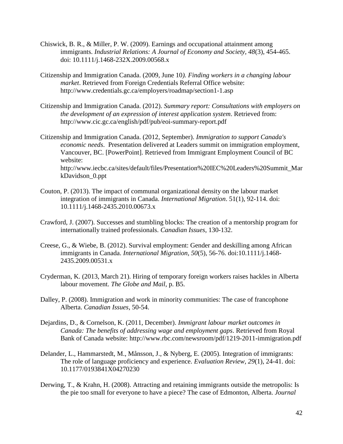- Chiswick, B. R., & Miller, P. W. (2009). Earnings and occupational attainment among immigrants. *Industrial Relations: A Journal of Economy and Society, 48*(3), 454-465. doi: 10.1111/j.1468-232X.2009.00568.x
- Citizenship and Immigration Canada. (2009, June 10*). Finding workers in a changing labour market*. Retrieved from Foreign Credentials Referral Office website: http://www.credentials.gc.ca/employers/roadmap/section1-1.asp
- Citizenship and Immigration Canada. (2012). *Summary report: Consultations with employers on the development of an expression of interest application system*. Retrieved from: http://www.cic.gc.ca/english/pdf/pub/eoi-summary-report.pdf
- Citizenship and Immigration Canada. (2012, September). *Immigration to support Canada's economic needs*. Presentation delivered at Leaders summit on immigration employment, Vancouver, BC. [PowerPoint]. Retrieved from Immigrant Employment Council of BC website: [http://www.iecbc.ca/sites/default/files/Presentation%20IEC%20Leaders%20Summit\\_Mar](http://www.google.ca/url?q=http://www.iecbc.ca/sites/default/files/Presentation%2520IEC%2520Leaders%2520Summit_MarkDavidson_0.ppt&ei=WbeqUtOyMdjboAS9voKQBw&sa=X&oi=unauthorizedredirect&ct=targetlink&ust=1386921569811227&usg=AFQjCNHcbrhKfHBn_C-oCYBGsdbgHY1Bhg) [kDavidson\\_0.ppt](http://www.google.ca/url?q=http://www.iecbc.ca/sites/default/files/Presentation%2520IEC%2520Leaders%2520Summit_MarkDavidson_0.ppt&ei=WbeqUtOyMdjboAS9voKQBw&sa=X&oi=unauthorizedredirect&ct=targetlink&ust=1386921569811227&usg=AFQjCNHcbrhKfHBn_C-oCYBGsdbgHY1Bhg)
- Couton, P. (2013). The impact of communal organizational density on the labour market integration of immigrants in Canada. *International Migration*. 51(1), 92-114. doi: 10.1111/j.1468-2435.2010.00673.x
- Crawford, J. (2007). Successes and stumbling blocks: The creation of a mentorship program for internationally trained professionals. *Canadian Issues*, 130-132.
- Creese, G., & Wiebe, B. (2012). Survival employment: Gender and deskilling among African immigrants in Canada. *International Migration, 50*(5), 56-76. doi:10.1111/j.1468- 2435.2009.00531.x
- Cryderman, K. (2013, March 21). Hiring of temporary foreign workers raises hackles in Alberta labour movement. *The Globe and Mail*, p. B5.
- Dalley, P. (2008). Immigration and work in minority communities: The case of francophone Alberta. *Canadian Issues*, 50-54.
- Dejardins, D., & Cornelson, K. (2011, December). *Immigrant labour market outcomes in Canada: The benefits of addressing wage and employment gaps*. Retrieved from Royal Bank of Canada website: http://www.rbc.com/newsroom/pdf/1219-2011-immigration.pdf
- Delander, L., Hammarstedt, M., Månsson, J., & Nyberg, E. (2005). Integration of immigrants: The role of language proficiency and experience. *Evaluation Review, 29*(1), 24-41. doi: 10.1177/0193841X04270230
- Derwing, T., & Krahn, H. (2008). Attracting and retaining immigrants outside the metropolis: Is the pie too small for everyone to have a piece? The case of Edmonton, Alberta. *Journal*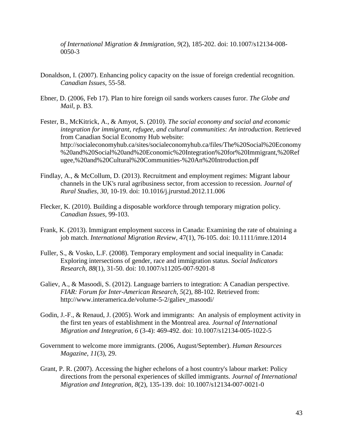*of International Migration & Immigration, 9*(2), 185-202. doi: 10.1007/s12134-008- 0050-3

- Donaldson, I. (2007). Enhancing policy capacity on the issue of foreign credential recognition. *Canadian Issues*, 55-58.
- Ebner, D. (2006, Feb 17). Plan to hire foreign oil sands workers causes furor. *The Globe and Mail*, p. B3.
- Fester, B., McKitrick, A., & Amyot, S. (2010). *The social economy and social and economic integration for immigrant, refugee, and cultural communities: An introduction*. Retrieved from Canadian Social Economy Hub website: http://socialeconomyhub.ca/sites/socialeconomyhub.ca/files/The%20Social%20Economy %20and%20Social%20and%20Economic%20Integration%20for%20Immigrant,%20Ref ugee,%20and%20Cultural%20Communities-%20An%20Introduction.pdf
- Findlay, A., & McCollum, D. (2013). Recruitment and employment regimes: Migrant labour channels in the UK's rural agribusiness sector, from accession to recession. *Journal of Rural Studies, 30,* 10-19. doi: 10.1016/j.jrurstud.2012.11.006
- Flecker, K. (2010). Building a disposable workforce through temporary migration policy. *Canadian Issues*, 99-103.
- Frank, K. (2013). Immigrant employment success in Canada: Examining the rate of obtaining a job match. *International Migration Review,* 47(1), 76-105. doi: 10.1111/imre.12014
- Fuller, S., & Vosko, L.F. (2008). Temporary employment and social inequality in Canada: Exploring intersections of gender, race and immigration status. *Social Indicators Research, 88*(1), 31-50. doi: 10.1007/s11205-007-9201-8
- Galiev, A., & Masoodi, S. (2012). Language barriers to integration: A Canadian perspective. *FIAR: Forum for Inter-American Research, 5*(2), 88-102. Retrieved from: http://www.interamerica.de/volume-5-2/galiev\_masoodi/
- Godin, J.-F., & Renaud, J. (2005). Work and immigrants: An analysis of employment activity in the first ten years of establishment in the Montreal area. *Journal of International Migration and Integration, 6* (3-4): 469-492. doi: 10.1007/s12134-005-1022-5
- Government to welcome more immigrants. (2006, August/September). *Human Resources Magazine*, *11*(3), 29.
- Grant, P. R. (2007). Accessing the higher echelons of a host country's labour market: Policy directions from the personal experiences of skilled immigrants. *Journal of International Migration and Integration, 8*(2), 135-139. doi: 10.1007/s12134-007-0021-0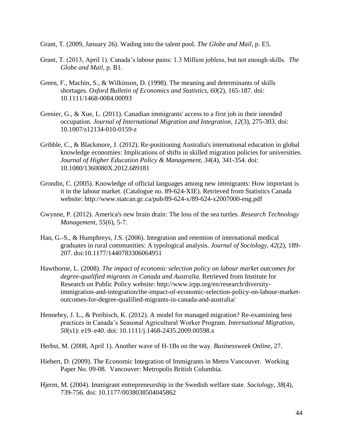Grant, T. (2009, January 26). Wading into the talent pool. *The Globe and Mail*, p. E5.

- Grant, T. (2013, April 1). Canada's labour pains: 1.3 Million jobless, but not enough skills. *The Globe and Mail,* p. B1.
- Green, F., Machin, S., & Wilkinson, D. (1998). The meaning and determinants of skills shortages. *Oxford Bulletin of Economics and Statistics, 60*(2), 165-187. doi: 10.1111/1468-0084.00093
- Grenier, G., & Xue, L. (2011). Canadian immigrants' access to a first job in their intended occupation. *Journal of International Migration and Integration, 12*(3), 275-303. doi: 10.1007/s12134-010-0159-z
- Gribble, C., & Blackmore, J. (2012). Re-positioning Australia's international education in global knowledge economies: Implications of shifts in skilled migration policies for universities. *Journal of Higher Education Policy & Management, 34*(4), 341-354. doi: 10.1080/1360080X.2012.689181
- Grondin, C. (2005). Knowledge of official languages among new immigrants: How important is it in the labour market. (Catalogue no. 89-624-XIE). Retrieved from Statistics Canada website: http://www.statcan.gc.ca/pub/89-624-x/89-624-x2007000-eng.pdf
- Gwynne, P. (2012). America's new brain drain: The loss of the sea turtles. *Research Technology Management, 55*(6), 5-7.
- Han, G.-S., & Humphreys, J.S. (2006). Integration and retention of international medical graduates in rural communities: A typological analysis. *Journal of Sociology, 42*(2), 189- 207. doi:10.1177/1440783306064951
- Hawthorne, L. (2008). *The impact of economic selection policy on labour market outcomes for degree-qualified migrants in Canada and Australia*. Retrieved from Institute for Research on Public Policy website: http://www.irpp.org/en/research/diversityimmigration-and-integration/the-impact-of-economic-selection-policy-on-labour-marketoutcomes-for-degree-qualified-migrants-in-canada-and-australia/
- Hennebry, J. L., & Preibisch, K. (2012). A model for managed migration? Re-examining best practices in Canada's Seasonal Agricultural Worker Program. *International Migration, 50*(s1): e19–e40. doi: 10.1111/j.1468-2435.2009.00598.x
- Herbst, M. (2008, April 1). Another wave of H-1Bs on the way. *Businessweek Online*, 27.
- Hiebert, D. (2009). The Economic Integration of Immigrants in Metro Vancouver. Working Paper No. 09-08. Vancouver: Metropolis British Columbia.
- Hjerm, M. (2004). Immigrant entrepreneurship in the Swedish welfare state. *Sociology, 38*(4), 739-756. doi: 10.1177/0038038504045862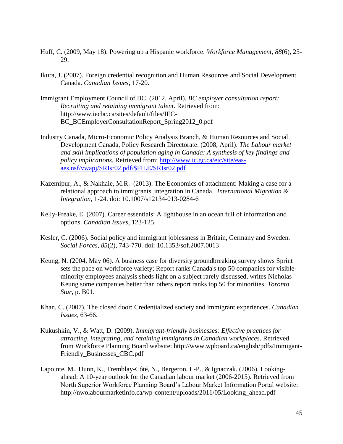- Huff, C. (2009, May 18). Powering up a Hispanic workforce. *Workforce Management, 88*(6), 25- 29.
- Ikura, J. (2007). Foreign credential recognition and Human Resources and Social Development Canada. *Canadian Issues*, 17-20.
- Immigrant Employment Council of BC. (2012, April). *BC employer consultation report: Recruiting and retaining immigrant talent*. Retrieved from: http://www.iecbc.ca/sites/default/files/IEC-BC\_BCEmployerConsultationReport\_Spring2012\_0.pdf
- Industry Canada, Micro-Economic Policy Analysis Branch, & Human Resources and Social Development Canada, Policy Research Directorate. (2008, April). *The Labour market and skill implications of population aging in Canada: A synthesis of key findings and policy implications.* Retrieved from: [http://www.ic.gc.ca/eic/site/eas](http://www.ic.gc.ca/eic/site/eas-aes.nsf/vwapj/SRIsr02.pdf/$FILE/SRIsr02.pdf)[aes.nsf/vwapj/SRIsr02.pdf/\\$FILE/SRIsr02.pdf](http://www.ic.gc.ca/eic/site/eas-aes.nsf/vwapj/SRIsr02.pdf/$FILE/SRIsr02.pdf)
- Kazemipur, A., & Nakhaie, M.R. (2013). The Economics of attachment: Making a case for a relational approach to immigrants' integration in Canada. *International Migration & Integration*, 1-24. doi: 10.1007/s12134-013-0284-6
- Kelly-Freake, E. (2007). Career essentials: A lighthouse in an ocean full of information and options. *Canadian Issues*, 123-125.
- Kesler, C. (2006). Social policy and immigrant joblessness in Britain, Germany and Sweden. *Social Forces, 85*(2), 743-770. doi: 10.1353/sof.2007.0013
- Keung, N. (2004, May 06). A business case for diversity groundbreaking survey shows Sprint sets the pace on workforce variety; Report ranks Canada's top 50 companies for visibleminority employees analysis sheds light on a subject rarely discussed, writes Nicholas Keung some companies better than others report ranks top 50 for minorities. *Toronto Star*, p. B01.
- Khan, C. (2007). The closed door: Credentialized society and immigrant experiences. *Canadian Issues*, 63-66.
- Kukushkin, V., & Watt, D. (2009). *Immigrant-friendly businesses: Effective practices for attracting, integrating, and retaining immigrants in Canadian workplaces*. Retrieved from Workforce Planning Board website: http://www.wpboard.ca/english/pdfs/Immigant-Friendly\_Businesses\_CBC.pdf
- Lapointe, M., Dunn, K., Tremblay-Côté, N., Bergeron, L-P., & Ignaczak. (2006). Lookingahead: A 10-year outlook for the Canadian labour market (2006-2015). Retrieved from North Superior Workforce Planning Board's Labour Market Information Portal website: http://nwolabourmarketinfo.ca/wp-content/uploads/2011/05/Looking\_ahead.pdf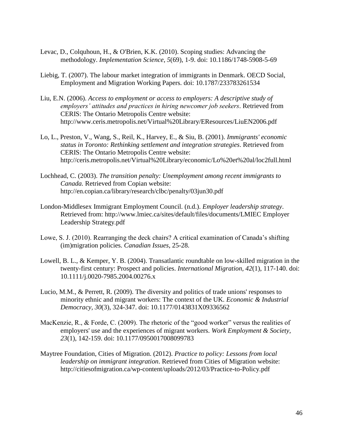- Levac, D., Colquhoun, H., & O'Brien, K.K. (2010). Scoping studies: Advancing the methodology. *Implementation Science*, *5*(69), 1-9. doi: 10.1186/1748-5908-5-69
- Liebig, T. (2007). The labour market integration of immigrants in Denmark. OECD Social, Employment and Migration Working Papers. doi: 10.1787/233783261534
- Liu, E.N. (2006). *Access to employment or access to employers: A descriptive study of employers' attitudes and practices in hiring newcomer job seekers*. Retrieved from CERIS: The Ontario Metropolis Centre website: http://www.ceris.metropolis.net/Virtual%20Library/EResources/LiuEN2006.pdf
- Lo, L., Preston, V., Wang, S., Reil, K., Harvey, E., & Siu, B. (2001). *Immigrants' economic status in Toronto: Rethinking settlement and integration strategies*. Retrieved from CERIS: The Ontario Metropolis Centre website: http://ceris.metropolis.net/Virtual%20Library/economic/Lo%20et%20al/loc2full.html
- Lochhead, C. (2003). *The transition penalty: Unemployment among recent immigrants to Canada.* Retrieved from Copian website: http://en.copian.ca/library/research/clbc/penalty/03jun30.pdf
- London-Middlesex Immigrant Employment Council. (n.d.). *Employer leadership strategy*. Retrieved from: http://www.lmiec.ca/sites/default/files/documents/LMIEC Employer Leadership Strategy.pdf
- Lowe, S. J. (2010). Rearranging the deck chairs? A critical examination of Canada's shifting (im)migration policies. *Canadian Issues*, 25-28.
- Lowell, B. L., & Kemper, Y. B. (2004). Transatlantic roundtable on low-skilled migration in the twenty-first century: Prospect and policies. *International Migration, 42*(1), 117-140. doi: 10.1111/j.0020-7985.2004.00276.x
- Lucio, M.M., & Perrett, R. (2009). The diversity and politics of trade unions' responses to minority ethnic and migrant workers: The context of the UK. *Economic & Industrial Democracy, 30*(3), 324-347. doi: 10.1177/0143831X09336562
- MacKenzie, R., & Forde, C. (2009). The rhetoric of the "good worker" versus the realities of employers' use and the experiences of migrant workers. *Work Employment & Society, 23*(1), 142-159. doi: 10.1177/0950017008099783
- Maytree Foundation, Cities of Migration. (2012). *Practice to policy: Lessons from local leadership on immigrant integration*. Retrieved from Cities of Migration website: http://citiesofmigration.ca/wp-content/uploads/2012/03/Practice-to-Policy.pdf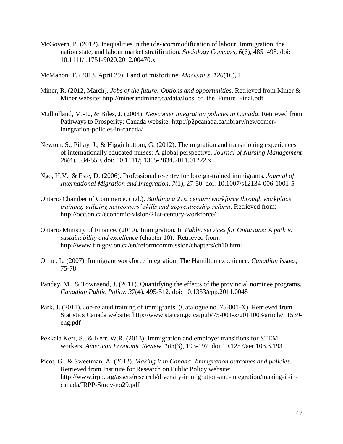- McGovern, P. (2012). Inequalities in the (de-)commodification of labour: Immigration, the nation state, and labour market stratification. *Sociology Compass, 6*(6), 485–498. doi: 10.1111/j.1751-9020.2012.00470.x
- McMahon, T. (2013, April 29). Land of misfortune. *Maclean's*, *126*(16), 1.
- Miner, R. (2012, March). *Jobs of the future: Options and opportunities*. Retrieved from Miner & Miner website: http://minerandminer.ca/data/Jobs\_of\_the\_Future\_Final.pdf
- Mulholland, M.-L., & Biles, J. (2004). *Newcomer integration policies in Canada*. Retrieved from Pathways to Prosperity: Canada website: http://p2pcanada.ca/library/newcomerintegration-policies-in-canada/
- Newton, S., Pillay, J., & Higginbottom, G. (2012). The migration and transitioning experiences of internationally educated nurses: A global perspective. *Journal of Nursing Management 20*(4), 534-550. doi: 10.1111/j.1365-2834.2011.01222.x
- Ngo, H.V., & Este, D. (2006). Professional re-entry for foreign-trained immigrants. *Journal of International Migration and Integration, 7*(1), 27-50. doi: 10.1007/s12134-006-1001-5
- Ontario Chamber of Commerce. (n.d.). *Building a 21st century workforce through workplace training, utilizing newcomers' skills and apprenticeship reform*. Retrieved from: http://occ.on.ca/economic-vision/21st-century-workforce/
- Ontario Ministry of Finance. (2010). Immigration. In *Public services for Ontarians: A path to sustainability and excellence* (chapter 10). Retrieved from: http://www.fin.gov.on.ca/en/reformcommission/chapters/ch10.html
- Orme, L. (2007). Immigrant workforce integration: The Hamilton experience. *Canadian Issues*, 75-78.
- Pandey, M., & Townsend, J. (2011). Quantifying the effects of the provincial nominee programs. *Canadian Public Policy, 37*(4), 495-512. doi: 10.1353/cpp.2011.0048
- Park, J. (2011). Job-related training of immigrants. (Catalogue no. 75-001-X). Retrieved from Statistics Canada website: http://www.statcan.gc.ca/pub/75-001-x/2011003/article/11539 eng.pdf
- Pekkala Kerr, S., & Kerr, W.R. (2013). Immigration and employer transitions for STEM workers. *American Economic Review, 103*(3), 193-197. doi:10.1257/aer.103.3.193
- Picot, G., & Sweetman, A. (2012). *Making it in Canada: Immigration outcomes and policies*. Retrieved from Institute for Research on Public Policy website: http://www.irpp.org/assets/research/diversity-immigration-and-integration/making-it-incanada/IRPP-Study-no29.pdf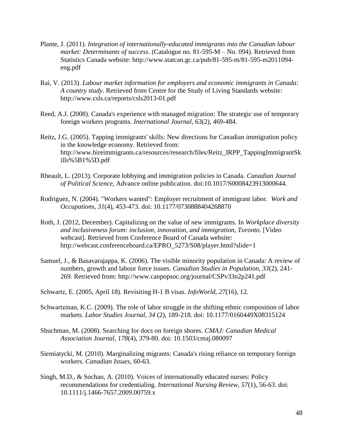- Plante, J. (2011). *Integration of internationally-educated immigrants into the Canadian labour market: Determinants of success*. (Catalogue no. 81-595-M – No. 094). Retrieved from Statistics Canada website: http://www.statcan.gc.ca/pub/81-595-m/81-595-m2011094 eng.pdf
- Rai, V. (2013). *Labour market information for employers and economic immigrants in Canada: A country study*. Retrieved from Centre for the Study of Living Standards website: http://www.csls.ca/reports/csls2013-01.pdf
- Reed, A.J. (2008). Canada's experience with managed migration: The strategic use of temporary foreign workers programs. *International Journal*, 63(2), 469-484.
- Reitz, J.G. (2005). Tapping immigrants' skills: New directions for Canadian immigration policy in the knowledge economy. Retrieved from: http://www.hireimmigrants.ca/resources/research/files/Reitz\_IRPP\_TappingImmigrantSk ills%5B1%5D.pdf
- Rheault, L. (2013). Corporate lobbying and immigration policies in Canada. *Canadian Journal of Political Science,* Advance online publication. doi:10.1017/S0008423913000644.
- Rodriguez, N. (2004). "Workers wanted": Employer recruitment of immigrant labor. *Work and Occupations, 31*(4), 453-473. doi: 10.1177/0730888404268870
- Roth, J. (2012, December). Capitalizing on the value of new immigrants. In *Workplace diversity and inclusiveness forum: inclusion, innovation, and immigration, Toronto*. [Video webcast]. Retrieved from Conference Board of Canada website: http://webcast.conferenceboard.ca/EPRO\_5273/S08/player.html?slide=1
- Samuel, J., & Basavarajappa, K. (2006). The visible minority population in Canada: A review of numbers, growth and labour force issues. *Canadian Studies in Population, 33*(2), 241- 269. Retrieved from: http://www.canpopsoc.org/journal/CSPv33n2p241.pdf

Schwartz, E. (2005, April 18). Revisiting H-1 B visas. *InfoWorld, 27*(16), 12.

- Schwartzman, K.C. (2009). The role of labor struggle in the shifting ethnic composition of labor markets. *Labor Studies Journal, 34* (2), 189-218. doi: 10.1177/0160449X08315124
- Shuchman, M. (2008). Searching for docs on foreign shores. *CMAJ: Canadian Medical Association Journal, 178*(4), 379-80. doi: 10.1503/cmaj.080097
- Siemiatycki, M. (2010). Marginalizing migrants: Canada's rising reliance on temporary foreign workers. *Canadian Issues*, 60-63.
- Singh, M.D., & Sochan, A. (2010). Voices of internationally educated nurses: Policy recommendations for credentialing. *International Nursing Review, 57*(1), 56-63. doi: 10.1111/j.1466-7657.2009.00759.x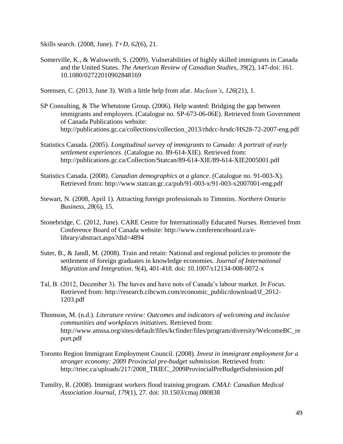Skills search. (2008, June). *T+D, 62*(6), 21.

Somerville, K., & Walsworth, S. (2009). Vulnerabilities of highly skilled immigrants in Canada and the United States. *The American Review of Canadian Studies, 39*(2), 147-doi: 161. 10.1080/02722010902848169

Sorensen, C. (2013, June 3). With a little help from afar. *Maclean's*, *126*(21), 1.

- SP Consulting, & The Whetstone Group. (2006). Help wanted: Bridging the gap between immigrants and employers. (Catalogue no. SP-673-06-06E). Retrieved from Government of Canada Publications website: http://publications.gc.ca/collections/collection\_2013/rhdcc-hrsdc/HS28-72-2007-eng.pdf
- Statistics Canada. (2005). *Longitudinal survey of immigrants to Canada: A portrait of early settlement experiences*. (Catalogue no. 89-614-XIE). Retrieved from: http://publications.gc.ca/Collection/Statcan/89-614-XIE/89-614-XIE2005001.pdf
- Statistics Canada. (2008). *Canadian demographics at a glance*. (Catalogue no. 91-003-X). Retrieved from: http://www.statcan.gc.ca/pub/91-003-x/91-003-x2007001-eng.pdf
- Stewart, N. (2008, April 1). Attracting foreign professionals to Timmins. *Northern Ontario Business, 28*(6), 15.
- Stonebridge, C. (2012, June). CARE Centre for Internationally Educated Nurses. Retrieved from Conference Board of Canada website: http://www.conferenceboard.ca/elibrary/abstract.aspx?did=4894
- Suter, B., & Jandl, M. (2008). Train and retain: National and regional policies to promote the settlement of foreign graduates in knowledge economies. *Journal of International Migration and Integration*. 9(4), 401-418. doi: 10.1007/s12134-008-0072-x
- Tal, B. (2012, December 3). The haves and have nots of Canada's labour market. *In Focus*. Retrieved from: http://research.cibcwm.com/economic\_public/download/if\_2012- 1203.pdf
- Thomson, M. (n.d.). *Literature review: Outcomes and indicators of welcoming and inclusive communities and workplaces initiatives*. Retrieved from: http://www.amssa.org/sites/default/files/kcfinder/files/program/diversity/WelcomeBC\_re port.pdf
- Toronto Region Immigrant Employment Council. (2008). *Invest in immigrant employment for a stronger economy: 2009 Provincial pre-budget submission*. Retrieved from: http://triec.ca/uploads/217/2008\_TRIEC\_2009ProvincialPreBudgetSubmission.pdf
- Tumilty, R. (2008). Immigrant workers flood training program. *CMAJ: Canadian Medical Association Journal, 179*(1), 27. doi: 10.1503/cmaj.080838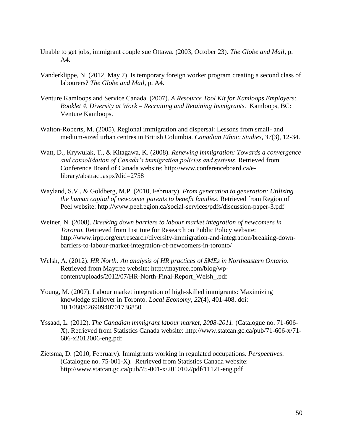- Unable to get jobs, immigrant couple sue Ottawa. (2003, October 23). *The Globe and Mail*, p. A4.
- Vanderklippe, N. (2012, May 7). Is temporary foreign worker program creating a second class of labourers? *The Globe and Mail,* p. A4.
- Venture Kamloops and Service Canada. (2007). *A Resource Tool Kit for Kamloops Employers: Booklet 4, Diversity at Work – Recruiting and Retaining Immigrants.* Kamloops, BC: Venture Kamloops.
- Walton-Roberts, M. (2005). Regional immigration and dispersal: Lessons from small- and medium-sized urban centres in British Columbia. *Canadian Ethnic Studies*, *37*(3), 12-34.
- Watt, D., Krywulak, T., & Kitagawa, K. (2008). *Renewing immigration: Towards a convergence and consolidation of Canada's immigration policies and systems*. Retrieved from Conference Board of Canada website: http://www.conferenceboard.ca/elibrary/abstract.aspx?did=2758
- Wayland, S.V., & Goldberg, M.P. (2010, February). *From generation to generation: Utilizing the human capital of newcomer parents to benefit families*. Retrieved from Region of Peel website: http://www.peelregion.ca/social-services/pdfs/discussion-paper-3.pdf
- Weiner, N. (2008). *Breaking down barriers to labour market integration of newcomers in Toronto*. Retrieved from Institute for Research on Public Policy website: http://www.irpp.org/en/research/diversity-immigration-and-integration/breaking-downbarriers-to-labour-market-integration-of-newcomers-in-toronto/
- Welsh, A. (2012). *HR North: An analysis of HR practices of SMEs in Northeastern Ontario*. Retrieved from Maytree website: http://maytree.com/blog/wpcontent/uploads/2012/07/HR-North-Final-Report\_Welsh\_.pdf
- Young, M. (2007). Labour market integration of high-skilled immigrants: Maximizing knowledge spillover in Toronto. *Local Economy, 22*(4), 401-408. doi: 10.1080/02690940701736850
- Yssaad, L. (2012). *The Canadian immigrant labour market, 2008-2011*. (Catalogue no. 71-606- X). Retrieved from Statistics Canada website: http://www.statcan.gc.ca/pub/71-606-x/71- 606-x2012006-eng.pdf
- Zietsma, D. (2010, February). Immigrants working in regulated occupations. *Perspectives*. (Catalogue no. 75-001-X). Retrieved from Statistics Canada website: http://www.statcan.gc.ca/pub/75-001-x/2010102/pdf/11121-eng.pdf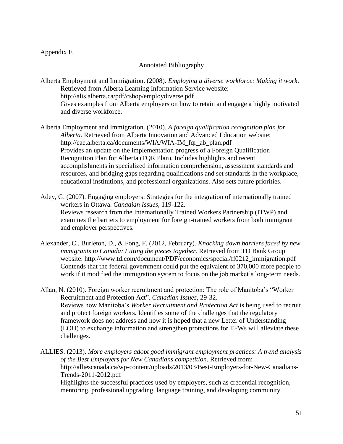# Appendix E

## Annotated Bibliography

Alberta Employment and Immigration. (2008). *Employing a diverse workforce: Making it work*. Retrieved from Alberta Learning Information Service website: http://alis.alberta.ca/pdf/cshop/employdiverse.pdf Gives examples from Alberta employers on how to retain and engage a highly motivated and diverse workforce.

Alberta Employment and Immigration. (2010). *A foreign qualification recognition plan for Alberta.* Retrieved from Alberta Innovation and Advanced Education website: http://eae.alberta.ca/documents/WIA/WIA-IM\_fqr\_ab\_plan.pdf Provides an update on the implementation progress of a Foreign Qualification Recognition Plan for Alberta (FQR Plan). Includes highlights and recent accomplishments in specialized information comprehension, assessment standards and resources, and bridging gaps regarding qualifications and set standards in the workplace, educational institutions, and professional organizations. Also sets future priorities.

Adey, G. (2007). Engaging employers: Strategies for the integration of internationally trained workers in Ottawa. *Canadian Issues*, 119-122. Reviews research from the Internationally Trained Workers Partnership (ITWP) and examines the barriers to employment for foreign-trained workers from both immigrant and employer perspectives.

Alexander, C., Burleton, D., & Fong, F. (2012, February). *Knocking down barriers faced by new immigrants to Canada: Fitting the pieces together*. Retrieved from TD Bank Group website: http://www.td.com/document/PDF/economics/special/ff0212\_immigration.pdf Contends that the federal government could put the equivalent of 370,000 more people to work if it modified the immigration system to focus on the job market's long-term needs.

Allan, N. (2010). Foreign worker recruitment and protection: The role of Manitoba's "Worker Recruitment and Protection Act". *Canadian Issues*, 29-32. Reviews how Manitoba's *Worker Recruitment and Protection Act* is being used to recruit and protect foreign workers. Identifies some of the challenges that the regulatory framework does not address and how it is hoped that a new Letter of Understanding (LOU) to exchange information and strengthen protections for TFWs will alleviate these challenges.

ALLIES. (2013). *More employers adopt good immigrant employment practices: A trend analysis of the Best Employers for New Canadians competition*. Retrieved from: http://alliescanada.ca/wp-content/uploads/2013/03/Best-Employers-for-New-Canadians-Trends-2011-2012.pdf

Highlights the successful practices used by employers, such as credential recognition, mentoring, professional upgrading, language training, and developing community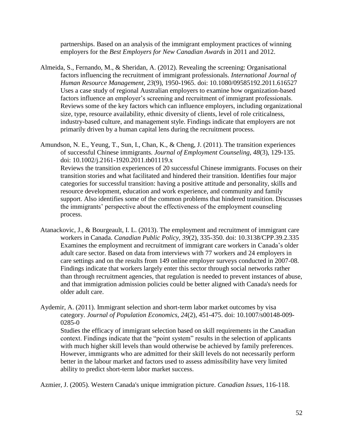partnerships. Based on an analysis of the immigrant employment practices of winning employers for the *Best Employers for New Canadian Awards* in 2011 and 2012.

Almeida, S., Fernando, M., & Sheridan, A. (2012). Revealing the screening: Organisational factors influencing the recruitment of immigrant professionals. *International Journal of Human Resource Management, 23*(9), 1950-1965. doi: 10.1080/09585192.2011.616527 Uses a case study of regional Australian employers to examine how organization-based factors influence an employer's screening and recruitment of immigrant professionals. Reviews some of the key factors which can influence employers, including organizational size, type, resource availability, ethnic diversity of clients, level of role criticalness, industry-based culture, and management style. Findings indicate that employers are not primarily driven by a human capital lens during the recruitment process.

Amundson, N. E., Yeung, T., Sun, I., Chan, K., & Cheng, J. (2011). The transition experiences of successful Chinese immigrants. *Journal of Employment Counseling, 48*(3), 129-135. doi: 10.1002/j.2161-1920.2011.tb01119.x Reviews the transition experiences of 20 successful Chinese immigrants. Focuses on their transition stories and what facilitated and hindered their transition. Identifies four major categories for successful transition: having a positive attitude and personality, skills and resource development, education and work experience, and community and family support. Also identifies some of the common problems that hindered transition. Discusses the immigrants' perspective about the effectiveness of the employment counseling process.

- Atanackovic, J., & [Bourgeault,](http://muse.jhu.edu/results?section1=author&search1=Ivy%20Lynn%20Bourgeault) I. L. (2013). The employment and recruitment of immigrant care workers in Canada. *Canadian Public Policy, 39*(2), 335-350. doi: 10.3138/CPP.39.2.335 Examines the employment and recruitment of immigrant care workers in Canada's older adult care sector. Based on data from interviews with 77 workers and 24 employers in care settings and on the results from 149 online employer surveys conducted in 2007-08. Findings indicate that workers largely enter this sector through social networks rather than through recruitment agencies, that regulation is needed to prevent instances of abuse, and that immigration admission policies could be better aligned with Canada's needs for older adult care.
- Aydemir, A. (2011). Immigrant selection and short-term labor market outcomes by visa category. *Journal of Population Economics, 24*(2), 451-475. doi: 10.1007/s00148-009- 0285-0

Studies the efficacy of immigrant selection based on skill requirements in the Canadian context. Findings indicate that the "point system" results in the selection of applicants with much higher skill levels than would otherwise be achieved by family preferences. However, immigrants who are admitted for their skill levels do not necessarily perform better in the labour market and factors used to assess admissibility have very limited ability to predict short-term labor market success.

Azmier, J. (2005). Western Canada's unique immigration picture. *Canadian Issues*, 116-118.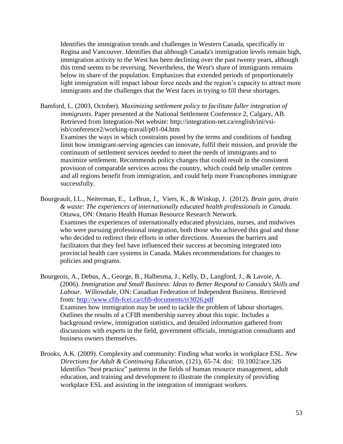Identifies the immigration trends and challenges in Western Canada, specifically in Regina and Vancouver. Identifies that although Canada's immigration levels remain high, immigration activity to the West has been declining over the past twenty years, although this trend seems to be reversing. Nevertheless, the West's share of immigrants remains below its share of the population. Emphasizes that extended periods of proportionately light immigration will impact labour force needs and the region's capacity to attract more immigrants and the challenges that the West faces in trying to fill these shortages.

Bamford, L. (2003, October). *Maximizing settlement policy to facilitate fuller integration of immigrants*. Paper presented at the National Settlement Conference 2, Calgary, AB. Retrieved from Integration-Net website: http://integration-net.ca/english/ini/vsiisb/conference2/working-travail/p01-04.htm

Examines the ways in which constraints posed by the terms and conditions of funding limit how immigrant-serving agencies can innovate, fulfil their mission, and provide the continuum of settlement services needed to meet the needs of immigrants and to maximize settlement. Recommends policy changes that could result in the consistent provision of comparable services across the country, which could help smaller centres and all regions benefit from immigration, and could help more Francophones immigrate successfully.

Bourgeault, I.L., Neiterman, E., LeBrun, J., Viers, K., & Winkup, J. (2012). *Brain gain, drain & waste: The experiences of internationally educated health professionals in Canada*. Ottawa, ON: Ontario Health Human Resource Research Network. Examines the experiences of internationally educated physicians, nurses, and midwives who were pursuing professional integration, both those who achieved this goal and those who decided to redirect their efforts in other directions. Assesses the barriers and facilitators that they feel have influenced their success at becoming integrated into provincial health care systems in Canada. Makes recommendations for changes to policies and programs.

Bourgeois, A., Debus, A., George, B., Halbesma, J., Kelly, D., Langford, J., & Lavoie, A. (2006). *Immigration and Small Business: Ideas to Better Respond to Canada's Skills and Labour*. Willowdale, ON: Canadian Federation of Independent Business. Retrieved from:<http://www.cfib-fcei.ca/cfib-documents/rr3026.pdf> Examines how immigration may be used to tackle the problem of labour shortages. Outlines the results of a CFIB membership survey about this topic. Includes a background review, immigration statistics, and detailed information gathered from discussions with experts in the field, government officials, immigration consultants and business owners themselves.

Brooks, A.K. (2009). Complexity and community: Finding what works in workplace ESL. *New Directions for Adult & Continuing Education,* (121), 65-74. doi: 10.1002/ace.326 Identifies "best practice" patterns in the fields of human resource management, adult education, and training and development to illustrate the complexity of providing workplace ESL and assisting in the integration of immigrant workers.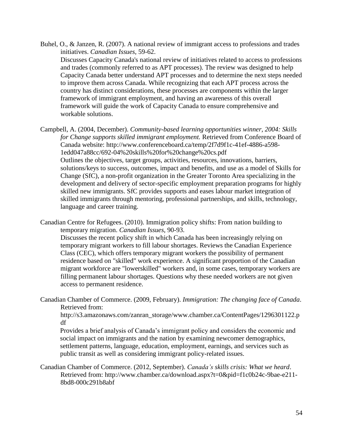Buhel, O., & Janzen, R. (2007). A national review of immigrant access to professions and trades initiatives. *Canadian Issues*, 59-62. Discusses Capacity Canada's national review of initiatives related to access to professions and trades (commonly referred to as APT processes). The review was designed to help Capacity Canada better understand APT processes and to determine the next steps needed to improve them across Canada. While recognizing that each APT process across the country has distinct considerations, these processes are components within the larger framework of immigrant employment, and having an awareness of this overall framework will guide the work of Capacity Canada to ensure comprehensive and workable solutions.

Campbell, A. (2004, December). *Community-based learning opportunities winner, 2004: Skills for Change supports skilled immigrant employment.* Retrieved from Conference Board of Canada website: http://www.conferenceboard.ca/temp/2f7d9f1c-41ef-4886-a598- 1edd047a88cc/692-04%20skills%20for%20change%20cs.pdf Outlines the objectives, target groups, activities, resources, innovations, barriers, solutions/keys to success, outcomes, impact and benefits, and use as a model of Skills for Change (SfC), a non-profit organization in the Greater Toronto Area specializing in the development and delivery of sector-specific employment preparation programs for highly skilled new immigrants. SfC provides supports and eases labour market integration of skilled immigrants through mentoring, professional partnerships, and skills, technology, language and career training.

Canadian Centre for Refugees. (2010). Immigration policy shifts: From nation building to temporary migration. *Canadian Issues*, 90-93.

Discusses the recent policy shift in which Canada has been increasingly relying on temporary migrant workers to fill labour shortages. Reviews the Canadian Experience Class (CEC), which offers temporary migrant workers the possibility of permanent residence based on "skilled" work experience. A significant proportion of the Canadian migrant workforce are "lowerskilled" workers and, in some cases, temporary workers are filling permanent labour shortages. Questions why these needed workers are not given access to permanent residence.

Canadian Chamber of Commerce. (2009, February). *Immigration: The changing face of Canada*. Retrieved from:

http://s3.amazonaws.com/zanran\_storage/www.chamber.ca/ContentPages/1296301122.p df

Provides a brief analysis of Canada's immigrant policy and considers the economic and social impact on immigrants and the nation by examining newcomer demographics, settlement patterns, language, education, employment, earnings, and services such as public transit as well as considering immigrant policy-related issues.

Canadian Chamber of Commerce. (2012, September). *Canada's skills crisis: What we heard*. Retrieved from: http://www.chamber.ca/download.aspx?t=0&pid=f1c0b24c-9bae-e211- 8bd8-000c291b8abf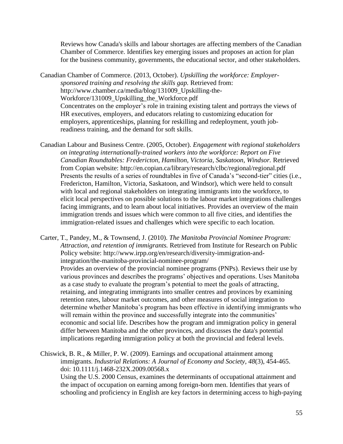Reviews how Canada's skills and labour shortages are affecting members of the Canadian Chamber of Commerce. Identifies key emerging issues and proposes an action for plan for the business community, governments, the educational sector, and other stakeholders.

Canadian Chamber of Commerce. (2013, October). *Upskilling the workforce: Employersponsored training and resolving the skills gap.* Retrieved from: http://www.chamber.ca/media/blog/131009\_Upskilling-the-Workforce/131009\_Upskilling\_the\_Workforce.pdf Concentrates on the employer's role in training existing talent and portrays the views of HR executives, employers, and educators relating to customizing education for employers, apprenticeships, planning for reskilling and redeployment, youth jobreadiness training, and the demand for soft skills.

Canadian Labour and Business Centre. (2005, October). *Engagement with regional stakeholders on integrating internationally-trained workers into the workforce: Report on Five Canadian Roundtables: Fredericton, Hamilton, Victoria, Saskatoon, Windsor.* Retrieved from Copian website:<http://en.copian.ca/library/research/clbc/regional/regional.pdf> Presents the results of a series of roundtables in five of Canada's "second-tier" cities (i.e., Fredericton, Hamilton, Victoria, Saskatoon, and Windsor), which were held to consult with local and regional stakeholders on integrating immigrants into the workforce, to elicit local perspectives on possible solutions to the labour market integrations challenges facing immigrants, and to learn about local initiatives. Provides an overview of the main immigration trends and issues which were common to all five cities, and identifies the immigration-related issues and challenges which were specific to each location.

Carter, T., Pandey, M., & Townsend, J. (2010). *The Manitoba Provincial Nominee Program: Attraction, and retention of immigrants.* Retrieved from Institute for Research on Public Policy website: http://www.irpp.org/en/research/diversity-immigration-andintegration/the-manitoba-provincial-nominee-program/ Provides an overview of the provincial nominee programs (PNPs). Reviews their use by various provinces and describes the programs' objectives and operations. Uses Manitoba as a case study to evaluate the program's potential to meet the goals of attracting, retaining, and integrating immigrants into smaller centres and provinces by examining retention rates, labour market outcomes, and other measures of social integration to determine whether Manitoba's program has been effective in identifying immigrants who will remain within the province and successfully integrate into the communities' economic and social life. Describes how the program and immigration policy in general differ between Manitoba and the other provinces, and discusses the data's potential implications regarding immigration policy at both the provincial and federal levels.

Chiswick, B. R., & Miller, P. W. (2009). Earnings and occupational attainment among immigrants. *Industrial Relations: A Journal of Economy and Society, 48*(3), 454-465. doi: 10.1111/j.1468-232X.2009.00568.x Using the U.S. 2000 Census, examines the determinants of occupational attainment and the impact of occupation on earning among foreign-born men. Identifies that years of schooling and proficiency in English are key factors in determining access to high-paying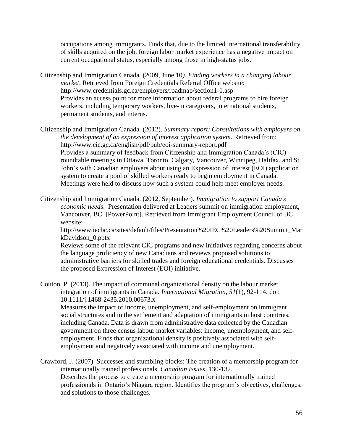occupations among immigrants. Finds that, due to the limited international transferability of skills acquired on the job, foreign labor market experience has a negative impact on current occupational status, especially among those in high-status jobs.

Citizenship and Immigration Canada. (2009, June 10*). Finding workers in a changing labour market*. Retrieved from Foreign Credentials Referral Office website: http://www.credentials.gc.ca/employers/roadmap/section1-1.asp Provides an access point for more information about federal programs to hire foreign workers, including temporary workers, live-in caregivers, international students, permanent students, and interns.

Citizenship and Immigration Canada. (2012). *Summary report: Consultations with employers on the development of an expression of interest application system*. Retrieved from: http://www.cic.gc.ca/english/pdf/pub/eoi-summary-report.pdf Provides a summary of feedback from Citizenship and Immigration Canada's (CIC) roundtable meetings in Ottawa, Toronto, Calgary, Vancouver, Winnipeg, Halifax, and St. John's with Canadian employers about using an Expression of Interest (EOI) application system to create a pool of skilled workers ready to begin employment in Canada. Meetings were held to discuss how such a system could help meet employer needs.

Citizenship and Immigration Canada. (2012, September). *Immigration to support Canada's economic needs*. Presentation delivered at Leaders summit on immigration employment, Vancouver, BC. [PowerPoint]. Retrieved from Immigrant Employment Council of BC website:

[http://www.iecbc.ca/sites/default/files/Presentation%20IEC%20Leaders%20Summit\\_Mar](http://www.google.ca/url?q=http://www.iecbc.ca/sites/default/files/Presentation%2520IEC%2520Leaders%2520Summit_MarkDavidson_0.ppt&ei=WbeqUtOyMdjboAS9voKQBw&sa=X&oi=unauthorizedredirect&ct=targetlink&ust=1386921569811227&usg=AFQjCNHcbrhKfHBn_C-oCYBGsdbgHY1Bhg) [kDavidson\\_0.pptx](http://www.google.ca/url?q=http://www.iecbc.ca/sites/default/files/Presentation%2520IEC%2520Leaders%2520Summit_MarkDavidson_0.ppt&ei=WbeqUtOyMdjboAS9voKQBw&sa=X&oi=unauthorizedredirect&ct=targetlink&ust=1386921569811227&usg=AFQjCNHcbrhKfHBn_C-oCYBGsdbgHY1Bhg)

Reviews some of the relevant CIC programs and new initiatives regarding concerns about the language proficiency of new Canadians and reviews proposed solutions to administrative barriers for skilled trades and foreign educational credentials. Discusses the proposed Expression of Interest (EOI) initiative.

Couton, P. (2013). The impact of communal organizational density on the labour market integration of immigrants in Canada. *International Migration, 51*(1), 92-114. doi: 10.1111/j.1468-2435.2010.00673.x

Measures the impact of income, unemployment, and self-employment on immigrant social structures and in the settlement and adaptation of immigrants in host countries, including Canada. Data is drawn from administrative data collected by the Canadian government on three census labour market variables: income, unemployment, and selfemployment. Finds that organizational density is positively associated with selfemployment and negatively associated with income and unemployment.

Crawford, J. (2007). Successes and stumbling blocks: The creation of a mentorship program for internationally trained professionals. *Canadian Issues*, 130-132. Describes the process to create a mentorship program for internationally trained professionals in Ontario's Niagara region. Identifies the program's objectives, challenges, and solutions to those challenges.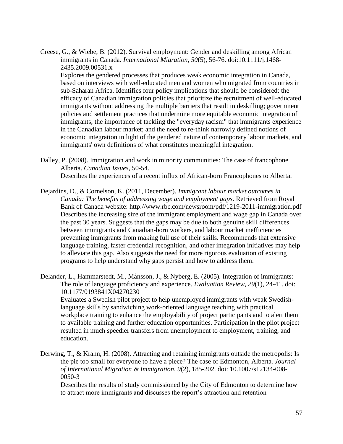Creese, G., & Wiebe, B. (2012). Survival employment: Gender and deskilling among African immigrants in Canada. *International Migration, 50*(5), 56-76. doi:10.1111/j.1468- 2435.2009.00531.x

Explores the gendered processes that produces weak economic integration in Canada, based on interviews with well-educated men and women who migrated from countries in sub-Saharan Africa. Identifies four policy implications that should be considered: the efficacy of Canadian immigration policies that prioritize the recruitment of well-educated immigrants without addressing the multiple barriers that result in deskilling; government policies and settlement practices that undermine more equitable economic integration of immigrants; the importance of tackling the "everyday racism" that immigrants experience in the Canadian labour market; and the need to re-think narrowly defined notions of economic integration in light of the gendered nature of contemporary labour markets, and immigrants' own definitions of what constitutes meaningful integration.

- Dalley, P. (2008). Immigration and work in minority communities: The case of francophone Alberta. *Canadian Issues*, 50-54. Describes the experiences of a recent influx of African-born Francophones to Alberta.
- Dejardins, D., & Cornelson, K. (2011, December). *Immigrant labour market outcomes in Canada: The benefits of addressing wage and employment gaps*. Retrieved from Royal Bank of Canada website: http://www.rbc.com/newsroom/pdf/1219-2011-immigration.pdf Describes the increasing size of the immigrant employment and wage gap in Canada over the past 30 years. Suggests that the gaps may be due to both genuine skill differences between immigrants and Canadian-born workers, and labour market inefficiencies preventing immigrants from making full use of their skills. Recommends that extensive language training, faster credential recognition, and other integration initiatives may help to alleviate this gap. Also suggests the need for more rigorous evaluation of existing programs to help understand why gaps persist and how to address them.
- Delander, L., Hammarstedt, M., Månsson, J., & Nyberg, E. (2005). Integration of immigrants: The role of language proficiency and experience. *Evaluation Review, 29*(1), 24-41. doi: 10.1177/0193841X04270230

Evaluates a Swedish pilot project to help unemployed immigrants with weak Swedishlanguage skills by sandwiching work-oriented language teaching with practical workplace training to enhance the employability of project participants and to alert them to available training and further education opportunities. Participation in the pilot project resulted in much speedier transfers from unemployment to employment, training, and education.

Derwing, T., & Krahn, H. (2008). Attracting and retaining immigrants outside the metropolis: Is the pie too small for everyone to have a piece? The case of Edmonton, Alberta. *Journal of International Migration & Immigration, 9*(2), 185-202. doi: 10.1007/s12134-008- 0050-3

Describes the results of study commissioned by the City of Edmonton to determine how to attract more immigrants and discusses the report's attraction and retention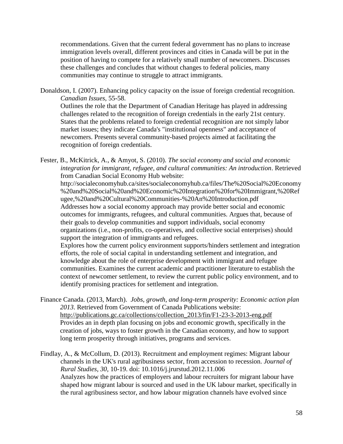recommendations. Given that the current federal government has no plans to increase immigration levels overall, different provinces and cities in Canada will be put in the position of having to compete for a relatively small number of newcomers. Discusses these challenges and concludes that without changes to federal policies, many communities may continue to struggle to attract immigrants.

Donaldson, I. (2007). Enhancing policy capacity on the issue of foreign credential recognition. *Canadian Issues*, 55-58.

Outlines the role that the Department of Canadian Heritage has played in addressing challenges related to the recognition of foreign credentials in the early 21st century. States that the problems related to foreign credential recognition are not simply labor market issues; they indicate Canada's "institutional openness" and acceptance of newcomers. Presents several community-based projects aimed at facilitating the recognition of foreign credentials.

Fester, B., McKitrick, A., & Amyot, S. (2010). *The social economy and social and economic integration for immigrant, refugee, and cultural communities: An introduction*. Retrieved from Canadian Social Economy Hub website:

http://socialeconomyhub.ca/sites/socialeconomyhub.ca/files/The%20Social%20Economy %20and%20Social%20and%20Economic%20Integration%20for%20Immigrant,%20Ref ugee,%20and%20Cultural%20Communities-%20An%20Introduction.pdf Addresses how a social economy approach may provide better social and economic outcomes for immigrants, refugees, and cultural communities. Argues that, because of their goals to develop communities and support individuals, social economy organizations (i.e., non-profits, co-operatives, and collective social enterprises) should support the integration of immigrants and refugees.

Explores how the current policy environment supports/hinders settlement and integration efforts, the role of social capital in understanding settlement and integration, and knowledge about the role of enterprise development with immigrant and refugee communities. Examines the current academic and practitioner literature to establish the context of newcomer settlement, to review the current public policy environment, and to identify promising practices for settlement and integration.

Finance Canada. (2013, March). *Jobs, growth, and long-term prosperity: Economic action plan 2013*. Retrieved from Government of Canada Publications website: [http://publications.gc.ca/collections/collection\\_2013/fin/F1-23-3-2013-eng.pdf](http://publications.gc.ca/collections/collection_2013/fin/F1-23-3-2013-eng.pdf) Provides an in depth plan focusing on jobs and economic growth, specifically in the creation of jobs, ways to foster growth in the Canadian economy, and how to support long term prosperity through initiatives, programs and services.

Findlay, A., & McCollum, D. (2013). Recruitment and employment regimes: Migrant labour channels in the UK's rural agribusiness sector, from accession to recession. *Journal of Rural Studies, 30,* 10-19. doi: 10.1016/j.jrurstud.2012.11.006 Analyzes how the practices of employers and labour recruiters for migrant labour have shaped how migrant labour is sourced and used in the UK labour market, specifically in the rural agribusiness sector, and how labour migration channels have evolved since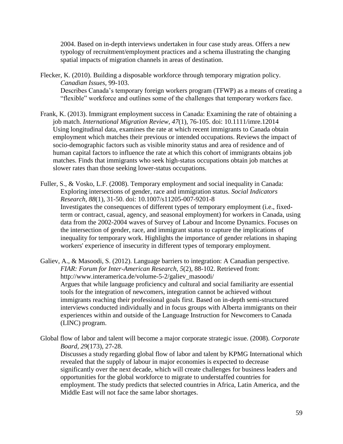2004. Based on in-depth interviews undertaken in four case study areas. Offers a new typology of recruitment/employment practices and a schema illustrating the changing spatial impacts of migration channels in areas of destination.

Flecker, K. (2010). Building a disposable workforce through temporary migration policy. *Canadian Issues*, 99-103. Describes Canada's temporary foreign workers program (TFWP) as a means of creating a "flexible" workforce and outlines some of the challenges that temporary workers face.

- Frank, K. (2013). Immigrant employment success in Canada: Examining the rate of obtaining a job match. *International Migration Review, 47*(1), 76-105. doi: 10.1111/imre.12014 Using longitudinal data, examines the rate at which recent immigrants to Canada obtain employment which matches their previous or intended occupations. Reviews the impact of socio-demographic factors such as visible minority status and area of residence and of human capital factors to influence the rate at which this cohort of immigrants obtains job matches. Finds that immigrants who seek high-status occupations obtain job matches at slower rates than those seeking lower-status occupations.
- Fuller, S., & Vosko, L.F. (2008). Temporary employment and social inequality in Canada: Exploring intersections of gender, race and immigration status. *Social Indicators Research, 88*(1), 31-50. doi: 10.1007/s11205-007-9201-8 Investigates the consequences of different types of temporary employment (i.e., fixedterm or contract, casual, agency, and seasonal employment) for workers in Canada, using data from the 2002-2004 waves of Survey of Labour and Income Dynamics. Focuses on the intersection of gender, race, and immigrant status to capture the implications of inequality for temporary work. Highlights the importance of gender relations in shaping workers' experience of insecurity in different types of temporary employment.

Galiev, A., & Masoodi, S. (2012). Language barriers to integration: A Canadian perspective. *FIAR: Forum for Inter-American Research, 5*(2), 88-102. Retrieved from: http://www.interamerica.de/volume-5-2/galiev\_masoodi/ Argues that while language proficiency and cultural and social familiarity are essential tools for the integration of newcomers, integration cannot be achieved without immigrants reaching their professional goals first. Based on in-depth semi-structured interviews conducted individually and in focus groups with Alberta immigrants on their experiences within and outside of the Language Instruction for Newcomers to Canada (LINC) program.

Global flow of labor and talent will become a major corporate strategic issue. (2008). *Corporate Board, 29*(173), 27-28.

Discusses a study regarding global flow of labor and talent by KPMG International which revealed that the supply of labour in major economies is expected to decrease significantly over the next decade, which will create challenges for business leaders and opportunities for the global workforce to migrate to understaffed countries for employment. The study predicts that selected countries in Africa, Latin America, and the Middle East will not face the same labor shortages.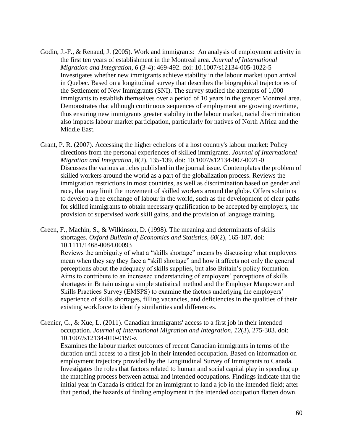- Godin, J.-F., & Renaud, J. (2005). Work and immigrants: An analysis of employment activity in the first ten years of establishment in the Montreal area. *Journal of International Migration and Integration, 6* (3-4): 469-492. doi: 10.1007/s12134-005-1022-5 Investigates whether new immigrants achieve stability in the labour market upon arrival in Quebec. Based on a longitudinal survey that describes the biographical trajectories of the Settlement of New Immigrants (SNI). The survey studied the attempts of 1,000 immigrants to establish themselves over a period of 10 years in the greater Montreal area. Demonstrates that although continuous sequences of employment are growing overtime, thus ensuring new immigrants greater stability in the labour market, racial discrimination also impacts labour market participation, particularly for natives of North Africa and the Middle East.
- Grant, P. R. (2007). Accessing the higher echelons of a host country's labour market: Policy directions from the personal experiences of skilled immigrants. *Journal of International Migration and Integration, 8*(2), 135-139. doi: 10.1007/s12134-007-0021-0 Discusses the various articles published in the journal issue. Contemplates the problem of skilled workers around the world as a part of the globalization process. Reviews the immigration restrictions in most countries, as well as discrimination based on gender and race, that may limit the movement of skilled workers around the globe. Offers solutions to develop a free exchange of labour in the world, such as the development of clear paths for skilled immigrants to obtain necessary qualification to be accepted by employers, the provision of supervised work skill gains, and the provision of language training.

Green, F., Machin, S., & Wilkinson, D. (1998). The meaning and determinants of skills shortages. *Oxford Bulletin of Economics and Statistics, 60*(2), 165-187. doi: 10.1111/1468-0084.00093

Reviews the ambiguity of what a "skills shortage" means by discussing what employers mean when they say they face a "skill shortage" and how it affects not only the general perceptions about the adequacy of skills supplies, but also Britain's policy formation. Aims to contribute to an increased understanding of employers' perceptions of skills shortages in Britain using a simple statistical method and the Employer Manpower and Skills Practices Survey (EMSPS) to examine the factors underlying the employers' experience of skills shortages, filling vacancies, and deficiencies in the qualities of their existing workforce to identify similarities and differences.

Grenier, G., & Xue, L. (2011). Canadian immigrants' access to a first job in their intended occupation. *Journal of International Migration and Integration, 12*(3), 275-303. doi: 10.1007/s12134-010-0159-z

Examines the labour market outcomes of recent Canadian immigrants in terms of the duration until access to a first job in their intended occupation. Based on information on employment trajectory provided by the Longitudinal Survey of Immigrants to Canada. Investigates the roles that factors related to human and social capital play in speeding up the matching process between actual and intended occupations. Findings indicate that the initial year in Canada is critical for an immigrant to land a job in the intended field; after that period, the hazards of finding employment in the intended occupation flatten down.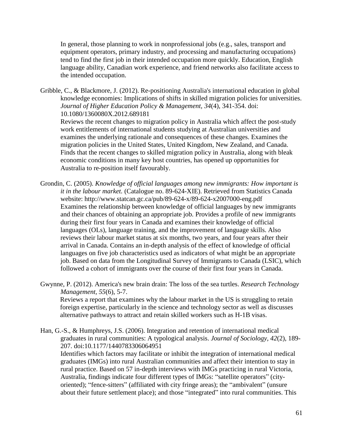In general, those planning to work in nonprofessional jobs (e.g., sales, transport and equipment operators, primary industry, and processing and manufacturing occupations) tend to find the first job in their intended occupation more quickly. Education, English language ability, Canadian work experience, and friend networks also facilitate access to the intended occupation.

Gribble, C., & Blackmore, J. (2012). Re-positioning Australia's international education in global knowledge economies: Implications of shifts in skilled migration policies for universities. *Journal of Higher Education Policy & Management, 34*(4), 341-354. doi: 10.1080/1360080X.2012.689181 Reviews the recent changes to migration policy in Australia which affect the post-study

work entitlements of international students studying at Australian universities and examines the underlying rationale and consequences of these changes. Examines the migration policies in the United States, United Kingdom, New Zealand, and Canada. Finds that the recent changes to skilled migration policy in Australia, along with bleak economic conditions in many key host countries, has opened up opportunities for Australia to re-position itself favourably.

- Grondin, C. (2005). *Knowledge of official languages among new immigrants: How important is it in the labour market.* (Catalogue no. 89-624-XIE). Retrieved from Statistics Canada website: http://www.statcan.gc.ca/pub/89-624-x/89-624-x2007000-eng.pdf Examines the relationship between knowledge of official languages by new immigrants and their chances of obtaining an appropriate job. Provides a profile of new immigrants during their first four years in Canada and examines their knowledge of official languages (OLs), language training, and the improvement of language skills. Also reviews their labour market status at six months, two years, and four years after their arrival in Canada. Contains an in-depth analysis of the effect of knowledge of official languages on five job characteristics used as indicators of what might be an appropriate job. Based on data from the Longitudinal Survey of Immigrants to Canada (LSIC), which followed a cohort of immigrants over the course of their first four years in Canada.
- Gwynne, P. (2012). America's new brain drain: The loss of the sea turtles. *Research Technology Management, 55*(6), 5-7. Reviews a report that examines why the labour market in the US is struggling to retain foreign expertise, particularly in the science and technology sector as well as discusses alternative pathways to attract and retain skilled workers such as H-1B visas.

Han, G.-S., & Humphreys, J.S. (2006). Integration and retention of international medical graduates in rural communities: A typological analysis. *Journal of Sociology, 42*(2), 189- 207. doi:10.1177/1440783306064951 Identifies which factors may facilitate or inhibit the integration of international medical graduates (IMGs) into rural Australian communities and affect their intention to stay in rural practice. Based on 57 in-depth interviews with IMGs practicing in rural Victoria, Australia, findings indicate four different types of IMGs: "satellite operators" (cityoriented); "fence-sitters" (affiliated with city fringe areas); the "ambivalent" (unsure about their future settlement place); and those "integrated" into rural communities. This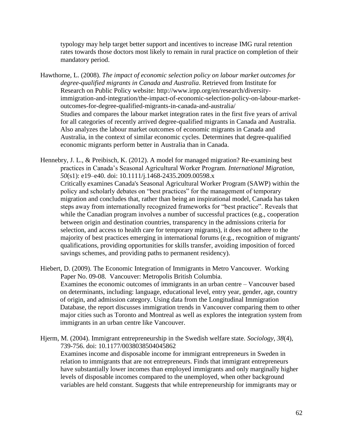typology may help target better support and incentives to increase IMG rural retention rates towards those doctors most likely to remain in rural practice on completion of their mandatory period.

- Hawthorne, L. (2008). *The impact of economic selection policy on labour market outcomes for degree-qualified migrants in Canada and Australia*. Retrieved from Institute for Research on Public Policy website: http://www.irpp.org/en/research/diversityimmigration-and-integration/the-impact-of-economic-selection-policy-on-labour-marketoutcomes-for-degree-qualified-migrants-in-canada-and-australia/ Studies and compares the labour market integration rates in the first five years of arrival for all categories of recently arrived degree-qualified migrants in Canada and Australia. Also analyzes the labour market outcomes of economic migrants in Canada and Australia, in the context of similar economic cycles. Determines that degree-qualified economic migrants perform better in Australia than in Canada.
- Hennebry, J. L., & Preibisch, K. (2012). A model for managed migration? Re-examining best practices in Canada's Seasonal Agricultural Worker Program. *International Migration, 50*(s1): e19–e40. doi: 10.1111/j.1468-2435.2009.00598.x Critically examines Canada's Seasonal Agricultural Worker Program (SAWP) within the policy and scholarly debates on "best practices" for the management of temporary migration and concludes that, rather than being an inspirational model, Canada has taken steps away from internationally recognized frameworks for "best practice". Reveals that while the Canadian program involves a number of successful practices (e.g., cooperation between origin and destination countries, transparency in the admissions criteria for selection, and access to health care for temporary migrants), it does not adhere to the majority of best practices emerging in international forums (e.g., recognition of migrants' qualifications, providing opportunities for skills transfer, avoiding imposition of forced savings schemes, and providing paths to permanent residency).

Hiebert, D. (2009). The Economic Integration of Immigrants in Metro Vancouver. Working Paper No. 09-08. Vancouver: Metropolis British Columbia. Examines the economic outcomes of immigrants in an urban centre – Vancouver based on determinants, including: language, educational level, entry year, gender, age, country of origin, and admission category. Using data from the Longitudinal Immigration Database, the report discusses immigration trends in Vancouver comparing them to other major cities such as Toronto and Montreal as well as explores the integration system from immigrants in an urban centre like Vancouver.

Hjerm, M. (2004). Immigrant entrepreneurship in the Swedish welfare state. *Sociology, 38*(4), 739-756. doi: 10.1177/0038038504045862 Examines income and disposable income for immigrant entrepreneurs in Sweden in relation to immigrants that are not entrepreneurs. Finds that immigrant entrepreneurs have substantially lower incomes than employed immigrants and only marginally higher levels of disposable incomes compared to the unemployed, when other background variables are held constant. Suggests that while entrepreneurship for immigrants may or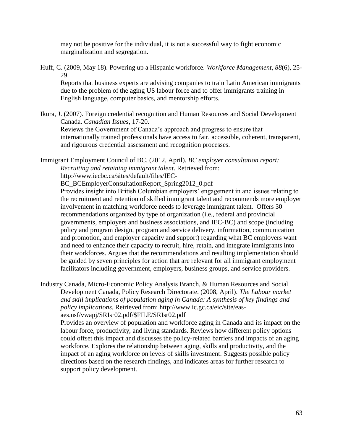may not be positive for the individual, it is not a successful way to fight economic marginalization and segregation.

Huff, C. (2009, May 18). Powering up a Hispanic workforce. *Workforce Management, 88*(6), 25- 29.

Reports that business experts are advising companies to train Latin American immigrants due to the problem of the aging US labour force and to offer immigrants training in English language, computer basics, and mentorship efforts.

Ikura, J. (2007). Foreign credential recognition and Human Resources and Social Development Canada. *Canadian Issues*, 17-20.

Reviews the Government of Canada's approach and progress to ensure that internationally trained professionals have access to fair, accessible, coherent, transparent, and rigourous credential assessment and recognition processes.

Immigrant Employment Council of BC. (2012, April). *BC employer consultation report: Recruiting and retaining immigrant talent*. Retrieved from:

http://www.iecbc.ca/sites/default/files/IEC-

BC\_BCEmployerConsultationReport\_Spring2012\_0.pdf

Provides insight into British Columbian employers' engagement in and issues relating to the recruitment and retention of skilled immigrant talent and recommends more employer involvement in matching workforce needs to leverage immigrant talent. Offers 30 recommendations organized by type of organization (i.e., federal and provincial governments, employers and business associations, and IEC-BC) and scope (including policy and program design, program and service delivery, information, communication and promotion, and employer capacity and support) regarding what BC employers want and need to enhance their capacity to recruit, hire, retain, and integrate immigrants into their workforces. Argues that the recommendations and resulting implementation should be guided by seven principles for action that are relevant for all immigrant employment facilitators including government, employers, business groups, and service providers.

Industry Canada, Micro-Economic Policy Analysis Branch, & Human Resources and Social Development Canada, Policy Research Directorate. (2008, April). *The Labour market and skill implications of population aging in Canada: A synthesis of key findings and policy implications.* Retrieved from: http://www.ic.gc.ca/eic/site/easaes.nsf/vwapj/SRIsr02.pdf/\$FILE/SRIsr02.pdf

Provides an overview of population and workforce aging in Canada and its impact on the labour force, productivity, and living standards. Reviews how different policy options could offset this impact and discusses the policy-related barriers and impacts of an aging workforce. Explores the relationship between aging, skills and productivity, and the impact of an aging workforce on levels of skills investment. Suggests possible policy directions based on the research findings, and indicates areas for further research to support policy development.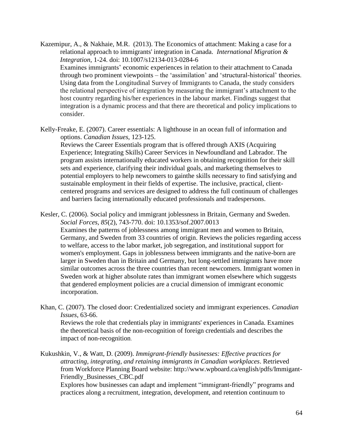Kazemipur, A., & Nakhaie, M.R. (2013). The Economics of attachment: Making a case for a relational approach to immigrants' integration in Canada. *International Migration & Integration*, 1-24. doi: 10.1007/s12134-013-0284-6 Examines immigrants' economic experiences in relation to their attachment to Canada through two prominent viewpoints – the 'assimilation' and 'structural-historical' theories. Using data from the Longitudinal Survey of Immigrants to Canada, the study considers the relational perspective of integration by measuring the immigrant's attachment to the host country regarding his/her experiences in the labour market. Findings suggest that integration is a dynamic process and that there are theoretical and policy implications to consider.

Kelly-Freake, E. (2007). Career essentials: A lighthouse in an ocean full of information and options. *Canadian Issues*, 123-125. Reviews the Career Essentials program that is offered through AXIS (Acquiring Experience; Integrating Skills) Career Services in Newfoundland and Labrador. The program assists internationally educated workers in obtaining recognition for their skill sets and experience, clarifying their individual goals, and marketing themselves to potential employers to help newcomers to gainthe skills necessary to find satisfying and sustainable employment in their fields of expertise. The inclusive, practical, clientcentered programs and services are designed to address the full continuum of challenges and barriers facing internationally educated professionals and tradespersons.

Kesler, C. (2006). Social policy and immigrant joblessness in Britain, Germany and Sweden. *Social Forces, 85*(2), 743-770. doi: 10.1353/sof.2007.0013 Examines the patterns of joblessness among immigrant men and women to Britain, Germany, and Sweden from 33 countries of origin. Reviews the policies regarding access to welfare, access to the labor market, job segregation, and institutional support for women's employment. Gaps in joblessness between immigrants and the native-born are larger in Sweden than in Britain and Germany, but long-settled immigrants have more similar outcomes across the three countries than recent newcomers. Immigrant women in Sweden work at higher absolute rates than immigrant women elsewhere which suggests that gendered employment policies are a crucial dimension of immigrant economic incorporation.

Khan, C. (2007). The closed door: Credentialized society and immigrant experiences. *Canadian Issues*, 63-66.

Reviews the role that credentials play in immigrants' experiences in Canada. Examines the theoretical basis of the non-recognition of foreign credentials and describes the impact of non-recognition.

Kukushkin, V., & Watt, D. (2009). *Immigrant-friendly businesses: Effective practices for attracting, integrating, and retaining immigrants in Canadian workplaces*. Retrieved from Workforce Planning Board website: http://www.wpboard.ca/english/pdfs/Immigant-Friendly\_Businesses\_CBC.pdf

Explores how businesses can adapt and implement "immigrant-friendly" programs and practices along a recruitment, integration, development, and retention continuum to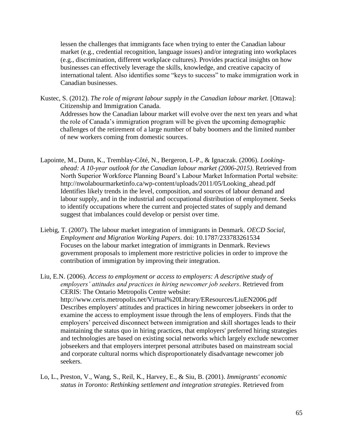lessen the challenges that immigrants face when trying to enter the Canadian labour market (e.g., credential recognition, language issues) and/or integrating into workplaces (e.g., discrimination, different workplace cultures). Provides practical insights on how businesses can effectively leverage the skills, knowledge, and creative capacity of international talent. Also identifies some "keys to success" to make immigration work in Canadian businesses.

Kustec, S. (2012). *The role of migrant labour supply in the Canadian labour market.* [Ottawa]: Citizenship and Immigration Canada.

Addresses how the Canadian labour market will evolve over the next ten years and what the role of Canada's immigration program will be given the upcoming demographic challenges of the retirement of a large number of baby boomers and the limited number of new workers coming from domestic sources.

- Lapointe, M., Dunn, K., Tremblay-Côté, N., Bergeron, L-P., & Ignaczak. (2006). *Lookingahead: A 10-year outlook for the Canadian labour market (2006-2015)*. Retrieved from North Superior Workforce Planning Board's Labour Market Information Portal website: http://nwolabourmarketinfo.ca/wp-content/uploads/2011/05/Looking\_ahead.pdf Identifies likely trends in the level, composition, and sources of labour demand and labour supply, and in the industrial and occupational distribution of employment. Seeks to identify occupations where the current and projected states of supply and demand suggest that imbalances could develop or persist over time.
- Liebig, T. (2007). The labour market integration of immigrants in Denmark. *OECD Social, Employment and Migration Working Papers*. doi: 10.1787/233783261534 Focuses on the labour market integration of immigrants in Denmark. Reviews government proposals to implement more restrictive policies in order to improve the contribution of immigration by improving their integration.

Liu, E.N. (2006). *Access to employment or access to employers: A descriptive study of employers' attitudes and practices in hiring newcomer job seekers*. Retrieved from CERIS: The Ontario Metropolis Centre website: http://www.ceris.metropolis.net/Virtual%20Library/EResources/LiuEN2006.pdf Describes employers' attitudes and practices in hiring newcomer jobseekers in order to examine the access to employment issue through the lens of employers. Finds that the employers' perceived disconnect between immigration and skill shortages leads to their maintaining the status quo in hiring practices, that employers' preferred hiring strategies and technologies are based on existing social networks which largely exclude newcomer jobseekers and that employers interpret personal attributes based on mainstream social and corporate cultural norms which disproportionately disadvantage newcomer job seekers.

Lo, L., Preston, V., Wang, S., Reil, K., Harvey, E., & Siu, B. (2001). *Immigrants' economic status in Toronto: Rethinking settlement and integration strategies*. Retrieved from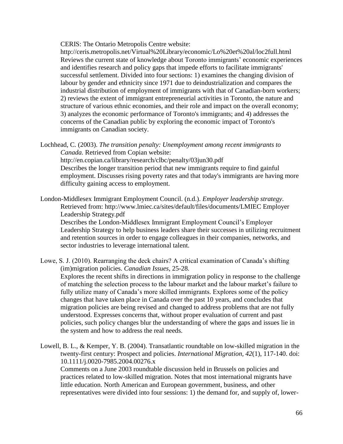CERIS: The Ontario Metropolis Centre website:

<http://ceris.metropolis.net/Virtual%20Library/economic/Lo%20et%20al/loc2full.html> Reviews the current state of knowledge about Toronto immigrants' economic experiences and identifies research and policy gaps that impede efforts to facilitate immigrants' successful settlement. Divided into four sections: 1) examines the changing division of labour by gender and ethnicity since 1971 due to deindustrialization and compares the industrial distribution of employment of immigrants with that of Canadian-born workers; 2) reviews the extent of immigrant entrepreneurial activities in Toronto, the nature and structure of various ethnic economies, and their role and impact on the overall economy; 3) analyzes the economic performance of Toronto's immigrants; and 4) addresses the concerns of the Canadian public by exploring the economic impact of Toronto's immigrants on Canadian society.

Lochhead, C. (2003). *The transition penalty: Unemployment among recent immigrants to Canada.* Retrieved from Copian website: http://en.copian.ca/library/research/clbc/penalty/03jun30.pdf Describes the longer transition period that new immigrants require to find gainful employment. Discusses rising poverty rates and that today's immigrants are having more difficulty gaining access to employment.

London-Middlesex Immigrant Employment Council. (n.d.). *Employer leadership strategy*. Retrieved from: http://www.lmiec.ca/sites/default/files/documents/LMIEC Employer Leadership Strategy.pdf

Describes the London-Middlesex Immigrant Employment Council's Employer Leadership Strategy to help business leaders share their successes in utilizing recruitment and retention sources in order to engage colleagues in their companies, networks, and sector industries to leverage international talent.

Lowe, S. J. (2010). Rearranging the deck chairs? A critical examination of Canada's shifting (im)migration policies. *Canadian Issues*, 25-28. Explores the recent shifts in directions in immigration policy in response to the challenge of matching the selection process to the labour market and the labour market's failure to fully utilize many of Canada's more skilled immigrants. Explores some of the policy changes that have taken place in Canada over the past 10 years, and concludes that migration policies are being revised and changed to address problems that are not fully understood. Expresses concerns that, without proper evaluation of current and past policies, such policy changes blur the understanding of where the gaps and issues lie in the system and how to address the real needs.

Lowell, B. L., & Kemper, Y. B. (2004). Transatlantic roundtable on low-skilled migration in the twenty-first century: Prospect and policies. *International Migration, 42*(1), 117-140. doi: 10.1111/j.0020-7985.2004.00276.x Comments on a June 2003 roundtable discussion held in Brussels on policies and practices related to low-skilled migration. Notes that most international migrants have

little education. North American and European government, business, and other representatives were divided into four sessions: 1) the demand for, and supply of, lower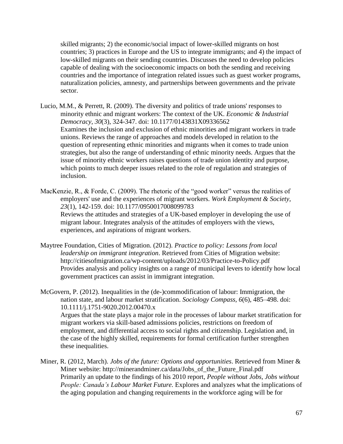skilled migrants; 2) the economic/social impact of lower-skilled migrants on host countries; 3) practices in Europe and the US to integrate immigrants; and 4) the impact of low-skilled migrants on their sending countries. Discusses the need to develop policies capable of dealing with the socioeconomic impacts on both the sending and receiving countries and the importance of integration related issues such as guest worker programs, naturalization policies, amnesty, and partnerships between governments and the private sector.

- Lucio, M.M., & Perrett, R. (2009). The diversity and politics of trade unions' responses to minority ethnic and migrant workers: The context of the UK. *Economic & Industrial Democracy, 30*(3), 324-347. doi: 10.1177/0143831X09336562 Examines the inclusion and exclusion of ethnic minorities and migrant workers in trade unions. Reviews the range of approaches and models developed in relation to the question of representing ethnic minorities and migrants when it comes to trade union strategies, but also the range of understanding of ethnic minority needs. Argues that the issue of minority ethnic workers raises questions of trade union identity and purpose, which points to much deeper issues related to the role of regulation and strategies of inclusion.
- MacKenzie, R., & Forde, C. (2009). The rhetoric of the "good worker" versus the realities of employers' use and the experiences of migrant workers. *Work Employment & Society, 23*(1), 142-159. doi: 10.1177/0950017008099783 Reviews the attitudes and strategies of a UK-based employer in developing the use of migrant labour. Integrates analysis of the attitudes of employers with the views, experiences, and aspirations of migrant workers.
- Maytree Foundation, Cities of Migration. (2012). *Practice to policy: Lessons from local leadership on immigrant integration*. Retrieved from Cities of Migration website: http://citiesofmigration.ca/wp-content/uploads/2012/03/Practice-to-Policy.pdf Provides analysis and policy insights on a range of municipal levers to identify how local government practices can assist in immigrant integration.
- McGovern, P. (2012). Inequalities in the (de-)commodification of labour: Immigration, the nation state, and labour market stratification. *Sociology Compass, 6*(6), 485–498. doi: 10.1111/j.1751-9020.2012.00470.x Argues that the state plays a major role in the processes of labour market stratification for migrant workers via skill-based admissions policies, restrictions on freedom of employment, and differential access to social rights and citizenship. Legislation and, in the case of the highly skilled, requirements for formal certification further strengthen these inequalities.
- Miner, R. (2012, March). *Jobs of the future: Options and opportunities*. Retrieved from Miner & Miner website: http://minerandminer.ca/data/Jobs\_of\_the\_Future\_Final.pdf Primarily an update to the findings of his 2010 report, *People without Jobs, Jobs without People: Canada's Labour Market Future.* Explores and analyzes what the implications of the aging population and changing requirements in the workforce aging will be for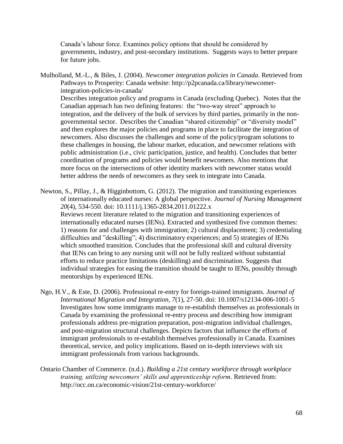Canada's labour force. Examines policy options that should be considered by governments, industry, and post-secondary institutions. Suggests ways to better prepare for future jobs.

Mulholland, M.-L., & Biles, J. (2004). *Newcomer integration policies in Canada*. Retrieved from Pathways to Prosperity: Canada website: http://p2pcanada.ca/library/newcomerintegration-policies-in-canada/ Describes integration policy and programs in Canada (excluding Quebec). Notes that the Canadian approach has two defining features: the "two-way street" approach to integration, and the delivery of the bulk of services by third parties, primarily in the nongovernmental sector. Describes the Canadian "shared citizenship" or "diversity model" and then explores the major policies and programs in place to facilitate the integration of newcomers. Also discusses the challenges and some of the policy/program solutions to these challenges in housing, the labour market, education, and newcomer relations with public administration (i.e., civic participation, justice, and health). Concludes that better coordination of programs and policies would benefit newcomers. Also mentions that more focus on the intersections of other identity markers with newcomer status would better address the needs of newcomers as they seek to integrate into Canada.

Newton, S., Pillay, J., & Higginbottom, G. (2012). The migration and transitioning experiences of internationally educated nurses: A global perspective. *Journal of Nursing Management 20*(4), 534-550. doi: 10.1111/j.1365-2834.2011.01222.x Reviews recent literature related to the migration and transitioning experiences of internationally educated nurses (IENs). Extracted and synthesized five common themes: 1) reasons for and challenges with immigration; 2) cultural displacement; 3) credentialing difficulties and "deskilling"; 4) discriminatory experiences; and 5) strategies of IENs which smoothed transition. Concludes that the professional skill and cultural diversity that IENs can bring to any nursing unit will not be fully realized without substantial efforts to reduce practice limitations (deskilling) and discrimination. Suggests that individual strategies for easing the transition should be taught to IENs, possibly through mentorships by experienced IENs.

- Ngo, H.V., & Este, D. (2006). Professional re-entry for foreign-trained immigrants. *Journal of International Migration and Integration, 7*(1), 27-50. doi: 10.1007/s12134-006-1001-5 Investigates how some immigrants manage to re-establish themselves as professionals in Canada by examining the professional re-entry process and describing how immigrant professionals address pre-migration preparation, post-migration individual challenges, and post-migration structural challenges. Depicts factors that influence the efforts of immigrant professionals to re-establish themselves professionally in Canada. Examines theoretical, service, and policy implications. Based on in-depth interviews with six immigrant professionals from various backgrounds.
- Ontario Chamber of Commerce. (n.d.). *Building a 21st century workforce through workplace training, utilizing newcomers' skills and apprenticeship reform*. Retrieved from: http://occ.on.ca/economic-vision/21st-century-workforce/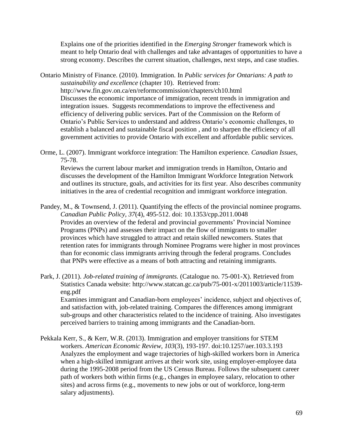Explains one of the priorities identified in the *Emerging Stronger* framework which is meant to help Ontario deal with challenges and take advantages of opportunities to have a strong economy. Describes the current situation, challenges, next steps, and case studies.

Ontario Ministry of Finance. (2010). Immigration. In *Public services for Ontarians: A path to sustainability and excellence* (chapter 10). Retrieved from: http://www.fin.gov.on.ca/en/reformcommission/chapters/ch10.html Discusses the economic importance of immigration, recent trends in immigration and integration issues. Suggests recommendations to improve the effectiveness and efficiency of delivering public services. Part of the Commission on the Reform of Ontario's Public Services to understand and address Ontario's economic challenges, to establish a balanced and sustainable fiscal position , and to sharpen the efficiency of all government activities to provide Ontario with excellent and affordable public services.

Orme, L. (2007). Immigrant workforce integration: The Hamilton experience. *Canadian Issues*, 75-78.

Reviews the current labour market and immigration trends in Hamilton, Ontario and discusses the development of the Hamilton Immigrant Workforce Integration Network and outlines its structure, goals, and activities for its first year. Also describes community initiatives in the area of credential recognition and immigrant workforce integration.

- Pandey, M., & Townsend, J. (2011). Quantifying the effects of the provincial nominee programs. *Canadian Public Policy, 37*(4), 495-512. doi: 10.1353/cpp.2011.0048 Provides an overview of the federal and provincial governments' Provincial Nominee Programs (PNPs) and assesses their impact on the flow of immigrants to smaller provinces which have struggled to attract and retain skilled newcomers. States that retention rates for immigrants through Nominee Programs were higher in most provinces than for economic class immigrants arriving through the federal programs. Concludes that PNPs were effective as a means of both attracting and retaining immigrants.
- Park, J. (2011). *Job-related training of immigrants.* (Catalogue no. 75-001-X). Retrieved from Statistics Canada website: http://www.statcan.gc.ca/pub/75-001-x/2011003/article/11539 eng.pdf

Examines immigrant and Canadian-born employees' incidence, subject and objectives of, and satisfaction with, job-related training. Compares the differences among immigrant sub-groups and other characteristics related to the incidence of training. Also investigates perceived barriers to training among immigrants and the Canadian-born.

Pekkala Kerr, S., & Kerr, W.R. (2013). Immigration and employer transitions for STEM workers. *American Economic Review, 103*(3), 193-197. doi:10.1257/aer.103.3.193 Analyzes the employment and wage trajectories of high-skilled workers born in America when a high-skilled immigrant arrives at their work site, using employer-employee data during the 1995-2008 period from the US Census Bureau. Follows the subsequent career path of workers both within firms (e.g., changes in employee salary, relocation to other sites) and across firms (e.g., movements to new jobs or out of workforce, long-term salary adjustments).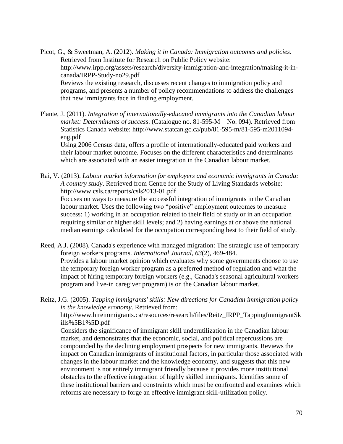Picot, G., & Sweetman, A. (2012). *Making it in Canada: Immigration outcomes and policies*. Retrieved from Institute for Research on Public Policy website: http://www.irpp.org/assets/research/diversity-immigration-and-integration/making-it-incanada/IRPP-Study-no29.pdf Reviews the existing research, discusses recent changes to immigration policy and programs, and presents a number of policy recommendations to address the challenges that new immigrants face in finding employment.

Plante, J. (2011). *Integration of internationally-educated immigrants into the Canadian labour market: Determinants of success*. (Catalogue no. 81-595-M – No. 094). Retrieved from Statistics Canada website: [http://www.statcan.gc.ca/pub/81-595-m/81-595-m2011094](http://www.statcan.gc.ca/pub/81-595-m/81-595-m2011094-eng.pdf) [eng.pdf](http://www.statcan.gc.ca/pub/81-595-m/81-595-m2011094-eng.pdf)

Using 2006 Census data, offers a profile of internationally-educated paid workers and their labour market outcome. Focuses on the different characteristics and determinants which are associated with an easier integration in the Canadian labour market.

Rai, V. (2013). *Labour market information for employers and economic immigrants in Canada: A country study*. Retrieved from Centre for the Study of Living Standards website: <http://www.csls.ca/reports/csls2013-01.pdf> Focuses on ways to measure the successful integration of immigrants in the Canadian labour market. Uses the following two "positive" employment outcomes to measure success: 1) working in an occupation related to their field of study or in an occupation requiring similar or higher skill levels; and 2) having earnings at or above the national median earnings calculated for the occupation corresponding best to their field of study.

Reed, A.J. (2008). Canada's experience with managed migration: The strategic use of temporary foreign workers programs. *International Journal*, *63*(2), 469-484. Provides a labour market opinion which evaluates why some governments choose to use the temporary foreign worker program as a preferred method of regulation and what the impact of hiring temporary foreign workers (e.g., Canada's seasonal agricultural workers program and live-in caregiver program) is on the Canadian labour market.

Reitz, J.G. (2005). *Tapping immigrants' skills: New directions for Canadian immigration policy in the knowledge economy*. Retrieved from: [http://www.hireimmigrants.ca/resources/research/files/Reitz\\_IRPP\\_TappingImmigrantSk](http://www.hireimmigrants.ca/resources/research/files/Reitz_IRPP_TappingImmigrantSkills%5B1%5D.pdf) [ills%5B1%5D.pdf](http://www.hireimmigrants.ca/resources/research/files/Reitz_IRPP_TappingImmigrantSkills%5B1%5D.pdf) Considers the significance of immigrant skill underutilization in the Canadian labour market, and demonstrates that the economic, social, and political repercussions are compounded by the declining employment prospects for new immigrants. Reviews the impact on Canadian immigrants of institutional factors, in particular those associated with changes in the labour market and the knowledge economy, and suggests that this new environment is not entirely immigrant friendly because it provides more institutional obstacles to the effective integration of highly skilled immigrants. Identifies some of these institutional barriers and constraints which must be confronted and examines which reforms are necessary to forge an effective immigrant skill-utilization policy.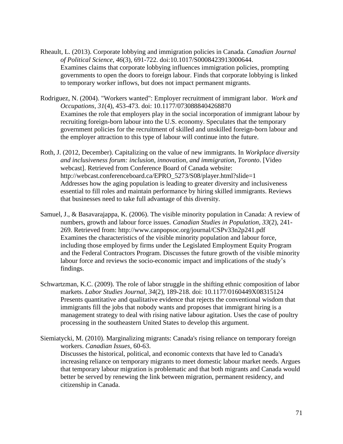- Rheault, L. (2013). Corporate lobbying and immigration policies in Canada. *Canadian Journal of Political Science, 46*(3), 691-722. doi:10.1017/S0008423913000644. Examines claims that corporate lobbying influences immigration policies, prompting governments to open the doors to foreign labour. Finds that corporate lobbying is linked to temporary worker inflows, but does not impact permanent migrants.
- Rodriguez, N. (2004). "Workers wanted": Employer recruitment of immigrant labor. *Work and Occupations, 31*(4), 453-473. doi: 10.1177/0730888404268870 Examines the role that employers play in the social incorporation of immigrant labour by recruiting foreign-born labour into the U.S. economy. Speculates that the temporary government policies for the recruitment of skilled and unskilled foreign-born labour and the employer attraction to this type of labour will continue into the future.
- Roth, J. (2012, December). Capitalizing on the value of new immigrants. In *Workplace diversity and inclusiveness forum: inclusion, innovation, and immigration, Toronto*. [Video webcast]. Retrieved from Conference Board of Canada website: http://webcast.conferenceboard.ca/EPRO\_5273/S08/player.html?slide=1 Addresses how the aging population is leading to greater diversity and inclusiveness essential to fill roles and maintain performance by hiring skilled immigrants. Reviews that businesses need to take full advantage of this diversity.
- Samuel, J., & Basavarajappa, K. (2006). The visible minority population in Canada: A review of numbers, growth and labour force issues. *Canadian Studies in Population, 33*(2), 241- 269. Retrieved from: http://www.canpopsoc.org/journal/CSPv33n2p241.pdf Examines the characteristics of the visible minority population and labour force, including those employed by firms under the Legislated Employment Equity Program and the Federal Contractors Program. Discusses the future growth of the visible minority labour force and reviews the socio-economic impact and implications of the study's findings.
- Schwartzman, K.C. (2009). The role of labor struggle in the shifting ethnic composition of labor markets. *Labor Studies Journal, 34*(2), 189-218. doi: 10.1177/0160449X08315124 Presents quantitative and qualitative evidence that rejects the conventional wisdom that immigrants fill the jobs that nobody wants and proposes that immigrant hiring is a management strategy to deal with rising native labour agitation. Uses the case of poultry processing in the southeastern United States to develop this argument.
- Siemiatycki, M. (2010). Marginalizing migrants: Canada's rising reliance on temporary foreign workers. *Canadian Issues*, 60-63. Discusses the historical, political, and economic contexts that have led to Canada's increasing reliance on temporary migrants to meet domestic labour market needs. Argues that temporary labour migration is problematic and that both migrants and Canada would better be served by renewing the link between migration, permanent residency, and citizenship in Canada.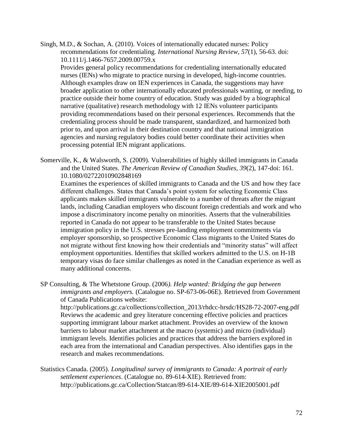Singh, M.D., & Sochan, A. (2010). Voices of internationally educated nurses: Policy recommendations for credentialing. *International Nursing Review, 57*(1), 56-63. doi: 10.1111/j.1466-7657.2009.00759.x

Provides general policy recommendations for credentialing internationally educated nurses (IENs) who migrate to practice nursing in developed, high-income countries. Although examples draw on IEN experiences in Canada, the suggestions may have broader application to other internationally educated professionals wanting, or needing, to practice outside their home country of education. Study was guided by a biographical narrative (qualitative) research methodology with 12 IENs volunteer participants providing recommendations based on their personal experiences. Recommends that the credentialing process should be made transparent, standardized, and harmonized both prior to, and upon arrival in their destination country and that national immigration agencies and nursing regulatory bodies could better coordinate their activities when processing potential IEN migrant applications.

Somerville, K., & Walsworth, S. (2009). Vulnerabilities of highly skilled immigrants in Canada and the United States. *The American Review of Canadian Studies, 39*(2), 147-doi: 161. 10.1080/02722010902848169

Examines the experiences of skilled immigrants to Canada and the US and how they face different challenges. States that Canada's point system for selecting Economic Class applicants makes skilled immigrants vulnerable to a number of threats after the migrant lands, including Canadian employers who discount foreign credentials and work and who impose a discriminatory income penalty on minorities. Asserts that the vulnerabilities reported in Canada do not appear to be transferable to the United States because immigration policy in the U.S. stresses pre-landing employment commitments via employer sponsorship, so prospective Economic Class migrants to the United States do not migrate without first knowing how their credentials and "minority status" will affect employment opportunities. Identifies that skilled workers admitted to the U.S. on H-1B temporary visas do face similar challenges as noted in the Canadian experience as well as many additional concerns.

SP Consulting, & The Whetstone Group. (2006*). Help wanted: Bridging the gap between immigrants and employers.* (Catalogue no. SP-673-06-06E). Retrieved from Government of Canada Publications website:

http://publications.gc.ca/collections/collection\_2013/rhdcc-hrsdc/HS28-72-2007-eng.pdf Reviews the academic and grey literature concerning effective policies and practices supporting immigrant labour market attachment. Provides an overview of the known barriers to labour market attachment at the macro (systemic) and micro (individual) immigrant levels. Identifies policies and practices that address the barriers explored in each area from the international and Canadian perspectives. Also identifies gaps in the research and makes recommendations.

Statistics Canada. (2005). *Longitudinal survey of immigrants to Canada: A portrait of early settlement experiences*. (Catalogue no. 89-614-XIE). Retrieved from: http://publications.gc.ca/Collection/Statcan/89-614-XIE/89-614-XIE2005001.pdf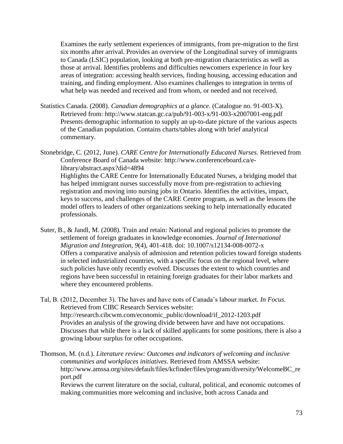Examines the early settlement experiences of immigrants, from pre-migration to the first six months after arrival. Provides an overview of the Longitudinal survey of immigrants to Canada (LSIC) population, looking at both pre-migration characteristics as well as those at arrival. Identifies problems and difficulties newcomers experience in four key areas of integration: accessing health services, finding housing, accessing education and training, and finding employment. Also examines challenges to integration in terms of what help was needed and received and from whom, or needed and not received.

Statistics Canada. (2008). *Canadian demographics at a glance*. (Catalogue no. 91-003-X). Retrieved from: http://www.statcan.gc.ca/pub/91-003-x/91-003-x2007001-eng.pdf Presents demographic information to supply an up-to-date picture of the various aspects of the Canadian population. Contains charts/tables along with brief analytical commentary.

Stonebridge, C. (2012, June). *CARE Centre for Internationally Educated Nurses.* Retrieved from Conference Board of Canada website: http://www.conferenceboard.ca/elibrary/abstract.aspx?did=4894 Highlights the CARE Centre for Internationally Educated Nurses, a bridging model that has helped immigrant nurses successfully move from pre-registration to achieving registration and moving into nursing jobs in Ontario. Identifies the activities, impact, keys to success, and challenges of the CARE Centre program, as well as the lessons the model offers to leaders of other organizations seeking to help internationally educated professionals.

- Suter, B., & Jandl, M. (2008). Train and retain: National and regional policies to promote the settlement of foreign graduates in knowledge economies. *Journal of International Migration and Integration, 9*(4), 401-418. doi: 10.1007/s12134-008-0072-x Offers a comparative analysis of admission and retention policies toward foreign students in selected industrialized countries, with a specific focus on the regional level, where such policies have only recently evolved. Discusses the extent to which countries and regions have been successful in retaining foreign graduates for their labor markets and where they encountered problems.
- Tal, B. (2012, December 3). The haves and have nots of Canada's labour market. *In Focus*. Retrieved from CIBC Research Services website: http://research.cibcwm.com/economic\_public/download/if\_2012-1203.pdf Provides an analysis of the growing divide between have and have not occupations. Discusses that while there is a lack of skilled applicants for some positions, there is also a growing labour surplus for other occupations.

Thomson, M. (n.d.). *Literature review: Outcomes and indicators of welcoming and inclusive communities and workplaces initiatives*. Retrieved from AMSSA website: http://www.amssa.org/sites/default/files/kcfinder/files/program/diversity/WelcomeBC\_re port.pdf

Reviews the current literature on the social, cultural, political, and economic outcomes of making communities more welcoming and inclusive, both across Canada and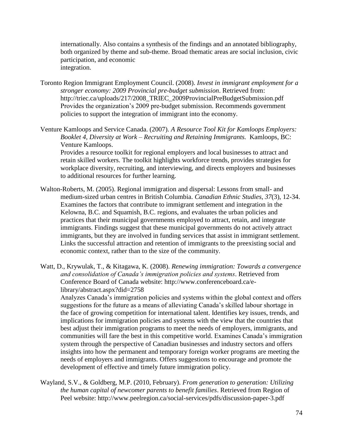internationally. Also contains a synthesis of the findings and an annotated bibliography, both organized by theme and sub-theme. Broad thematic areas are social inclusion, civic participation, and economic integration.

Toronto Region Immigrant Employment Council. (2008). *Invest in immigrant employment for a stronger economy: 2009 Provincial pre-budget submission*. Retrieved from: http://triec.ca/uploads/217/2008\_TRIEC\_2009ProvincialPreBudgetSubmission.pdf Provides the organization's 2009 pre-budget submission. Recommends government policies to support the integration of immigrant into the economy.

Venture Kamloops and Service Canada. (2007). *A Resource Tool Kit for Kamloops Employers: Booklet 4, Diversity at Work – Recruiting and Retaining Immigrants.* Kamloops, BC: Venture Kamloops.

Provides a resource toolkit for regional employers and local businesses to attract and retain skilled workers. The toolkit highlights workforce trends, provides strategies for workplace diversity, recruiting, and interviewing, and directs employers and businesses to additional resources for further learning.

- Walton-Roberts, M. (2005). Regional immigration and dispersal: Lessons from small- and medium-sized urban centres in British Columbia. *Canadian Ethnic Studies*, *37*(3), 12-34. Examines the factors that contribute to immigrant settlement and integration in the Kelowna, B.C. and Squamish, B.C. regions, and evaluates the urban policies and practices that their municipal governments employed to attract, retain, and integrate immigrants. Findings suggest that these municipal governments do not actively attract immigrants, but they are involved in funding services that assist in immigrant settlement. Links the successful attraction and retention of immigrants to the preexisting social and economic context, rather than to the size of the community.
- Watt, D., Krywulak, T., & Kitagawa, K. (2008). *Renewing immigration: Towards a convergence and consolidation of Canada's immigration policies and systems*. Retrieved from Conference Board of Canada website: http://www.conferenceboard.ca/elibrary/abstract.aspx?did=2758

Analyzes Canada's immigration policies and systems within the global context and offers suggestions for the future as a means of alleviating Canada's skilled labour shortage in the face of growing competition for international talent. Identifies key issues, trends, and implications for immigration policies and systems with the view that the countries that best adjust their immigration programs to meet the needs of employers, immigrants, and communities will fare the best in this competitive world. Examines Canada's immigration system through the perspective of Canadian businesses and industry sectors and offers insights into how the permanent and temporary foreign worker programs are meeting the needs of employers and immigrants. Offers suggestions to encourage and promote the development of effective and timely future immigration policy.

Wayland, S.V., & Goldberg, M.P. (2010, February). *From generation to generation: Utilizing the human capital of newcomer parents to benefit families*. Retrieved from Region of Peel website: http://www.peelregion.ca/social-services/pdfs/discussion-paper-3.pdf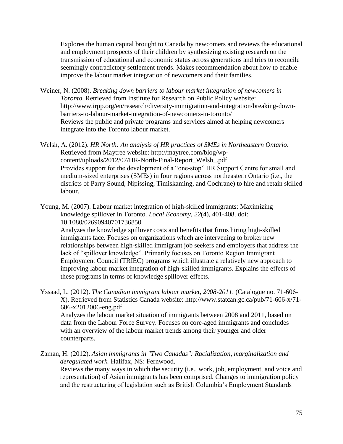Explores the human capital brought to Canada by newcomers and reviews the educational and employment prospects of their children by synthesizing existing research on the transmission of educational and economic status across generations and tries to reconcile seemingly contradictory settlement trends. Makes recommendation about how to enable improve the labour market integration of newcomers and their families.

- Weiner, N. (2008). *Breaking down barriers to labour market integration of newcomers in Toronto*. Retrieved from Institute for Research on Public Policy website: [http://www.irpp.org/en/research/diversity-immigration-and-integration/breaking-down](http://www.irpp.org/en/research/diversity-immigration-and-integration/breaking-down-barriers-to-labour-market-integration-of-newcomers-in-toronto/)[barriers-to-labour-market-integration-of-newcomers-in-toronto/](http://www.irpp.org/en/research/diversity-immigration-and-integration/breaking-down-barriers-to-labour-market-integration-of-newcomers-in-toronto/) Reviews the public and private programs and services aimed at helping newcomers integrate into the Toronto labour market.
- Welsh, A. (2012). *HR North: An analysis of HR practices of SMEs in Northeastern Ontario*. Retrieved from Maytree website: http://maytree.com/blog/wpcontent/uploads/2012/07/HR-North-Final-Report\_Welsh\_.pdf Provides support for the development of a "one-stop" HR Support Centre for small and medium-sized enterprises (SMEs) in four regions across northeastern Ontario (i.e., the districts of Parry Sound, Nipissing, Timiskaming, and Cochrane) to hire and retain skilled labour.
- Young, M. (2007). Labour market integration of high-skilled immigrants: Maximizing knowledge spillover in Toronto. *Local Economy, 22*(4), 401-408. doi: 10.1080/02690940701736850

Analyzes the knowledge spillover costs and benefits that firms hiring high-skilled immigrants face. Focuses on organizations which are intervening to broker new relationships between high-skilled immigrant job seekers and employers that address the lack of "spillover knowledge". Primarily focuses on Toronto Region Immigrant Employment Council (TRIEC) programs which illustrate a relatively new approach to improving labour market integration of high-skilled immigrants. Explains the effects of these programs in terms of knowledge spillover effects.

Yssaad, L. (2012). *The Canadian immigrant labour market, 2008-2011*. (Catalogue no. 71-606- X). Retrieved from Statistics Canada website: http://www.statcan.gc.ca/pub/71-606-x/71- 606-x2012006-eng.pdf Analyzes the labour market situation of immigrants between 2008 and 2011, based on

data from the Labour Force Survey. Focuses on core-aged immigrants and concludes with an overview of the labour market trends among their younger and older counterparts.

Zaman, H. (2012). *Asian immigrants in "Two Canadas": Racialization, marginalization and deregulated work.* Halifax, NS: Fernwood.

Reviews the many ways in which the security (i.e., work, job, employment, and voice and representation) of Asian immigrants has been comprised. Changes to immigration policy and the restructuring of legislation such as British Columbia's Employment Standards